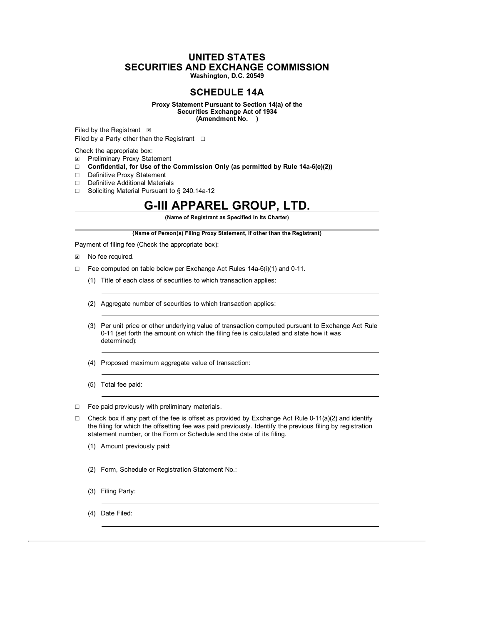# **UNITED STATES SECURITIES AND EXCHANGE COMMISSION Washington, D.C. 20549**

# **SCHEDULE 14A**

**Proxy Statement Pursuant to Section 14(a) of the Securities Exchange Act of 1934 (Amendment No. )**

Filed by the Registrant  $\boxtimes$ Filed by a Party other than the Registrant  $□$ 

Check the appropriate box:

- ☒ Preliminary Proxy Statement
- ☐ **Confidential, for Use of the Commission Only (as permitted by Rule 14a-6(e)(2))**
- ☐ Definitive Proxy Statement
- ☐ Definitive Additional Materials
- ☐ Soliciting Material Pursuant to § 240.14a-12

# **G-III APPAREL GROUP, LTD.**

**(Name of Registrant as Specified In Its Charter)**

**(Name of Person(s) Filing Proxy Statement, if other than the Registrant)**

Payment of filing fee (Check the appropriate box):

- ☒ No fee required.
- ☐ Fee computed on table below per Exchange Act Rules 14a-6(i)(1) and 0-11.
	- (1) Title of each class of securities to which transaction applies:
	- (2) Aggregate number of securities to which transaction applies:
	- (3) Per unit price or other underlying value of transaction computed pursuant to Exchange Act Rule 0-11 (set forth the amount on which the filing fee is calculated and state how it was determined):
	- (4) Proposed maximum aggregate value of transaction:
	- (5) Total fee paid:

☐ Fee paid previously with preliminary materials.

- $\Box$  Check box if any part of the fee is offset as provided by Exchange Act Rule 0-11(a)(2) and identify the filing for which the offsetting fee was paid previously. Identify the previous filing by registration statement number, or the Form or Schedule and the date of its filing.
	- (1) Amount previously paid:
	- (2) Form, Schedule or Registration Statement No.:
	- (3) Filing Party:
	- (4) Date Filed: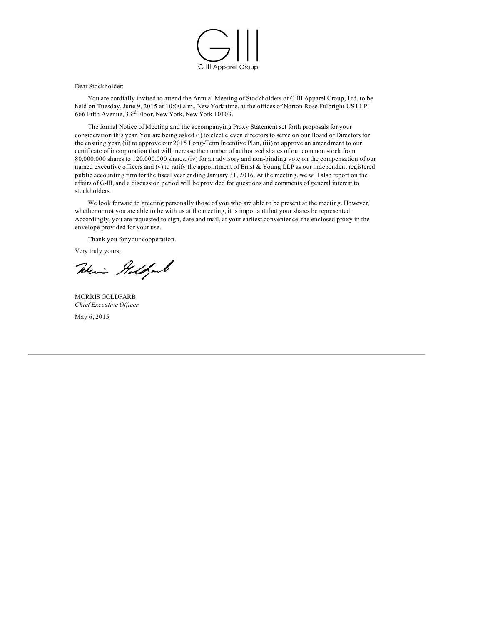

Dear Stockholder:

You are cordially invited to attend the Annual Meeting of Stockholders of G-III Apparel Group, Ltd. to be held on Tuesday, June 9, 2015 at 10:00 a.m., New York time, at the offices of Norton Rose Fulbright US LLP, 666 Fifth Avenue, 33<sup>rd</sup> Floor, New York, New York 10103.

The formal Notice of Meeting and the accompanying Proxy Statement set forth proposals for your consideration this year. You are being asked (i) to elect eleven directors to serve on our Board of Directors for the ensuing year, (ii) to approve our 2015 Long-Term Incentive Plan, (iii) to approve an amendment to our certificate of incorporation that will increase the number of authorized shares of our common stock from 80,000,000 shares to 120,000,000 shares, (iv) for an advisory and non-binding vote on the compensation of our named executive officers and (v) to ratify the appointment of Ernst & Young LLP as our independent registered public accounting firm for the fiscal year ending January 31, 2016. At the meeting, we will also report on the affairs of G-III, and a discussion period will be provided for questions and comments of general interest to stockholders.

We look forward to greeting personally those of you who are able to be present at the meeting. However, whether or not you are able to be with us at the meeting, it is important that your shares be represented. Accordingly, you are requested to sign, date and mail, at your earliest convenience, the enclosed proxy in the envelope provided for your use.

Thank you for your cooperation.

Very truly yours,

Weris Addfaul

MORRIS GOLDFARB *Chief Executive Of icer* May 6, 2015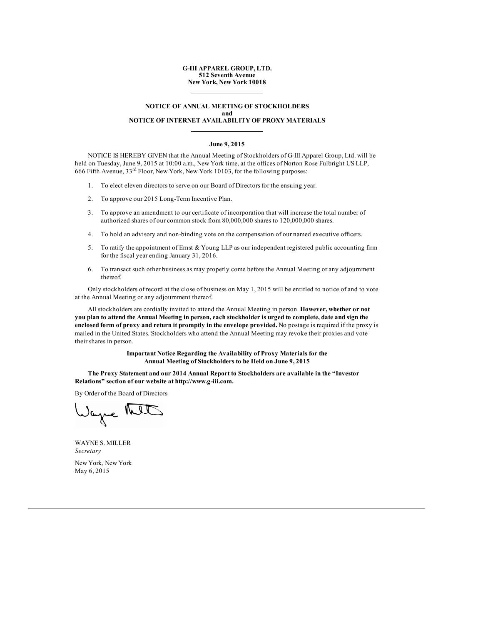# **G-III APPAREL GROUP, LTD. 512 Seventh Avenue New York, New York 10018**

# **NOTICE OF ANNUAL MEETING OF STOCKHOLDERS and NOTICE OF INTERNET AVAILABILITY OF PROXY MATERIALS**

# **June 9, 2015**

NOTICE IS HEREBY GIVEN that the Annual Meeting of Stockholders of G-III Apparel Group, Ltd. will be held on Tuesday, June 9, 2015 at 10:00 a.m., New York time, at the offices of Norton Rose Fulbright US LLP, 666 Fifth Avenue,  $33<sup>rd</sup>$  Floor, New York, New York 10103, for the following purposes:

- 1. To elect eleven directors to serve on our Board of Directors for the ensuing year.
- 2. To approve our 2015 Long-Term Incentive Plan.
- 3. To approve an amendment to our certificate of incorporation that will increase the total number of authorized shares of our common stock from 80,000,000 shares to 120,000,000 shares.
- 4. To hold an advisory and non-binding vote on the compensation of our named executive officers.
- 5. To ratify the appointment of Ernst & Young LLP as our independent registered public accounting firm for the fiscal year ending January 31, 2016.
- 6. To transact such other business as may properly come before the Annual Meeting or any adjournment thereof.

Only stockholders of record at the close of business on May 1, 2015 will be entitled to notice of and to vote at the Annual Meeting or any adjournment thereof.

All stockholders are cordially invited to attend the Annual Meeting in person. **However, whether or not** you plan to attend the Annual Meeting in person, each stockholder is urged to complete, date and sign the **enclosed form of proxy and return it promptly in the envelope provided.** No postage is required if the proxy is mailed in the United States. Stockholders who attend the Annual Meeting may revoke their proxies and vote their shares in person.

> **Important Notice Regarding the Availability of Proxy Materials for the Annual Meeting of Stockholders to be Held on June 9, 2015**

**The Proxy Statement and our 2014 Annual Report to Stockholders are available in the "Investor Relations" section of our website at http://www.g-iii.com.**

By Order of the Board of Directors

Wage MIT

WAYNE S. MILLER *Secretary*

New York, New York May 6, 2015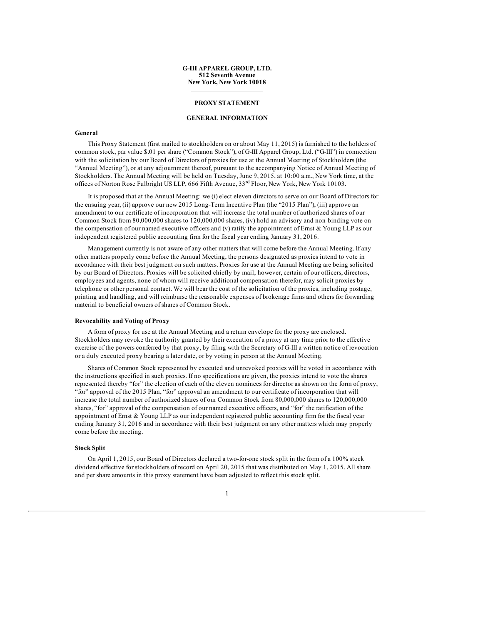# **G-III APPAREL GROUP, LTD. 512 Seventh Avenue New York, New York 10018**

# **PROXY STATEMENT**

# **GENERAL INFORMATION**

#### **General**

This Proxy Statement (first mailed to stockholders on or about May 11, 2015) is furnished to the holders of common stock, par value \$.01 per share ("Common Stock"), of G-III Apparel Group, Ltd. ("G-III") in connection with the solicitation by our Board of Directors of proxies for use at the Annual Meeting of Stockholders (the "Annual Meeting"), or at any adjournment thereof, pursuant to the accompanying Notice of Annual Meeting of Stockholders. The Annual Meeting will be held on Tuesday, June 9, 2015, at 10:00 a.m., New York time, at the offices of Norton Rose Fulbright US LLP, 666 Fifth Avenue, 33rd Floor, New York, New York 10103.

It is proposed that at the Annual Meeting: we (i) elect eleven directors to serve on our Board of Directors for the ensuing year, (ii) approve our new 2015 Long-Term Incentive Plan (the "2015 Plan"), (iii) approve an amendment to our certificate of incorporation that will increase the total number of authorized shares of our Common Stock from 80,000,000 shares to 120,000,000 shares, (iv) hold an advisory and non-binding vote on the compensation of our named executive officers and (v) ratify the appointment of Ernst  $\&$  Young LLP as our independent registered public accounting firm for the fiscal year ending January 31, 2016.

Management currently is not aware of any other matters that will come before the Annual Meeting. If any other matters properly come before the Annual Meeting, the persons designated as proxies intend to vote in accordance with their best judgment on such matters. Proxies for use at the Annual Meeting are being solicited by our Board of Directors. Proxies will be solicited chiefly by mail; however, certain of our officers, directors, employees and agents, none of whom will receive additional compensation therefor, may solicit proxies by telephone or other personal contact. We will bear the cost of the solicitation of the proxies, including postage, printing and handling, and will reimburse the reasonable expenses of brokerage firms and others for forwarding material to beneficial owners of shares of Common Stock.

# **Revocability and Voting of Proxy**

A form of proxy for use at the Annual Meeting and a return envelope for the proxy are enclosed. Stockholders may revoke the authority granted by their execution of a proxy at any time prior to the effective exercise of the powers conferred by that proxy, by filing with the Secretary of G-III a written notice of revocation or a duly executed proxy bearing a later date, or by voting in person at the Annual Meeting.

Shares of Common Stock represented by executed and unrevoked proxies will be voted in accordance with the instructions specified in such proxies. If no specifications are given, the proxies intend to vote the shares represented thereby "for" the election of each of the eleven nominees for director as shown on the form of proxy, "for" approval of the 2015 Plan, "for" approval an amendment to our certificate of incorporation that will increase the total number of authorized shares of our Common Stock from 80,000,000 shares to 120,000,000 shares, "for" approval of the compensation of our named executive officers, and "for" the ratification of the appointment of Ernst & Young LLP as our independent registered public accounting firm for the fiscal year ending January 31, 2016 and in accordance with their best judgment on any other matters which may properly come before the meeting.

# **Stock Split**

On April 1, 2015, our Board of Directors declared a two-for-one stock split in the form of a 100% stock dividend effective for stockholders of record on April 20, 2015 that was distributed on May 1, 2015. All share and per share amounts in this proxy statement have been adjusted to reflect this stock split.

1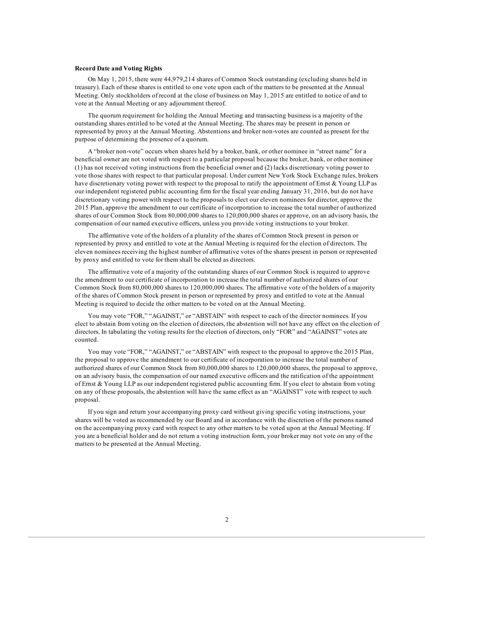# **Record Date and Voting Rights**

On May 1, 2015, there were 44,979,214 shares of Common Stock outstanding (excluding shares held in treasury). Each of these shares is entitled to one vote upon each of the matters to be presented at the Annual Meeting. Only stockholders of record at the close of business on May 1, 2015 are entitled to notice of and to vote at the Annual Meeting or any adjournment thereof.

The quorum requirement for holding the Annual Meeting and transacting business is a majority of the outstanding shares entitled to be voted at the Annual Meeting. The shares may be present in person or represented by proxy at the Annual Meeting. Abstentions and broker non-votes are counted as present for the purpose of determining the presence of a quorum.

A "broker non-vote" occurs when shares held by a broker, bank, or other nominee in "street name" for a beneficial owner are not voted with respect to a particular proposal because the broker, bank, or other nominee (1) has not received voting instructions from the beneficial owner and (2) lacks discretionary voting power to vote those shares with respect to that particular proposal. Under current New York Stock Exchange rules, brokers have discretionary voting power with respect to the proposal to ratify the appointment of Ernst & Young LLP as our independent registered public accounting firm for the fiscal year ending January 31, 2016, but do not have discretionary voting power with respect to the proposals to elect our eleven nominees for director, approve the 2015 Plan, approve the amendment to our certificate of incorporation to increase the total number of authorized shares of our Common Stock from 80,000,000 shares to 120,000,000 shares or approve, on an advisory basis, the compensation of our named executive officers, unless you provide voting instructions to your broker.

The affirmative vote of the holders of a plurality of the shares of Common Stock present in person or represented by proxy and entitled to vote at the Annual Meeting is required for the election of directors. The eleven nominees receiving the highest number of affirmative votes of the shares present in person or represented by proxy and entitled to vote for them shall be elected as directors.

The affirmative vote of a majority of the outstanding shares of our Common Stock is required to approve the amendment to our certificate of incorporation to increase the total number of authorized shares of our Common Stock from 80,000,000 shares to 120,000,000 shares. The affirmative vote of the holders of a majority of the shares of Common Stock present in person or represented by proxy and entitled to vote at the Annual Meeting is required to decide the other matters to be voted on at the Annual Meeting.

You may vote "FOR," "AGAINST," or "ABSTAIN" with respect to each of the director nominees. If you elect to abstain from voting on the election of directors, the abstention will not have any effect on the election of directors. In tabulating the voting results for the election of directors, only "FOR" and "AGAINST" votes are counted.

You may vote "FOR," "AGAINST," or "ABSTAIN" with respect to the proposal to approve the 2015 Plan, the proposal to approve the amendment to our certificate of incorporation to increase the total number of authorized shares of our Common Stock from 80,000,000 shares to 120,000,000 shares, the proposal to approve, on an advisory basis, the compensation of our named executive officers and the ratification of the appointment of Ernst & Young LLP as our independent registered public accounting firm. If you elect to abstain from voting on any of these proposals, the abstention will have the same effect as an "AGAINST" vote with respect to such proposal.

If you sign and return your accompanying proxy card without giving specific voting instructions, your shares will be voted as recommended by our Board and in accordance with the discretion of the persons named on the accompanying proxy card with respect to any other matters to be voted upon at the Annual Meeting. If you are a beneficial holder and do not return a voting instruction form, your broker may not vote on any of the matters to be presented at the Annual Meeting.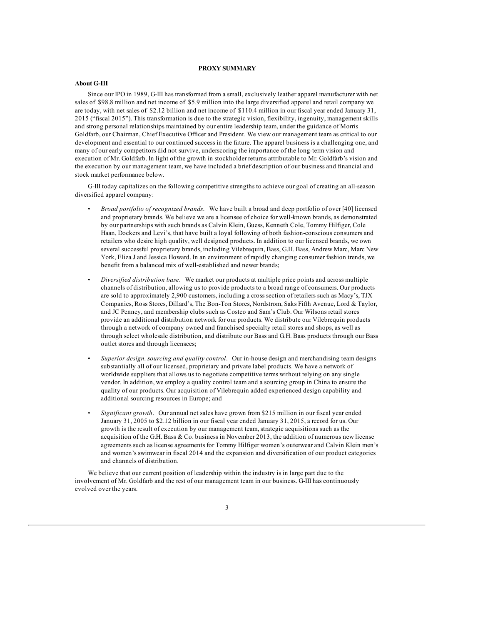# **PROXY SUMMARY**

# **About G-III**

Since our IPO in 1989, G-III has transformed from a small, exclusively leather apparel manufacturer with net sales of \$98.8 million and net income of \$5.9 million into the large diversified apparel and retail company we are today, with net sales of \$2.12 billion and net income of \$110.4 million in our fiscal year ended January 31, 2015 ("fiscal 2015"). This transformation is due to the strategic vision, flexibility, ingenuity, management skills and strong personal relationships maintained by our entire leadership team, under the guidance of Morris Goldfarb, our Chairman, Chief Executive Officer and President. We view our management team as critical to our development and essential to our continued success in the future. The apparel business is a challenging one, and many of our early competitors did not survive, underscoring the importance of the long-term vision and execution of Mr. Goldfarb. In light of the growth in stockholder returns attributable to Mr. Goldfarb's vision and the execution by our management team, we have included a brief description of our business and financial and stock market performance below.

G-III today capitalizes on the following competitive strengths to achieve our goal of creating an all-season diversified apparel company:

- *Broad portfolio of recognized brands*. We have built a broad and deep portfolio of over [40] licensed and proprietary brands. We believe we are a licensee of choice for well-known brands, as demonstrated by our partnerships with such brands as Calvin Klein, Guess, Kenneth Cole, Tommy Hilfiger, Cole Haan, Dockers and Levi's, that have built a loyal following of both fashion-conscious consumers and retailers who desire high quality, well designed products. In addition to our licensed brands, we own several successful proprietary brands, including Vilebrequin, Bass, G.H. Bass, Andrew Marc, Marc New York, Eliza J and Jessica Howard. In an environment of rapidly changing consumer fashion trends, we benefit from a balanced mix of well-established and newer brands;
- *Diversified distribution base*. We market our products at multiple price points and across multiple channels of distribution, allowing us to provide products to a broad range of consumers. Our products are sold to approximately 2,900 customers, including a cross section of retailers such as Macy's, TJX Companies, Ross Stores, Dillard's, The Bon-Ton Stores, Nordstrom, Saks Fifth Avenue, Lord & Taylor, and JC Penney, and membership clubs such as Costco and Sam's Club. Our Wilsons retail stores provide an additional distribution network for our products. We distribute our Vilebrequin products through a network of company owned and franchised specialty retail stores and shops, as well as through select wholesale distribution, and distribute our Bass and G.H. Bass products through our Bass outlet stores and through licensees;
- *Superior design, sourcing and quality control*. Our in-house design and merchandising team designs substantially all of our licensed, proprietary and private label products. We have a network of worldwide suppliers that allows us to negotiate competitive terms without relying on any single vendor. In addition, we employ a quality control team and a sourcing group in China to ensure the quality of our products. Our acquisition of Vilebrequin added experienced design capability and additional sourcing resources in Europe; and
- *Significant growth*. Our annual net sales have grown from \$215 million in our fiscal year ended January 31, 2005 to \$2.12 billion in our fiscal year ended January 31, 2015, a record for us. Our growth is the result of execution by our management team, strategic acquisitions such as the acquisition of the G.H. Bass & Co. business in November 2013, the addition of numerous new license agreements such as license agreements for Tommy Hilfiger women's outerwear and Calvin Klein men's and women's swimwear in fiscal 2014 and the expansion and diversification of our product categories and channels of distribution.

We believe that our current position of leadership within the industry is in large part due to the involvement of Mr. Goldfarb and the rest of our management team in our business. G-III has continuously evolved over the years.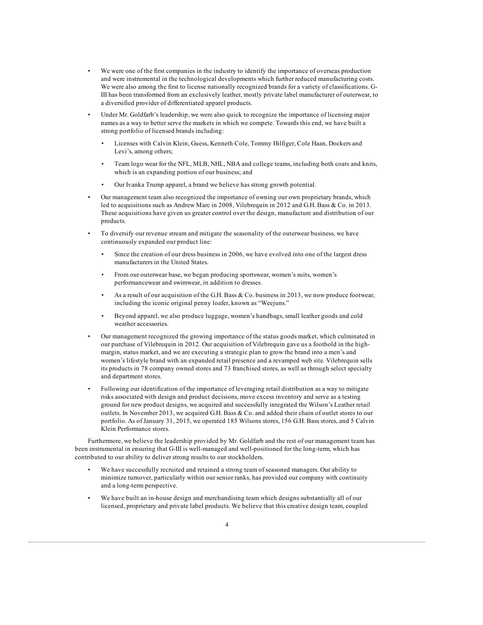- We were one of the first companies in the industry to identify the importance of overseas production and were instrumental in the technological developments which further reduced manufacturing costs. We were also among the first to license nationally recognized brands for a variety of classifications. G-III has been transformed from an exclusively leather, mostly private label manufacturer of outerwear, to a diversified provider of differentiated apparel products.
- Under Mr. Goldfarb's leadership, we were also quick to recognize the importance of licensing major names as a way to better serve the markets in which we compete. Towards this end, we have built a strong portfolio of licensed brands including:
	- Licenses with Calvin Klein, Guess, Kenneth Cole, Tommy Hilfiger, Cole Haan, Dockers and Levi's, among others;
	- Team logo wear for the NFL, MLB, NHL, NBA and college teams, including both coats and knits, which is an expanding portion of our business; and
	- Our Ivanka Trump apparel, a brand we believe has strong growth potential.
- Our management team also recognized the importance of owning our own proprietary brands, which led to acquisitions such as Andrew Marc in 2008, Vilebrequin in 2012 and G.H. Bass & Co. in 2013. These acquisitions have given us greater control over the design, manufacture and distribution of our products.
- To diversify our revenue stream and mitigate the seasonality of the outerwear business, we have continuously expanded our product line:
	- Since the creation of our dress business in 2006, we have evolved into one of the largest dress manufacturers in the United States.
	- From our outerwear base, we began producing sportswear, women's suits, women's performancewear and swimwear, in addition to dresses.
	- As a result of our acquisition of the G.H. Bass & Co. business in 2013, we now produce footwear, including the iconic original penny loafer, known as "Weejuns."
	- Beyond apparel, we also produce luggage, women's handbags, small leather goods and cold weather accessories.
- Our management recognized the growing importance of the status goods market, which culminated in our purchase of Vilebrequin in 2012. Our acquisition of Vilebrequin gave us a foothold in the highmargin, status market, and we are executing a strategic plan to grow the brand into a men's and women's lifestyle brand with an expanded retail presence and a revamped web site. Vilebrequin sells its products in 78 company owned stores and 73 franchised stores, as well as through select specialty and department stores.
- Following our identification of the importance of leveraging retail distribution as a way to mitigate risks associated with design and product decisions, move excess inventory and serve as a testing ground for new product designs, we acquired and successfully integrated the Wilson's Leather retail outlets. In November 2013, we acquired G.H. Bass & Co. and added their chain of outlet stores to our portfolio. As of January 31, 2015, we operated 185 Wilsons stores, 156 G.H. Bass stores, and 5 Calvin Klein Performance stores.

Furthermore, we believe the leadership provided by Mr. Goldfarb and the rest of our management team has been instrumental in ensuring that G-III is well-managed and well-positioned for the long-term, which has contributed to our ability to deliver strong results to our stockholders.

- We have successfully recruited and retained a strong team of seasoned managers. Our ability to minimize turnover, particularly within our senior ranks, has provided our company with continuity and a long-term perspective.
- We have built an in-house design and merchandising team which designs substantially all of our licensed, proprietary and private label products. We believe that this creative design team, coupled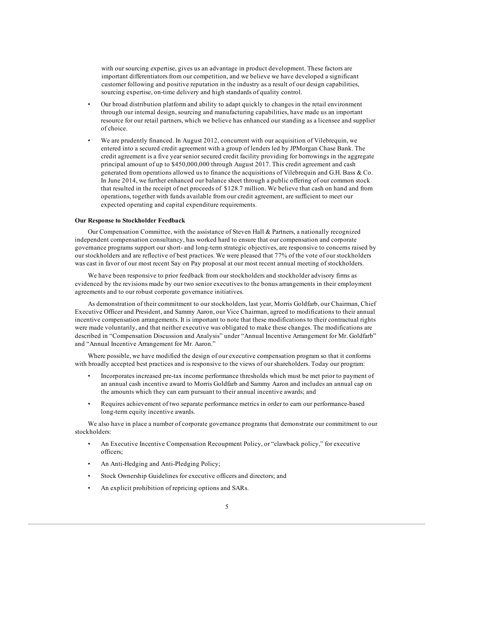with our sourcing expertise, gives us an advantage in product development. These factors are important differentiators from our competition, and we believe we have developed a significant customer following and positive reputation in the industry as a result of our design capabilities, sourcing expertise, on-time delivery and high standards of quality control.

- Our broad distribution platform and ability to adapt quickly to changes in the retail environment through our internal design, sourcing and manufacturing capabilities, have made us an important resource for our retail partners, which we believe has enhanced our standing as a licensee and supplier of choice.
- We are prudently financed. In August 2012, concurrent with our acquisition of Vilebrequin, we entered into a secured credit agreement with a group of lenders led by JPMorgan Chase Bank. The credit agreement is a five year senior secured credit facility providing for borrowings in the aggregate principal amount of up to \$450,000,000 through August 2017. This credit agreement and cash generated from operations allowed us to finance the acquisitions of Vilebrequin and G.H. Bass & Co. In June 2014, we further enhanced our balance sheet through a public offering of our common stock that resulted in the receipt of net proceeds of \$128.7 million. We believe that cash on hand and from operations, together with funds available from our credit agreement, are sufficient to meet our expected operating and capital expenditure requirements.

# **Our Response to Stockholder Feedback**

Our Compensation Committee, with the assistance of Steven Hall & Partners, a nationally recognized independent compensation consultancy, has worked hard to ensure that our compensation and corporate governance programs support our short- and long-term strategic objectives, are responsive to concerns raised by our stockholders and are reflective of best practices. We were pleased that 77% of the vote of our stockholders was cast in favor of our most recent Say on Pay proposal at our most recent annual meeting of stockholders.

We have been responsive to prior feedback from our stockholders and stockholder advisory firms as evidenced by the revisions made by our two senior executives to the bonus arrangements in their employment agreements and to our robust corporate governance initiatives.

As demonstration of their commitment to our stockholders, last year, Morris Goldfarb, our Chairman, Chief Executive Officer and President, and Sammy Aaron, our Vice Chairman, agreed to modifications to their annual incentive compensation arrangements. It is important to note that these modifications to their contractual rights were made voluntarily, and that neither executive was obligated to make these changes. The modifications are described in "Compensation Discussion and Analysis" under "Annual Incentive Arrangement for Mr. Goldfarb" and "Annual Incentive Arrangement for Mr. Aaron."

Where possible, we have modified the design of our executive compensation program so that it conforms with broadly accepted best practices and is responsive to the views of our shareholders. Today our program:

- Incorporates increased pre-tax income performance thresholds which must be met prior to payment of an annual cash incentive award to Morris Goldfarb and Sammy Aaron and includes an annual cap on the amounts which they can earn pursuant to their annual incentive awards; and
- Requires achievement of two separate performance metrics in order to earn our performance-based long-term equity incentive awards.

We also have in place a number of corporate governance programs that demonstrate our commitment to our stockholders:

- An Executive Incentive Compensation Recoupment Policy, or "clawback policy," for executive officers;
- An Anti-Hedging and Anti-Pledging Policy;
- Stock Ownership Guidelines for executive officers and directors; and
- An explicit prohibition of repricing options and SARs.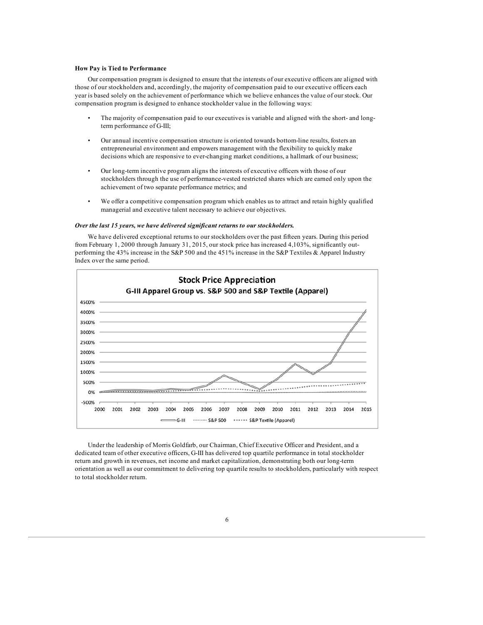# **How Pay is Tied to Performance**

Our compensation program is designed to ensure that the interests of our executive officers are aligned with those of our stockholders and, accordingly, the majority of compensation paid to our executive officers each year is based solely on the achievement of performance which we believe enhances the value of our stock. Our compensation program is designed to enhance stockholder value in the following ways:

- The majority of compensation paid to our executives is variable and aligned with the short- and longterm performance of G-III;
- Our annual incentive compensation structure is oriented towards bottom-line results, fosters an entrepreneurial environment and empowers management with the flexibility to quickly make decisions which are responsive to ever-changing market conditions, a hallmark of our business;
- Our long-term incentive program aligns the interests of executive officers with those of our stockholders through the use of performance-vested restricted shares which are earned only upon the achievement of two separate performance metrics; and
- We offer a competitive compensation program which enables us to attract and retain highly qualified managerial and executive talent necessary to achieve our objectives.

# *Over the last 15 years, we have delivered significant returns to our stockholders.*

We have delivered exceptional returns to our stockholders over the past fifteen years. During this period from February 1, 2000 through January 31, 2015, our stock price has increased 4,103%, significantly outperforming the 43% increase in the S&P 500 and the 451% increase in the S&P Textiles & Apparel Industry Index over the same period.



Under the leadership of Morris Goldfarb, our Chairman, Chief Executive Officer and President, and a dedicated team of other executive officers, G-III has delivered top quartile performance in total stockholder return and growth in revenues, net income and market capitalization, demonstrating both our long-term orientation as well as our commitment to delivering top quartile results to stockholders, particularly with respect to total stockholder return.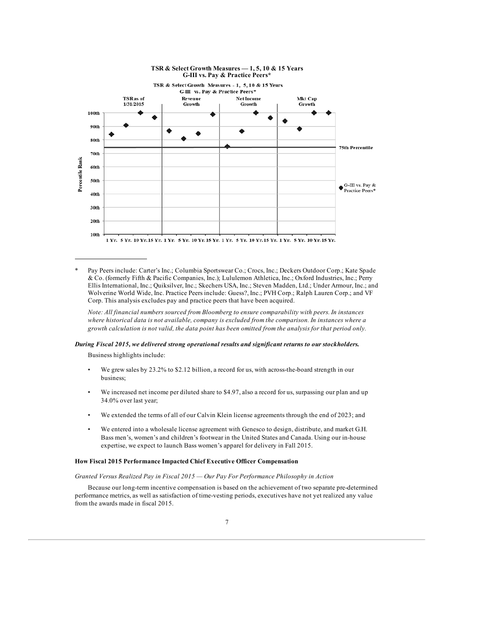

Pay Peers include: Carter's Inc.; Columbia Sportswear Co.; Crocs, Inc.; Deckers Outdoor Corp.; Kate Spade & Co. (formerly Fifth & Pacific Companies, Inc.); Lululemon Athletica, Inc.; Oxford Industries, Inc.; Perry Ellis International, Inc.; Quiksilver, Inc.; Skechers USA, Inc.; Steven Madden, Ltd.; Under Armour, Inc.; and Wolverine World Wide, Inc. Practice Peers include: Guess?, Inc.; PVH Corp.; Ralph Lauren Corp.; and VF Corp. This analysis excludes pay and practice peers that have been acquired.

*Note: All financial numbers sourced from Bloomberg to ensure comparability with peers. In instances where historical data is not available, company is excluded from the comparison. In instances where a* growth calculation is not valid, the data point has been omitted from the analysis for that period only.

# *During Fiscal 2015, we delivered strong operational results and significant returns to our stockholders.*

Business highlights include:

- We grew sales by 23.2% to \$2.12 billion, a record for us, with across-the-board strength in our business;
- We increased net income per diluted share to \$4.97, also a record for us, surpassing our plan and up 34.0% over last year;
- We extended the terms of all of our Calvin Klein license agreements through the end of 2023; and
- We entered into a wholesale license agreement with Genesco to design, distribute, and market G.H. Bass men's, women's and children's footwear in the United States and Canada. Using our in-house expertise, we expect to launch Bass women's apparel for delivery in Fall 2015.

# **How Fiscal 2015 Performance Impacted Chief Executive Officer Compensation**

*Granted Versus Realized Pay in Fiscal 2015 — Our Pay For Performance Philosophy in Action*

Because our long-term incentive compensation is based on the achievement of two separate pre-determined performance metrics, as well as satisfaction of time-vesting periods, executives have not yet realized any value from the awards made in fiscal 2015.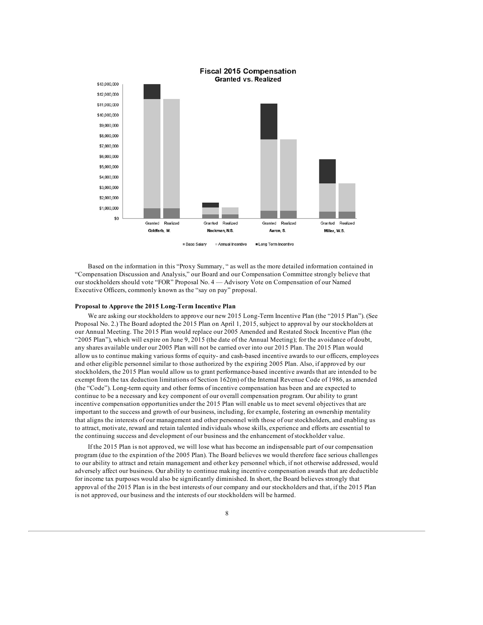

Long Term Incentive Base Salary Annual Incentive

Based on the information in this "Proxy Summary, " as well as the more detailed information contained in "Compensation Discussion and Analysis," our Board and our Compensation Committee strongly believe that our stockholders should vote "FOR" Proposal No. 4 — Advisory Vote on Compensation of our Named Executive Officers, commonly known as the "say on pay" proposal.

# **Proposal to Approve the 2015 Long-Term Incentive Plan**

We are asking our stockholders to approve our new 2015 Long-Term Incentive Plan (the "2015 Plan"). (See Proposal No. 2.) The Board adopted the 2015 Plan on April 1, 2015, subject to approval by our stockholders at our Annual Meeting. The 2015 Plan would replace our 2005 Amended and Restated Stock Incentive Plan (the "2005 Plan"), which will expire on June 9, 2015 (the date of the Annual Meeting); for the avoidance of doubt, any shares available under our 2005 Plan will not be carried over into our 2015 Plan. The 2015 Plan would allow us to continue making various forms of equity- and cash-based incentive awards to our officers, employees and other eligible personnel similar to those authorized by the expiring 2005 Plan. Also, if approved by our stockholders, the 2015 Plan would allow us to grant performance-based incentive awards that are intended to be exempt from the tax deduction limitations of Section 162(m) of the Internal Revenue Code of 1986, as amended (the "Code"). Long-term equity and other forms of incentive compensation has been and are expected to continue to be a necessary and key component of our overall compensation program. Our ability to grant incentive compensation opportunities under the 2015 Plan will enable us to meet several objectives that are important to the success and growth of our business, including, for example, fostering an ownership mentality that aligns the interests of our management and other personnel with those of our stockholders, and enabling us to attract, motivate, reward and retain talented individuals whose skills, experience and efforts are essential to the continuing success and development of our business and the enhancement of stockholder value.

If the 2015 Plan is not approved, we will lose what has become an indispensable part of our compensation program (due to the expiration of the 2005 Plan). The Board believes we would therefore face serious challenges to our ability to attract and retain management and other key personnel which, if not otherwise addressed, would adversely affect our business. Our ability to continue making incentive compensation awards that are deductible for income tax purposes would also be significantly diminished. In short, the Board believes strongly that approval of the 2015 Plan is in the best interests of our company and our stockholders and that, if the 2015 Plan is not approved, our business and the interests of our stockholders will be harmed.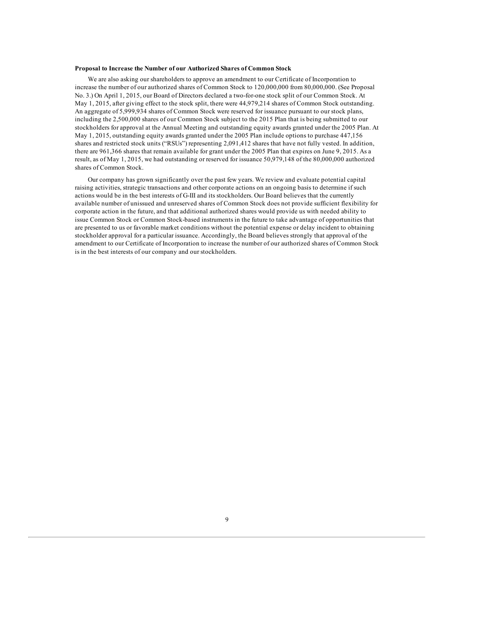# **Proposal to Increase the Number of our Authorized Shares of Common Stock**

We are also asking our shareholders to approve an amendment to our Certificate of Incorporation to increase the number of our authorized shares of Common Stock to 120,000,000 from 80,000,000. (See Proposal No. 3.) On April 1, 2015, our Board of Directors declared a two-for-one stock split of our Common Stock. At May 1, 2015, after giving effect to the stock split, there were 44,979,214 shares of Common Stock outstanding. An aggregate of 5,999,934 shares of Common Stock were reserved for issuance pursuant to our stock plans, including the 2,500,000 shares of our Common Stock subject to the 2015 Plan that is being submitted to our stockholders for approval at the Annual Meeting and outstanding equity awards granted under the 2005 Plan. At May 1, 2015, outstanding equity awards granted under the 2005 Plan include options to purchase 447,156 shares and restricted stock units ("RSUs") representing 2,091,412 shares that have not fully vested. In addition, there are 961,366 shares that remain available for grant under the 2005 Plan that expires on June 9, 2015. As a result, as of May 1, 2015, we had outstanding or reserved for issuance 50,979,148 of the 80,000,000 authorized shares of Common Stock.

Our company has grown significantly over the past few years. We review and evaluate potential capital raising activities, strategic transactions and other corporate actions on an ongoing basis to determine if such actions would be in the best interests of G-III and its stockholders. Our Board believes that the currently available number of unissued and unreserved shares of Common Stock does not provide sufficient flexibility for corporate action in the future, and that additional authorized shares would provide us with needed ability to issue Common Stock or Common Stock-based instruments in the future to take advantage of opportunities that are presented to us or favorable market conditions without the potential expense or delay incident to obtaining stockholder approval for a particular issuance. Accordingly, the Board believes strongly that approval of the amendment to our Certificate of Incorporation to increase the number of our authorized shares of Common Stock is in the best interests of our company and our stockholders.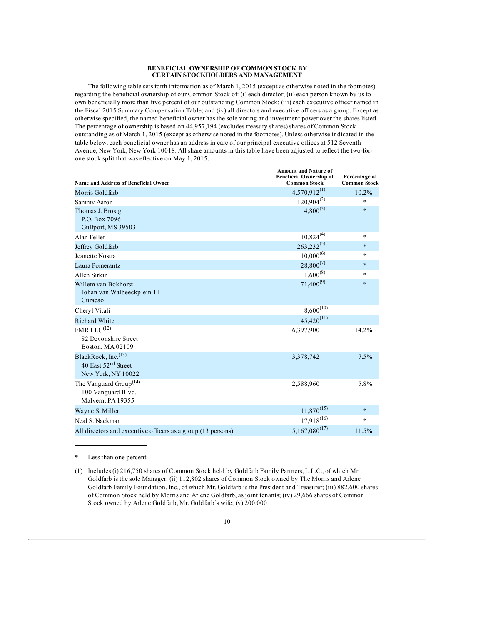### **BENEFICIAL OWNERSHIP OF COMMON STOCK BY CERTAIN STOCKHOLDERS AND MANAGEMENT**

The following table sets forth information as of March 1, 2015 (except as otherwise noted in the footnotes) regarding the beneficial ownership of our Common Stock of: (i) each director; (ii) each person known by us to own beneficially more than five percent of our outstanding Common Stock; (iii) each executive officer named in the Fiscal 2015 Summary Compensation Table; and (iv) all directors and executive officers as a group. Except as otherwise specified, the named beneficial owner has the sole voting and investment power over the shares listed. The percentage of ownership is based on 44,957,194 (excludes treasury shares) shares of Common Stock outstanding as of March 1, 2015 (except as otherwise noted in the footnotes). Unless otherwise indicated in the table below, each beneficial owner has an address in care of our principal executive offices at 512 Seventh Avenue, New York, New York 10018. All share amounts in this table have been adjusted to reflect the two-forone stock split that was effective on May 1, 2015.

| Name and Address of Beneficial Owner                                          | <b>Amount and Nature of</b><br><b>Beneficial Ownership of</b><br><b>Common Stock</b> | Percentage of<br><b>Common Stock</b> |
|-------------------------------------------------------------------------------|--------------------------------------------------------------------------------------|--------------------------------------|
| Morris Goldfarb                                                               | $4,570,912^{(1)}$                                                                    | 10.2%                                |
| Sammy Aaron                                                                   | $120,904^{(2)}$                                                                      | $\ast$                               |
| Thomas J. Brosig<br>P.O. Box 7096<br>Gulfport, MS 39503                       | $4,800^{(3)}$                                                                        | $\ast$                               |
| Alan Feller                                                                   | $10,824^{(4)}$                                                                       | $\ast$                               |
| Jeffrey Goldfarb                                                              | $263,232^{(5)}$                                                                      | $\ast$                               |
| Jeanette Nostra                                                               | $10,000^{(6)}$                                                                       | $\ast$                               |
| Laura Pomerantz                                                               | $28,800^{(7)}$                                                                       | $\star$                              |
| Allen Sirkin                                                                  | $1,600^{(8)}$                                                                        | $\ast$                               |
| Willem van Bokhorst<br>Johan van Walbeeckplein 11<br>Curaçao                  | $71,400^{(9)}$                                                                       | $\ast$                               |
| Cheryl Vitali                                                                 | $8,600^{(10)}$                                                                       |                                      |
| <b>Richard White</b>                                                          | $45,420^{(11)}$                                                                      |                                      |
| FMR LL $C^{(12)}$<br>82 Devonshire Street<br>Boston, MA 02109                 | 6,397,900                                                                            | 14.2%                                |
| BlackRock, Inc.(13)<br>40 East 52 <sup>nd</sup> Street<br>New York, NY 10022  | 3,378,742                                                                            | 7.5%                                 |
| The Vanguard Group <sup>(14)</sup><br>100 Vanguard Blvd.<br>Malvern, PA 19355 | 2,588,960                                                                            | 5.8%                                 |
| Wayne S. Miller                                                               | $11,870^{(15)}$                                                                      | $\ast$                               |
| Neal S. Nackman                                                               | $17,918^{(16)}$                                                                      | $\ast$                               |
| All directors and executive officers as a group (13 persons)                  | $5,167,080^{(17)}$                                                                   | 11.5%                                |

Less than one percent

<sup>(1)</sup> Includes (i) 216,750 shares of Common Stock held by Goldfarb Family Partners, L.L.C., of which Mr. Goldfarb is the sole Manager; (ii) 112,802 shares of Common Stock owned by The Morris and Arlene Goldfarb Family Foundation, Inc., of which Mr. Goldfarb is the President and Treasurer; (iii) 882,600 shares of Common Stock held by Morris and Arlene Goldfarb, as joint tenants; (iv) 29,666 shares of Common Stock owned by Arlene Goldfarb, Mr. Goldfarb's wife; (v) 200,000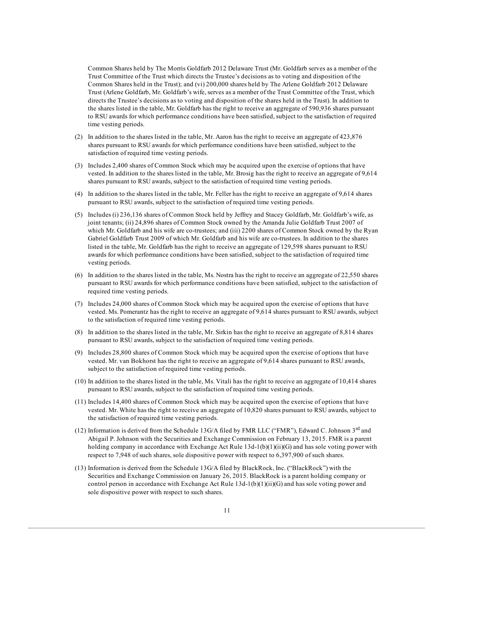Common Shares held by The Morris Goldfarb 2012 Delaware Trust (Mr. Goldfarb serves as a member of the Trust Committee of the Trust which directs the Trustee's decisions as to voting and disposition of the Common Shares held in the Trust); and (vi) 200,000 shares held by The Arlene Goldfarb 2012 Delaware Trust (Arlene Goldfarb, Mr. Goldfarb's wife, serves as a member of the Trust Committee of the Trust, which directs the Trustee's decisions as to voting and disposition of the shares held in the Trust). In addition to the shares listed in the table, Mr. Goldfarb has the right to receive an aggregate of 590,936 shares pursuant to RSU awards for which performance conditions have been satisfied, subject to the satisfaction of required time vesting periods.

- (2) In addition to the shares listed in the table, Mr. Aaron has the right to receive an aggregate of 423,876 shares pursuant to RSU awards for which performance conditions have been satisfied, subject to the satisfaction of required time vesting periods.
- (3) Includes 2,400 shares of Common Stock which may be acquired upon the exercise of options that have vested. In addition to the shares listed in the table, Mr. Brosig has the right to receive an aggregate of 9,614 shares pursuant to RSU awards, subject to the satisfaction of required time vesting periods.
- (4) In addition to the shares listed in the table, Mr. Feller has the right to receive an aggregate of 9,614 shares pursuant to RSU awards, subject to the satisfaction of required time vesting periods.
- (5) Includes (i) 236,136 shares of Common Stock held by Jeffrey and Stacey Goldfarb, Mr. Goldfarb's wife, as joint tenants; (ii) 24,896 shares of Common Stock owned by the Amanda Julie Goldfarb Trust 2007 of which Mr. Goldfarb and his wife are co-trustees; and (iii) 2200 shares of Common Stock owned by the Ryan Gabriel Goldfarb Trust 2009 of which Mr. Goldfarb and his wife are co-trustees. In addition to the shares listed in the table, Mr. Goldfarb has the right to receive an aggregate of 129,598 shares pursuant to RSU awards for which performance conditions have been satisfied, subject to the satisfaction of required time vesting periods.
- (6) In addition to the shares listed in the table, Ms. Nostra has the right to receive an aggregate of 22,550 shares pursuant to RSU awards for which performance conditions have been satisfied, subject to the satisfaction of required time vesting periods.
- (7) Includes 24,000 shares of Common Stock which may be acquired upon the exercise of options that have vested. Ms. Pomerantz has the right to receive an aggregate of 9,614 shares pursuant to RSU awards, subject to the satisfaction of required time vesting periods.
- (8) In addition to the shares listed in the table, Mr. Sirkin has the right to receive an aggregate of 8,814 shares pursuant to RSU awards, subject to the satisfaction of required time vesting periods.
- (9) Includes 28,800 shares of Common Stock which may be acquired upon the exercise of options that have vested. Mr. van Bokhorst has the right to receive an aggregate of 9,614 shares pursuant to RSU awards, subject to the satisfaction of required time vesting periods.
- (10) In addition to the shares listed in the table, Ms. Vitali has the right to receive an aggregate of 10,414 shares pursuant to RSU awards, subject to the satisfaction of required time vesting periods.
- (11) Includes 14,400 shares of Common Stock which may be acquired upon the exercise of options that have vested. Mr. White has the right to receive an aggregate of 10,820 shares pursuant to RSU awards, subject to the satisfaction of required time vesting periods.
- (12) Information is derived from the Schedule 13G/A filed by FMR LLC ("FMR"), Edward C. Johnson  $3<sup>rd</sup>$  and Abigail P. Johnson with the Securities and Exchange Commission on February 13, 2015. FMR is a parent holding company in accordance with Exchange Act Rule 13d-1(b)(1)(ii)(G) and has sole voting power with respect to 7,948 of such shares, sole dispositive power with respect to 6,397,900 of such shares.
- (13) Information is derived from the Schedule 13G/A filed by BlackRock, Inc. ("BlackRock") with the Securities and Exchange Commission on January 26, 2015. BlackRock is a parent holding company or control person in accordance with Exchange Act Rule 13d-1(b)(1)(ii)(G) and has sole voting power and sole dispositive power with respect to such shares.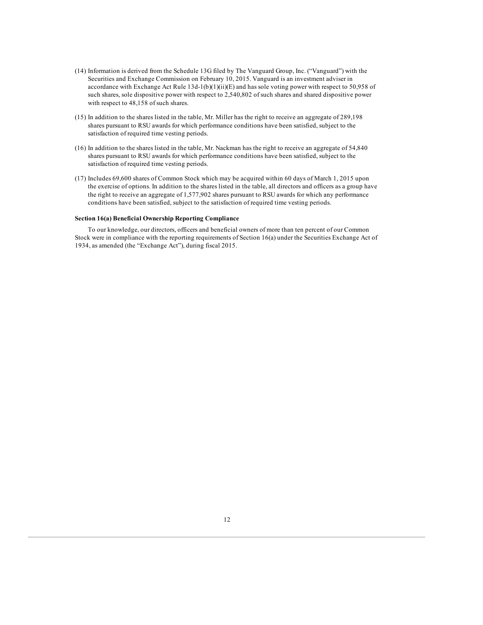- (14) Information is derived from the Schedule 13G filed by The Vanguard Group, Inc. ("Vanguard") with the Securities and Exchange Commission on February 10, 2015. Vanguard is an investment adviser in accordance with Exchange Act Rule 13d-1(b)(1)(ii)(E) and has sole voting power with respect to 50,958 of such shares, sole dispositive power with respect to 2,540,802 of such shares and shared dispositive power with respect to 48,158 of such shares.
- (15) In addition to the shares listed in the table, Mr. Miller has the right to receive an aggregate of 289,198 shares pursuant to RSU awards for which performance conditions have been satisfied, subject to the satisfaction of required time vesting periods.
- (16) In addition to the shares listed in the table, Mr. Nackman has the right to receive an aggregate of 54,840 shares pursuant to RSU awards for which performance conditions have been satisfied, subject to the satisfaction of required time vesting periods.
- (17) Includes 69,600 shares of Common Stock which may be acquired within 60 days of March 1, 2015 upon the exercise of options. In addition to the shares listed in the table, all directors and officers as a group have the right to receive an aggregate of 1,577,902 shares pursuant to RSU awards for which any performance conditions have been satisfied, subject to the satisfaction of required time vesting periods.

# **Section 16(a) Beneficial Ownership Reporting Compliance**

To our knowledge, our directors, officers and beneficial owners of more than ten percent of our Common Stock were in compliance with the reporting requirements of Section 16(a) under the Securities Exchange Act of 1934, as amended (the "Exchange Act"), during fiscal 2015.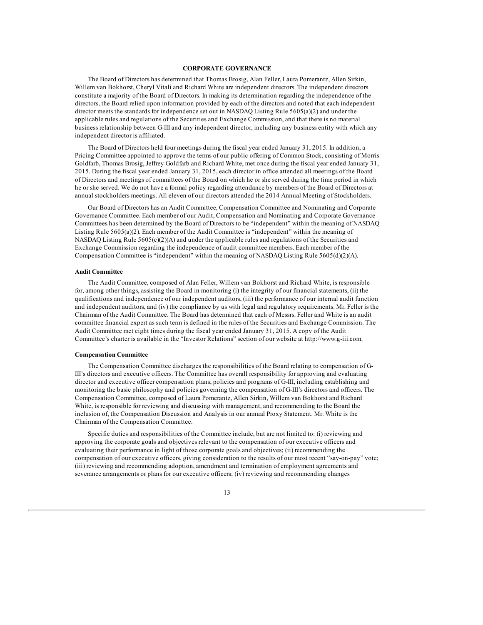# **CORPORATE GOVERNANCE**

The Board of Directors has determined that Thomas Brosig, Alan Feller, Laura Pomerantz, Allen Sirkin, Willem van Bokhorst, Cheryl Vitali and Richard White are independent directors. The independent directors constitute a majority of the Board of Directors. In making its determination regarding the independence of the directors, the Board relied upon information provided by each of the directors and noted that each independent director meets the standards for independence set out in NASDAQ Listing Rule 5605(a)(2) and under the applicable rules and regulations of the Securities and Exchange Commission, and that there is no material business relationship between G-III and any independent director, including any business entity with which any independent director is affiliated.

The Board of Directors held four meetings during the fiscal year ended January 31, 2015. In addition, a Pricing Committee appointed to approve the terms of our public offering of Common Stock, consisting of Morris Goldfarb, Thomas Brosig, Jeffrey Goldfarb and Richard White, met once during the fiscal year ended January 31, 2015. During the fiscal year ended January 31, 2015, each director in office attended all meetings of the Board of Directors and meetings of committees of the Board on which he or she served during the time period in which he or she served. We do not have a formal policy regarding attendance by members of the Board of Directors at annual stockholders meetings. All eleven of our directors attended the 2014 Annual Meeting of Stockholders.

Our Board of Directors has an Audit Committee, Compensation Committee and Nominating and Corporate Governance Committee. Each member of our Audit, Compensation and Nominating and Corporate Governance Committees has been determined by the Board of Directors to be "independent" within the meaning of NASDAQ Listing Rule 5605(a)(2). Each member of the Audit Committee is "independent" within the meaning of NASDAQ Listing Rule  $5605(c)(2)(A)$  and under the applicable rules and regulations of the Securities and Exchange Commission regarding the independence of audit committee members. Each member of the Compensation Committee is "independent" within the meaning of NASDAQ Listing Rule 5605(d)(2)(A).

# **Audit Committee**

The Audit Committee, composed of Alan Feller, Willem van Bokhorst and Richard White, is responsible for, among other things, assisting the Board in monitoring (i) the integrity of our financial statements, (ii) the qualifications and independence of our independent auditors, (iii) the performance of our internal audit function and independent auditors, and (iv) the compliance by us with legal and regulatory requirements. Mr. Feller is the Chairman of the Audit Committee. The Board has determined that each of Messrs. Feller and White is an audit committee financial expert as such term is defined in the rules of the Securities and Exchange Commission. The Audit Committee met eight times during the fiscal year ended January 31, 2015. A copy of the Audit Committee's charter is available in the "Investor Relations" section of our website at http://www.g-iii.com.

# **Compensation Committee**

The Compensation Committee discharges the responsibilities of the Board relating to compensation of G-III's directors and executive officers. The Committee has overall responsibility for approving and evaluating director and executive officer compensation plans, policies and programs of G-III, including establishing and monitoring the basic philosophy and policies governing the compensation of G-III's directors and officers. The Compensation Committee, composed of Laura Pomerantz, Allen Sirkin, Willem van Bokhorst and Richard White, is responsible for reviewing and discussing with management, and recommending to the Board the inclusion of, the Compensation Discussion and Analysis in our annual Proxy Statement. Mr. White is the Chairman of the Compensation Committee.

Specific duties and responsibilities of the Committee include, but are not limited to: (i) reviewing and approving the corporate goals and objectives relevant to the compensation of our executive officers and evaluating their performance in light of those corporate goals and objectives; (ii) recommending the compensation of our executive officers, giving consideration to the results of our most recent "say-on-pay" vote; (iii) reviewing and recommending adoption, amendment and termination of employment agreements and severance arrangements or plans for our executive officers; (iv) reviewing and recommending changes

13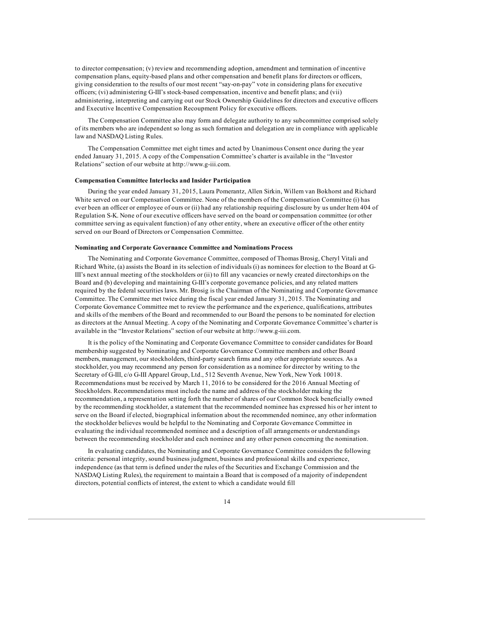to director compensation; (v) review and recommending adoption, amendment and termination of incentive compensation plans, equity-based plans and other compensation and benefit plans for directors or officers, giving consideration to the results of our most recent "say-on-pay" vote in considering plans for executive officers; (vi) administering G-III's stock-based compensation, incentive and benefit plans; and (vii) administering, interpreting and carrying out our Stock Ownership Guidelines for directors and executive officers and Executive Incentive Compensation Recoupment Policy for executive officers.

The Compensation Committee also may form and delegate authority to any subcommittee comprised solely of its members who are independent so long as such formation and delegation are in compliance with applicable law and NASDAQ Listing Rules.

The Compensation Committee met eight times and acted by Unanimous Consent once during the year ended January 31, 2015. A copy of the Compensation Committee's charter is available in the "Investor Relations" section of our website at http://www.g-iii.com.

# **Compensation Committee Interlocks and Insider Participation**

During the year ended January 31, 2015, Laura Pomerantz, Allen Sirkin, Willem van Bokhorst and Richard White served on our Compensation Committee. None of the members of the Compensation Committee (i) has ever been an officer or employee of ours or (ii) had any relationship requiring disclosure by us under Item 404 of Regulation S-K. None of our executive officers have served on the board or compensation committee (or other committee serving as equivalent function) of any other entity, where an executive officer of the other entity served on our Board of Directors or Compensation Committee.

# **Nominating and Corporate Governance Committee and Nominations Process**

The Nominating and Corporate Governance Committee, composed of Thomas Brosig, Cheryl Vitali and Richard White, (a) assists the Board in its selection of individuals (i) as nominees for election to the Board at G-III's next annual meeting of the stockholders or (ii) to fill any vacancies or newly created directorships on the Board and (b) developing and maintaining G-III's corporate governance policies, and any related matters required by the federal securities laws. Mr. Brosig is the Chairman of the Nominating and Corporate Governance Committee. The Committee met twice during the fiscal year ended January 31, 2015. The Nominating and Corporate Governance Committee met to review the performance and the experience, qualifications, attributes and skills of the members of the Board and recommended to our Board the persons to be nominated for election as directors at the Annual Meeting. A copy of the Nominating and Corporate Governance Committee's charter is available in the "Investor Relations" section of our website at http://www.g-iii.com.

It is the policy of the Nominating and Corporate Governance Committee to consider candidates for Board membership suggested by Nominating and Corporate Governance Committee members and other Board members, management, our stockholders, third-party search firms and any other appropriate sources. As a stockholder, you may recommend any person for consideration as a nominee for director by writing to the Secretary of G-III, c/o G-III Apparel Group, Ltd., 512 Seventh Avenue, New York, New York 10018. Recommendations must be received by March 11, 2016 to be considered for the 2016 Annual Meeting of Stockholders. Recommendations must include the name and address of the stockholder making the recommendation, a representation setting forth the number of shares of our Common Stock beneficially owned by the recommending stockholder, a statement that the recommended nominee has expressed his or her intent to serve on the Board if elected, biographical information about the recommended nominee, any other information the stockholder believes would be helpful to the Nominating and Corporate Governance Committee in evaluating the individual recommended nominee and a description of all arrangements or understandings between the recommending stockholder and each nominee and any other person concerning the nomination.

In evaluating candidates, the Nominating and Corporate Governance Committee considers the following criteria: personal integrity, sound business judgment, business and professional skills and experience, independence (as that term is defined under the rules of the Securities and Exchange Commission and the NASDAQ Listing Rules), the requirement to maintain a Board that is composed of a majority of independent directors, potential conflicts of interest, the extent to which a candidate would fill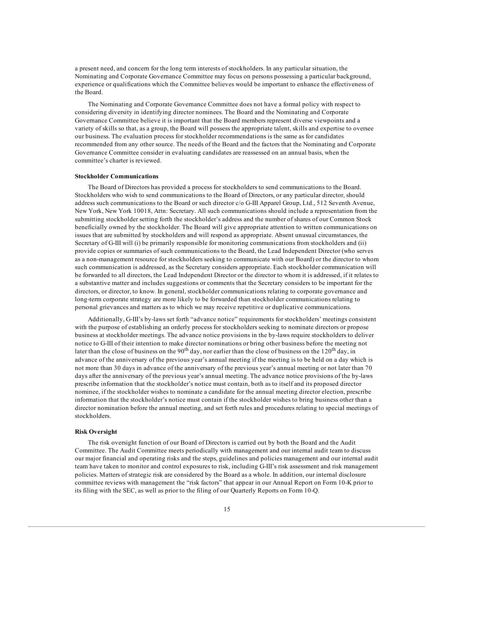a present need, and concern for the long term interests of stockholders. In any particular situation, the Nominating and Corporate Governance Committee may focus on persons possessing a particular background, experience or qualifications which the Committee believes would be important to enhance the effectiveness of the Board.

The Nominating and Corporate Governance Committee does not have a formal policy with respect to considering diversity in identifying director nominees. The Board and the Nominating and Corporate Governance Committee believe it is important that the Board members represent diverse viewpoints and a variety of skills so that, as a group, the Board will possess the appropriate talent, skills and expertise to oversee our business. The evaluation process for stockholder recommendations is the same as for candidates recommended from any other source. The needs of the Board and the factors that the Nominating and Corporate Governance Committee consider in evaluating candidates are reassessed on an annual basis, when the committee's charter is reviewed.

# **Stockholder Communications**

The Board of Directors has provided a process for stockholders to send communications to the Board. Stockholders who wish to send communications to the Board of Directors, or any particular director, should address such communications to the Board or such director c/o G-III Apparel Group, Ltd., 512 Seventh Avenue, New York, New York 10018, Attn: Secretary. All such communications should include a representation from the submitting stockholder setting forth the stockholder's address and the number of shares of our Common Stock beneficially owned by the stockholder. The Board will give appropriate attention to written communications on issues that are submitted by stockholders and will respond as appropriate. Absent unusual circumstances, the Secretary of G-III will (i) be primarily responsible for monitoring communications from stockholders and (ii) provide copies or summaries of such communications to the Board, the Lead Independent Director (who serves as a non-management resource for stockholders seeking to communicate with our Board) or the director to whom such communication is addressed, as the Secretary considers appropriate. Each stockholder communication will be forwarded to all directors, the Lead Independent Director or the director to whom it is addressed, if it relates to a substantive matter and includes suggestions or comments that the Secretary considers to be important for the directors, or director, to know. In general, stockholder communications relating to corporate governance and long-term corporate strategy are more likely to be forwarded than stockholder communications relating to personal grievances and matters as to which we may receive repetitive or duplicative communications.

Additionally, G-III's by-laws set forth "advance notice" requirements for stockholders' meetings consistent with the purpose of establishing an orderly process for stockholders seeking to nominate directors or propose business at stockholder meetings. The advance notice provisions in the by-laws require stockholders to deliver notice to G-III of their intention to make director nominations or bring other business before the meeting not later than the close of business on the 90<sup>th</sup> day, nor earlier than the close of business on the 120<sup>th</sup> day, in advance of the anniversary of the previous year's annual meeting if the meeting is to be held on a day which is not more than 30 days in advance of the anniversary of the previous year's annual meeting or not later than 70 days after the anniversary of the previous year's annual meeting. The advance notice provisions of the by-laws prescribe information that the stockholder's notice must contain, both as to itself and its proposed director nominee, if the stockholder wishes to nominate a candidate for the annual meeting director election, prescribe information that the stockholder's notice must contain if the stockholder wishes to bring business other than a director nomination before the annual meeting, and set forth rules and procedures relating to special meetings of stockholders.

#### **Risk Oversight**

The risk oversight function of our Board of Directors is carried out by both the Board and the Audit Committee. The Audit Committee meets periodically with management and our internal audit team to discuss our major financial and operating risks and the steps, guidelines and policies management and our internal audit team have taken to monitor and control exposures to risk, including G-III's risk assessment and risk management policies. Matters of strategic risk are considered by the Board as a whole. In addition, our internal disclosure committee reviews with management the "risk factors" that appear in our Annual Report on Form 10-K prior to its filing with the SEC, as well as prior to the filing of our Quarterly Reports on Form 10-Q.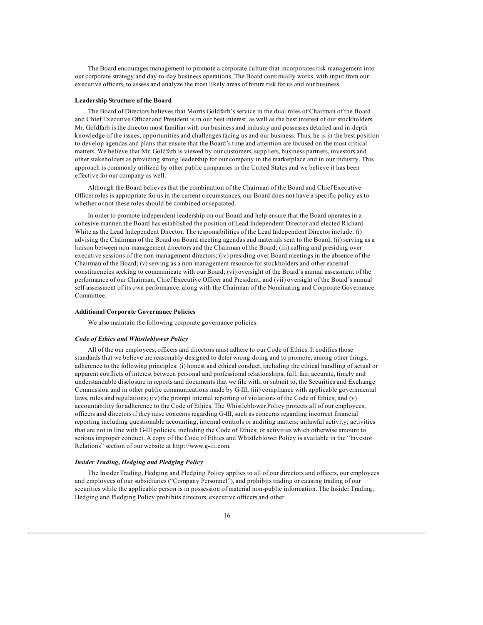The Board encourages management to promote a corporate culture that incorporates risk management into our corporate strategy and day-to-day business operations. The Board continually works, with input from our executive officers, to assess and analyze the most likely areas of future risk for us and our business.

# **Leadership Structure of the Board**

The Board of Directors believes that Morris Goldfarb's service in the dual roles of Chairman of the Board and Chief Executive Officer and President is in our best interest, as well as the best interest of our stockholders. Mr. Goldfarb is the director most familiar with our business and industry and possesses detailed and in-depth knowledge of the issues, opportunities and challenges facing us and our business. Thus, he is in the best position to develop agendas and plans that ensure that the Board's time and attention are focused on the most critical matters. We believe that Mr. Goldfarb is viewed by our customers, suppliers, business partners, investors and other stakeholders as providing strong leadership for our company in the marketplace and in our industry. This approach is commonly utilized by other public companies in the United States and we believe it has been effective for our company as well.

Although the Board believes that the combination of the Chairman of the Board and Chief Executive Officer roles is appropriate for us in the current circumstances, our Board does not have a specific policy as to whether or not these roles should be combined or separated.

In order to promote independent leadership on our Board and help ensure that the Board operates in a cohesive manner, the Board has established the position of Lead Independent Director and elected Richard White as the Lead Independent Director. The responsibilities of the Lead Independent Director include: (i) advising the Chairman of the Board on Board meeting agendas and materials sent to the Board; (ii) serving as a liaison between non-management directors and the Chairman of the Board; (iii) calling and presiding over executive sessions of the non-management directors; (iv) presiding over Board meetings in the absence of the Chairman of the Board; (v) serving as a non-management resource for stockholders and other external constituencies seeking to communicate with our Board; (vi) oversight of the Board's annual assessment of the performance of our Chairman, Chief Executive Officer and President; and (vii) oversight of the Board's annual self-assessment of its own performance, along with the Chairman of the Nominating and Corporate Governance Committee.

# **Additional Corporate Governance Policies**

We also maintain the following corporate governance policies:

#### *Code of Ethics and Whistleblower Policy*

All of the our employees, officers and directors must adhere to our Code of Ethics. It codifies those standards that we believe are reasonably designed to deter wrong-doing and to promote, among other things, adherence to the following principles: (i) honest and ethical conduct, including the ethical handling of actual or apparent conflicts of interest between personal and professional relationships; full, fair, accurate, timely and understandable disclosure in reports and documents that we file with, or submit to, the Securities and Exchange Commission and in other public communications made by G-III; (iii) compliance with applicable governmental laws, rules and regulations; (iv) the prompt internal reporting of violations of the Code of Ethics; and (v) accountability for adherence to the Code of Ethics. The Whistleblower Policy protects all of our employees, officers and directors if they raise concerns regarding G-III, such as concerns regarding incorrect financial reporting including questionable accounting, internal controls or auditing matters; unlawful activity; activities that are not in line with G-III policies, including the Code of Ethics; or activities which otherwise amount to serious improper conduct. A copy of the Code of Ethics and Whistleblower Policy is available in the "Investor Relations" section of our website at http://www.g-iii.com.

#### *Insider Trading, Hedging and Pledging Policy*

The Insider Trading, Hedging and Pledging Policy applies to all of our directors and officers, our employees and employees of our subsidiaries ("Company Personnel"), and prohibits trading or causing trading of our securities while the applicable person is in possession of material non-public information. The Insider Trading, Hedging and Pledging Policy prohibits directors, executive officers and other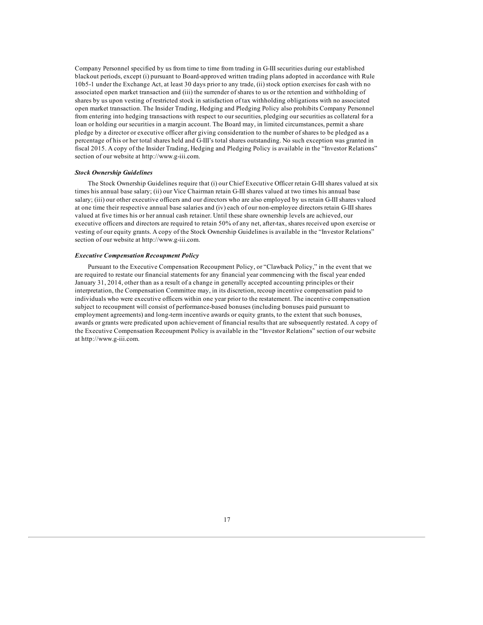Company Personnel specified by us from time to time from trading in G-III securities during our established blackout periods, except (i) pursuant to Board-approved written trading plans adopted in accordance with Rule 10b5-1 under the Exchange Act, at least 30 days prior to any trade, (ii) stock option exercises for cash with no associated open market transaction and (iii) the surrender of shares to us or the retention and withholding of shares by us upon vesting of restricted stock in satisfaction of tax withholding obligations with no associated open market transaction. The Insider Trading, Hedging and Pledging Policy also prohibits Company Personnel from entering into hedging transactions with respect to our securities, pledging our securities as collateral for a loan or holding our securities in a margin account. The Board may, in limited circumstances, permit a share pledge by a director or executive officer after giving consideration to the number of shares to be pledged as a percentage of his or her total shares held and G-III's total shares outstanding. No such exception was granted in fiscal 2015. A copy of the Insider Trading, Hedging and Pledging Policy is available in the "Investor Relations" section of our website at http://www.g-iii.com.

# *Stock Ownership Guidelines*

The Stock Ownership Guidelines require that (i) our Chief Executive Officer retain G-III shares valued at six times his annual base salary; (ii) our Vice Chairman retain G-III shares valued at two times his annual base salary; (iii) our other executive officers and our directors who are also employed by us retain G-III shares valued at one time their respective annual base salaries and (iv) each of our non-employee directors retain G-III shares valued at five times his or her annual cash retainer. Until these share ownership levels are achieved, our executive officers and directors are required to retain 50% of any net, after-tax, shares received upon exercise or vesting of our equity grants. A copy of the Stock Ownership Guidelines is available in the "Investor Relations" section of our website at http://www.g-iii.com.

# *Executive Compensation Recoupment Policy*

Pursuant to the Executive Compensation Recoupment Policy, or "Clawback Policy," in the event that we are required to restate our financial statements for any financial year commencing with the fiscal year ended January 31, 2014, other than as a result of a change in generally accepted accounting principles or their interpretation, the Compensation Committee may, in its discretion, recoup incentive compensation paid to individuals who were executive officers within one year prior to the restatement. The incentive compensation subject to recoupment will consist of performance-based bonuses (including bonuses paid pursuant to employment agreements) and long-term incentive awards or equity grants, to the extent that such bonuses, awards or grants were predicated upon achievement of financial results that are subsequently restated. A copy of the Executive Compensation Recoupment Policy is available in the "Investor Relations" section of our website at http://www.g-iii.com.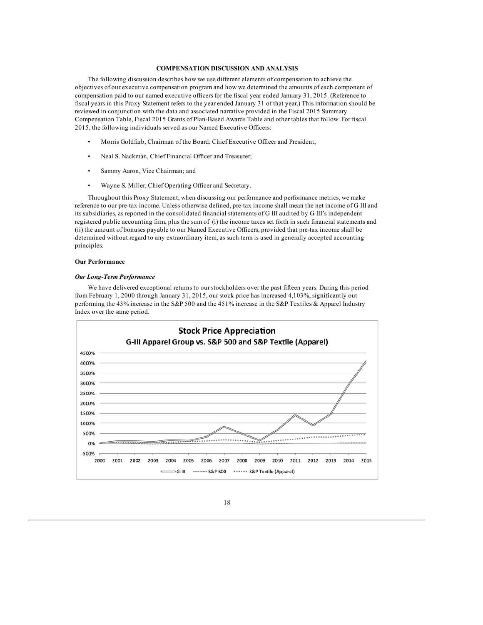# **COMPENSATION DISCUSSION AND ANALYSIS**

The following discussion describes how we use different elements of compensation to achieve the objectives of our executive compensation program and how we determined the amounts of each component of compensation paid to our named executive officers for the fiscal year ended January 31, 2015. (Reference to fiscal years in this Proxy Statement refers to the year ended January 31 of that year.) This information should be reviewed in conjunction with the data and associated narrative provided in the Fiscal 2015 Summary Compensation Table, Fiscal 2015 Grants of Plan-Based Awards Table and other tables that follow. For fiscal 2015, the following individuals served as our Named Executive Officers:

- Morris Goldfarb, Chairman of the Board, Chief Executive Officer and President;
- Neal S. Nackman, Chief Financial Officer and Treasurer;
- Sammy Aaron, Vice Chairman; and
- Wayne S. Miller, Chief Operating Officer and Secretary.

Throughout this Proxy Statement, when discussing our performance and performance metrics, we make reference to our pre-tax income. Unless otherwise defined, pre-tax income shall mean the net income of G-III and its subsidiaries, as reported in the consolidated financial statements of G-III audited by G-III's independent registered public accounting firm, plus the sum of (i) the income taxes set forth in such financial statements and (ii) the amount of bonuses payable to our Named Executive Officers, provided that pre-tax income shall be determined without regard to any extraordinary item, as such term is used in generally accepted accounting principles.

#### **Our Performance**

# *Our Long-Term Performance*

We have delivered exceptional returns to our stockholders over the past fifteen years. During this period from February 1, 2000 through January 31, 2015, our stock price has increased 4,103%, significantly outperforming the 43% increase in the S&P 500 and the 451% increase in the S&P Textiles & Apparel Industry Index over the same period.



18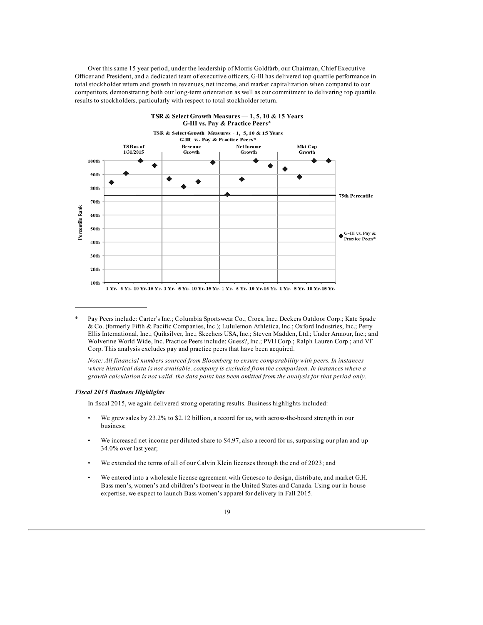Over this same 15 year period, under the leadership of Morris Goldfarb, our Chairman, Chief Executive Officer and President, and a dedicated team of executive officers, G-III has delivered top quartile performance in total stockholder return and growth in revenues, net income, and market capitalization when compared to our competitors, demonstrating both our long-term orientation as well as our commitment to delivering top quartile results to stockholders, particularly with respect to total stockholder return.



<sup>\*</sup> Pay Peers include: Carter's Inc.; Columbia Sportswear Co.; Crocs, Inc.; Deckers Outdoor Corp.; Kate Spade & Co. (formerly Fifth & Pacific Companies, Inc.); Lululemon Athletica, Inc.; Oxford Industries, Inc.; Perry Ellis International, Inc.; Quiksilver, Inc.; Skechers USA, Inc.; Steven Madden, Ltd.; Under Armour, Inc.; and Wolverine World Wide, Inc. Practice Peers include: Guess?, Inc.; PVH Corp.; Ralph Lauren Corp.; and VF Corp. This analysis excludes pay and practice peers that have been acquired.

*Note: All financial numbers sourced from Bloomberg to ensure comparability with peers. In instances where historical data is not available, company is excluded from the comparison. In instances where a* growth calculation is not valid, the data point has been omitted from the analysis for that period only.

# *Fiscal 2015 Business Highlights*

In fiscal 2015, we again delivered strong operating results. Business highlights included:

- We grew sales by 23.2% to \$2.12 billion, a record for us, with across-the-board strength in our business;
- We increased net income per diluted share to \$4.97, also a record for us, surpassing our plan and up 34.0% over last year;
- We extended the terms of all of our Calvin Klein licenses through the end of 2023; and
- We entered into a wholesale license agreement with Genesco to design, distribute, and market G.H. Bass men's, women's and children's footwear in the United States and Canada. Using our in-house expertise, we expect to launch Bass women's apparel for delivery in Fall 2015.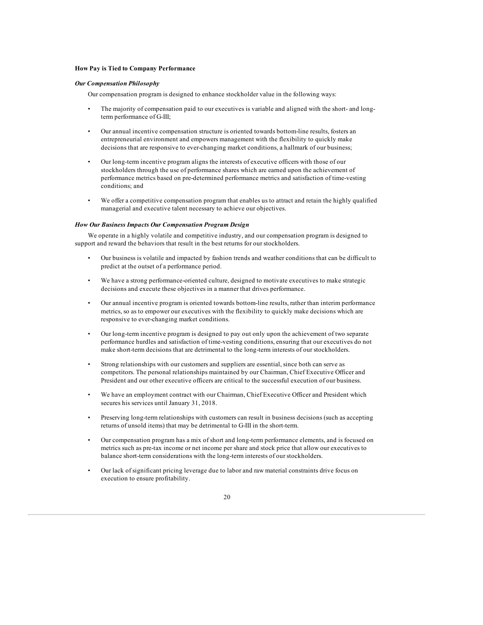# **How Pay is Tied to Company Performance**

# *Our Compensation Philosophy*

Our compensation program is designed to enhance stockholder value in the following ways:

- The majority of compensation paid to our executives is variable and aligned with the short- and longterm performance of G-III;
- Our annual incentive compensation structure is oriented towards bottom-line results, fosters an entrepreneurial environment and empowers management with the flexibility to quickly make decisions that are responsive to ever-changing market conditions, a hallmark of our business;
- Our long-term incentive program aligns the interests of executive officers with those of our stockholders through the use of performance shares which are earned upon the achievement of performance metrics based on pre-determined performance metrics and satisfaction of time-vesting conditions; and
- We offer a competitive compensation program that enables us to attract and retain the highly qualified managerial and executive talent necessary to achieve our objectives.

# *How Our Business Impacts Our Compensation Program Design*

We operate in a highly volatile and competitive industry, and our compensation program is designed to support and reward the behaviors that result in the best returns for our stockholders.

- Our business is volatile and impacted by fashion trends and weather conditions that can be difficult to predict at the outset of a performance period.
- We have a strong performance-oriented culture, designed to motivate executives to make strategic decisions and execute these objectives in a manner that drives performance.
- Our annual incentive program is oriented towards bottom-line results, rather than interim performance metrics, so as to empower our executives with the flexibility to quickly make decisions which are responsive to ever-changing market conditions.
- Our long-term incentive program is designed to pay out only upon the achievement of two separate performance hurdles and satisfaction of time-vesting conditions, ensuring that our executives do not make short-term decisions that are detrimental to the long-term interests of our stockholders.
- Strong relationships with our customers and suppliers are essential, since both can serve as competitors. The personal relationships maintained by our Chairman, Chief Executive Officer and President and our other executive officers are critical to the successful execution of our business.
- We have an employment contract with our Chairman, Chief Executive Officer and President which secures his services until January 31, 2018.
- Preserving long-term relationships with customers can result in business decisions (such as accepting returns of unsold items) that may be detrimental to G-III in the short-term.
- Our compensation program has a mix of short and long-term performance elements, and is focused on metrics such as pre-tax income or net income per share and stock price that allow our executives to balance short-term considerations with the long-term interests of our stockholders.
- Our lack of significant pricing leverage due to labor and raw material constraints drive focus on execution to ensure profitability.

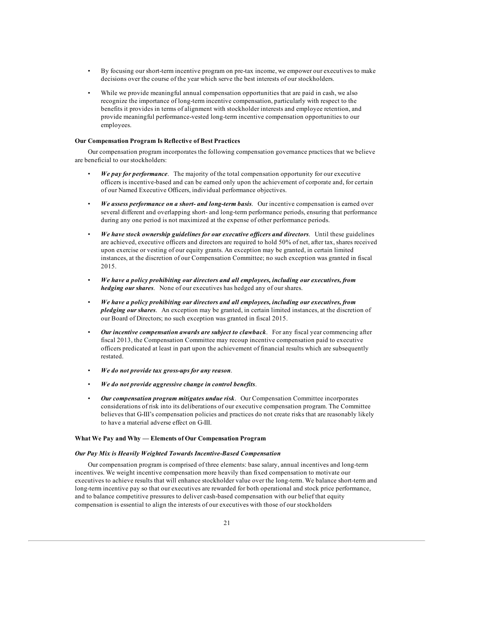- By focusing our short-term incentive program on pre-tax income, we empower our executives to make decisions over the course of the year which serve the best interests of our stockholders.
- While we provide meaningful annual compensation opportunities that are paid in cash, we also recognize the importance of long-term incentive compensation, particularly with respect to the benefits it provides in terms of alignment with stockholder interests and employee retention, and provide meaningful performance-vested long-term incentive compensation opportunities to our employees.

### **Our Compensation Program Is Reflective of Best Practices**

Our compensation program incorporates the following compensation governance practices that we believe are beneficial to our stockholders:

- *We pay for performance*. The majority of the total compensation opportunity for our executive officers is incentive-based and can be earned only upon the achievement of corporate and, for certain of our Named Executive Officers, individual performance objectives.
- *We assess performance on a short- and long-term basis*. Our incentive compensation is earned over several different and overlapping short- and long-term performance periods, ensuring that performance during any one period is not maximized at the expense of other performance periods.
- *We have stock ownership guidelines for our executive of icers and directors*. Until these guidelines are achieved, executive officers and directors are required to hold 50% of net, after tax, shares received upon exercise or vesting of our equity grants. An exception may be granted, in certain limited instances, at the discretion of our Compensation Committee; no such exception was granted in fiscal 2015.
- *We have a policy prohibiting our directors and all employees, including our executives, from hedging our shares*. None of our executives has hedged any of our shares.
- *We have a policy prohibiting our directors and all employees, including our executives, from pledging our shares*. An exception may be granted, in certain limited instances, at the discretion of our Board of Directors; no such exception was granted in fiscal 2015.
- *Our incentive compensation awards are subject to clawback*. For any fiscal year commencing after fiscal 2013, the Compensation Committee may recoup incentive compensation paid to executive officers predicated at least in part upon the achievement of financial results which are subsequently restated.
- *We do not provide tax gross-ups for any reason*.
- *We do not provide aggressive change in control benefits*.
- *Our compensation program mitigates undue risk*. Our Compensation Committee incorporates considerations of risk into its deliberations of our executive compensation program. The Committee believes that G-III's compensation policies and practices do not create risks that are reasonably likely to have a material adverse effect on G-III.

# **What We Pay and Why — Elements of Our Compensation Program**

#### *Our Pay Mix is Heavily Weighted Towards Incentive-Based Compensation*

Our compensation program is comprised of three elements: base salary, annual incentives and long-term incentives. We weight incentive compensation more heavily than fixed compensation to motivate our executives to achieve results that will enhance stockholder value over the long-term. We balance short-term and long-term incentive pay so that our executives are rewarded for both operational and stock price performance, and to balance competitive pressures to deliver cash-based compensation with our belief that equity compensation is essential to align the interests of our executives with those of our stockholders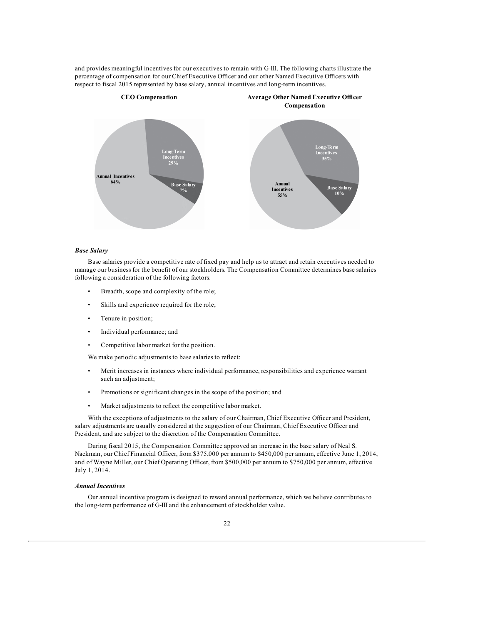and provides meaningful incentives for our executives to remain with G-III. The following charts illustrate the percentage of compensation for our Chief Executive Officer and our other Named Executive Officers with respect to fiscal 2015 represented by base salary, annual incentives and long-term incentives.



# *Base Salary*

Base salaries provide a competitive rate of fixed pay and help us to attract and retain executives needed to manage our business for the benefit of our stockholders. The Compensation Committee determines base salaries following a consideration of the following factors:

- Breadth, scope and complexity of the role;
- Skills and experience required for the role;
- Tenure in position;
- Individual performance; and
- Competitive labor market for the position.

We make periodic adjustments to base salaries to reflect:

- Merit increases in instances where individual performance, responsibilities and experience warrant such an adjustment;
- Promotions or significant changes in the scope of the position; and
- Market adjustments to reflect the competitive labor market.

With the exceptions of adjustments to the salary of our Chairman, Chief Executive Officer and President, salary adjustments are usually considered at the suggestion of our Chairman, Chief Executive Officer and President, and are subject to the discretion of the Compensation Committee.

During fiscal 2015, the Compensation Committee approved an increase in the base salary of Neal S. Nackman, our Chief Financial Officer, from \$375,000 per annum to \$450,000 per annum, effective June 1, 2014, and of Wayne Miller, our Chief Operating Officer, from \$500,000 per annum to \$750,000 per annum, effective July 1, 2014.

# *Annual Incentives*

Our annual incentive program is designed to reward annual performance, which we believe contributes to the long-term performance of G-III and the enhancement of stockholder value.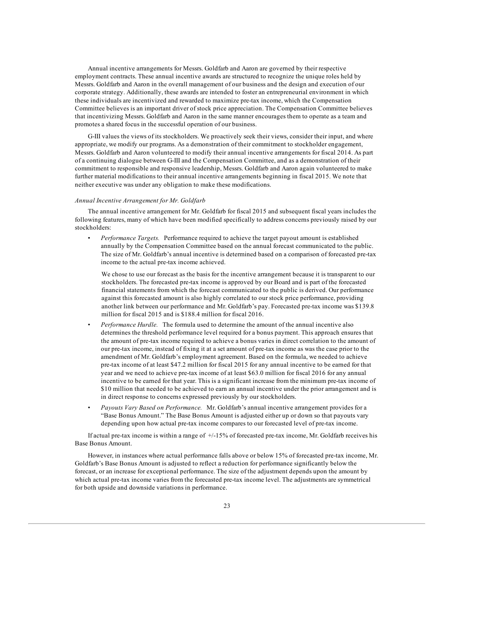Annual incentive arrangements for Messrs. Goldfarb and Aaron are governed by their respective employment contracts. These annual incentive awards are structured to recognize the unique roles held by Messrs. Goldfarb and Aaron in the overall management of our business and the design and execution of our corporate strategy. Additionally, these awards are intended to foster an entrepreneurial environment in which these individuals are incentivized and rewarded to maximize pre-tax income, which the Compensation Committee believes is an important driver of stock price appreciation. The Compensation Committee believes that incentivizing Messrs. Goldfarb and Aaron in the same manner encourages them to operate as a team and promotes a shared focus in the successful operation of our business.

G-III values the views of its stockholders. We proactively seek their views, consider their input, and where appropriate, we modify our programs. As a demonstration of their commitment to stockholder engagement, Messrs. Goldfarb and Aaron volunteered to modify their annual incentive arrangements for fiscal 2014. As part of a continuing dialogue between G-III and the Compensation Committee, and as a demonstration of their commitment to responsible and responsive leadership, Messrs. Goldfarb and Aaron again volunteered to make further material modifications to their annual incentive arrangements beginning in fiscal 2015. We note that neither executive was under any obligation to make these modifications.

#### *Annual Incentive Arrangement for Mr. Goldfarb*

The annual incentive arrangement for Mr. Goldfarb for fiscal 2015 and subsequent fiscal years includes the following features, many of which have been modified specifically to address concerns previously raised by our stockholders:

• *Performance Targets.* Performance required to achieve the target payout amount is established annually by the Compensation Committee based on the annual forecast communicated to the public. The size of Mr. Goldfarb's annual incentive is determined based on a comparison of forecasted pre-tax income to the actual pre-tax income achieved.

We chose to use our forecast as the basis for the incentive arrangement because it is transparent to our stockholders. The forecasted pre-tax income is approved by our Board and is part of the forecasted financial statements from which the forecast communicated to the public is derived. Our performance against this forecasted amount is also highly correlated to our stock price performance, providing another link between our performance and Mr. Goldfarb's pay. Forecasted pre-tax income was \$139.8 million for fiscal 2015 and is \$188.4 million for fiscal 2016.

- *Performance Hurdle.* The formula used to determine the amount of the annual incentive also determines the threshold performance level required for a bonus payment. This approach ensures that the amount of pre-tax income required to achieve a bonus varies in direct correlation to the amount of our pre-tax income, instead of fixing it at a set amount of pre-tax income as was the case prior to the amendment of Mr. Goldfarb's employment agreement. Based on the formula, we needed to achieve pre-tax income of at least \$47.2 million for fiscal 2015 for any annual incentive to be earned for that year and we need to achieve pre-tax income of at least \$63.0 million for fiscal 2016 for any annual incentive to be earned for that year. This is a significant increase from the minimum pre-tax income of \$10 million that needed to be achieved to earn an annual incentive under the prior arrangement and is in direct response to concerns expressed previously by our stockholders.
- *Payouts Vary Based on Performance.* Mr. Goldfarb's annual incentive arrangement provides for a "Base Bonus Amount." The Base Bonus Amount is adjusted either up or down so that payouts vary depending upon how actual pre-tax income compares to our forecasted level of pre-tax income.

If actual pre-tax income is within a range of  $+/15%$  of forecasted pre-tax income, Mr. Goldfarb receives his Base Bonus Amount.

However, in instances where actual performance falls above or below 15% of forecasted pre-tax income, Mr. Goldfarb's Base Bonus Amount is adjusted to reflect a reduction for performance significantly below the forecast, or an increase for exceptional performance. The size of the adjustment depends upon the amount by which actual pre-tax income varies from the forecasted pre-tax income level. The adjustments are symmetrical for both upside and downside variations in performance.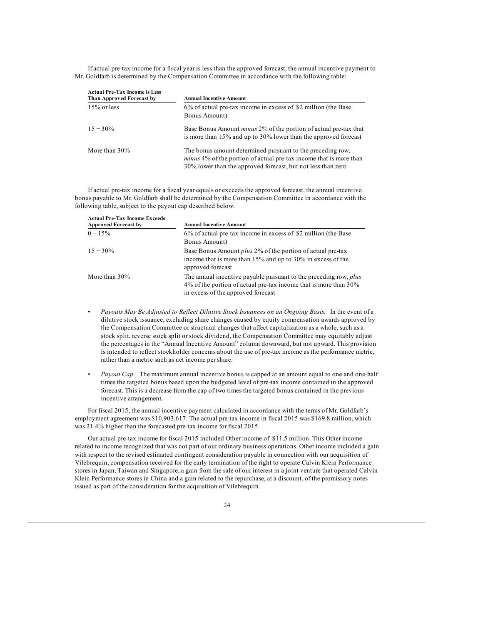If actual pre-tax income for a fiscal year is less than the approved forecast, the annual incentive payment to Mr. Goldfarb is determined by the Compensation Committee in accordance with the following table:

| <b>Actual Pre-Tax Income is Less</b><br>Than Approved Forecast by | <b>Annual Incentive Amount</b>                                                                                                                                                                          |
|-------------------------------------------------------------------|---------------------------------------------------------------------------------------------------------------------------------------------------------------------------------------------------------|
| $15\%$ or less                                                    | 6% of actual pre-tax income in excess of \$2 million (the Base<br>Bonus Amount)                                                                                                                         |
| $15 - 30\%$                                                       | Base Bonus Amount <i>minus</i> 2% of the portion of actual pre-tax that<br>is more than 15% and up to 30% lower than the approved forecast                                                              |
| More than $30\%$                                                  | The bonus amount determined pursuant to the preceding row,<br><i>minus</i> 4% of the portion of actual pre-tax income that is more than<br>30% lower than the approved forecast, but not less than zero |

If actual pre-tax income for a fiscal year equals or exceeds the approved forecast, the annual incentive bonus payable to Mr. Goldfarb shall be determined by the Compensation Committee in accordance with the following table, subject to the payout cap described below:

| <b>Actual Pre-Tax Income Exceeds</b><br><b>Approved Forecast by</b> | <b>Annual Incentive Amount</b>                                                                                                                                                   |
|---------------------------------------------------------------------|----------------------------------------------------------------------------------------------------------------------------------------------------------------------------------|
| $0 - 15\%$                                                          | 6% of actual pre-tax income in excess of \$2 million (the Base<br>Bonus Amount)                                                                                                  |
| $15 - 30\%$                                                         | Base Bonus Amount <i>plus</i> 2% of the portion of actual pre-tax<br>income that is more than $15\%$ and up to $30\%$ in excess of the<br>approved forecast                      |
| More than $30\%$                                                    | The annual incentive payable pursuant to the preceding row, plus<br>$4\%$ of the portion of actual pre-tax income that is more than $30\%$<br>in excess of the approved forecast |

- *Payouts May Be Adjusted to Reflect Dilutive Stock Issuances on an Ongoing Basis.* In the event of a dilutive stock issuance, excluding share changes caused by equity compensation awards approved by the Compensation Committee or structural changes that affect capitalization as a whole, such as a stock split, reverse stock split or stock dividend, the Compensation Committee may equitably adjust the percentages in the "Annual Incentive Amount" column downward, but not upward. This provision is intended to reflect stockholder concerns about the use of pre-tax income as the performance metric, rather than a metric such as net income per share.
- *Payout Cap.* The maximum annual incentive bonus is capped at an amount equal to one and one-half times the targeted bonus based upon the budgeted level of pre-tax income contained in the approved forecast. This is a decrease from the cap of two times the targeted bonus contained in the previous incentive arrangement.

For fiscal 2015, the annual incentive payment calculated in accordance with the terms of Mr. Goldfarb's employment agreement was \$10,903,617. The actual pre-tax income in fiscal 2015 was \$169.8 million, which was 21.4% higher than the forecasted pre-tax income for fiscal 2015.

Our actual pre-tax income for fiscal 2015 included Other income of \$11.5 million. This Other income related to income recognized that was not part of our ordinary business operations. Other income included a gain with respect to the revised estimated contingent consideration payable in connection with our acquisition of Vilebrequin, compensation received for the early termination of the right to operate Calvin Klein Performance stores in Japan, Taiwan and Singapore, a gain from the sale of our interest in a joint venture that operated Calvin Klein Performance stores in China and a gain related to the repurchase, at a discount, of the promissory notes issued as part of the consideration for the acquisition of Vilebrequin.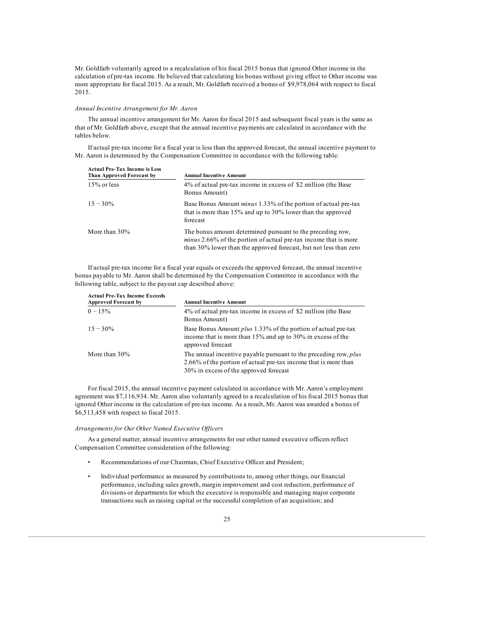Mr. Goldfarb voluntarily agreed to a recalculation of his fiscal 2015 bonus that ignored Other income in the calculation of pre-tax income. He believed that calculating his bonus without giving effect to Other income was more appropriate for fiscal 2015. As a result, Mr. Goldfarb received a bonus of \$9,978,064 with respect to fiscal 2015.

# *Annual Incentive Arrangement for Mr. Aaron*

The annual incentive arrangement for Mr. Aaron for fiscal 2015 and subsequent fiscal years is the same as that of Mr. Goldfarb above, except that the annual incentive payments are calculated in accordance with the tables below.

If actual pre-tax income for a fiscal year is less than the approved forecast, the annual incentive payment to Mr. Aaron is determined by the Compensation Committee in accordance with the following table:

| <b>Actual Pre-Tax Income is Less</b><br>Than Approved Forecast by | <b>Annual Incentive Amount</b>                                                                                                                                                                             |
|-------------------------------------------------------------------|------------------------------------------------------------------------------------------------------------------------------------------------------------------------------------------------------------|
| $15\%$ or less                                                    | 4% of actual pre-tax income in excess of \$2 million (the Base<br>Bonus Amount)                                                                                                                            |
| $15 - 30\%$                                                       | Base Bonus Amount <i>minus</i> 1.33% of the portion of actual pre-tax<br>that is more than $15\%$ and up to 30% lower than the approved<br>forecast                                                        |
| More than $30\%$                                                  | The bonus amount determined pursuant to the preceding row,<br><i>minus</i> 2.66% of the portion of actual pre-tax income that is more<br>than 30% lower than the approved forecast, but not less than zero |

If actual pre-tax income for a fiscal year equals or exceeds the approved forecast, the annual incentive bonus payable to Mr. Aaron shall be determined by the Compensation Committee in accordance with the following table, subject to the payout cap described above:

| <b>Actual Pre-Tax Income Exceeds</b><br><b>Approved Forecast by</b> | <b>Annual Incentive Amount</b>                                                                                                                                                |
|---------------------------------------------------------------------|-------------------------------------------------------------------------------------------------------------------------------------------------------------------------------|
| $0 - 15\%$                                                          | 4% of actual pre-tax income in excess of \$2 million (the Base<br>Bonus Amount)                                                                                               |
| $15 - 30\%$                                                         | Base Bonus Amount <i>plus</i> 1.33% of the portion of actual pre-tax<br>income that is more than 15% and up to 30% in excess of the<br>approved forecast                      |
| More than $30\%$                                                    | The annual incentive payable pursuant to the preceding row, plus<br>2.66% of the portion of actual pre-tax income that is more than<br>30% in excess of the approved forecast |

For fiscal 2015, the annual incentive payment calculated in accordance with Mr. Aaron's employment agreement was \$7,116,934. Mr. Aaron also voluntarily agreed to a recalculation of his fiscal 2015 bonus that ignored Other income in the calculation of pre-tax income. As a result, Mr. Aaron was awarded a bonus of \$6,513,458 with respect to fiscal 2015.

# *Arrangements for Our Other Named Executive Of icers*

As a general matter, annual incentive arrangements for our other named executive officers reflect Compensation Committee consideration of the following:

- Recommendations of our Chairman, Chief Executive Officer and President;
- Individual performance as measured by contributions to, among other things, our financial performance, including sales growth, margin improvement and cost reduction, performance of divisions or departments for which the executive is responsible and managing major corporate transactions such as raising capital or the successful completion of an acquisition; and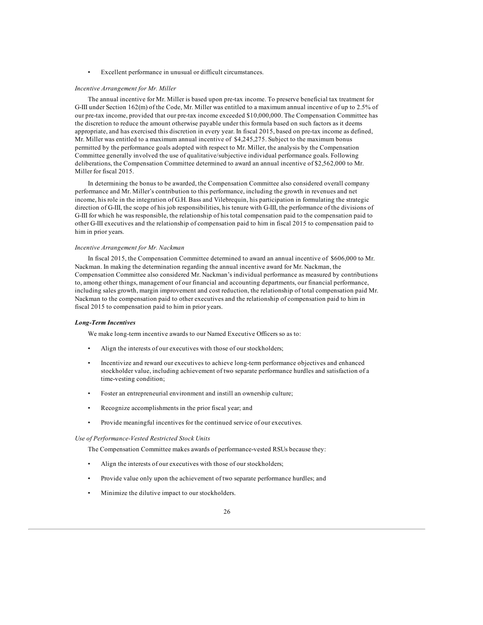Excellent performance in unusual or difficult circumstances.

#### *Incentive Arrangement for Mr. Miller*

The annual incentive for Mr. Miller is based upon pre-tax income. To preserve beneficial tax treatment for G-III under Section 162(m) of the Code, Mr. Miller was entitled to a maximum annual incentive of up to 2.5% of our pre-tax income, provided that our pre-tax income exceeded \$10,000,000. The Compensation Committee has the discretion to reduce the amount otherwise payable under this formula based on such factors as it deems appropriate, and has exercised this discretion in every year. In fiscal 2015, based on pre-tax income as defined, Mr. Miller was entitled to a maximum annual incentive of \$4,245,275. Subject to the maximum bonus permitted by the performance goals adopted with respect to Mr. Miller, the analysis by the Compensation Committee generally involved the use of qualitative/subjective individual performance goals. Following deliberations, the Compensation Committee determined to award an annual incentive of \$2,562,000 to Mr. Miller for fiscal 2015.

In determining the bonus to be awarded, the Compensation Committee also considered overall company performance and Mr. Miller's contribution to this performance, including the growth in revenues and net income, his role in the integration of G.H. Bass and Vilebrequin, his participation in formulating the strategic direction of G-III, the scope of his job responsibilities, his tenure with G-III, the performance of the divisions of G-III for which he was responsible, the relationship of his total compensation paid to the compensation paid to other G-III executives and the relationship of compensation paid to him in fiscal 2015 to compensation paid to him in prior years.

# *Incentive Arrangement for Mr. Nackman*

In fiscal 2015, the Compensation Committee determined to award an annual incentive of \$606,000 to Mr. Nackman. In making the determination regarding the annual incentive award for Mr. Nackman, the Compensation Committee also considered Mr. Nackman's individual performance as measured by contributions to, among other things, management of our financial and accounting departments, our financial performance, including sales growth, margin improvement and cost reduction, the relationship of total compensation paid Mr. Nackman to the compensation paid to other executives and the relationship of compensation paid to him in fiscal 2015 to compensation paid to him in prior years.

# *Long-Term Incentives*

We make long-term incentive awards to our Named Executive Officers so as to:

- Align the interests of our executives with those of our stockholders;
- Incentivize and reward our executives to achieve long-term performance objectives and enhanced stockholder value, including achievement of two separate performance hurdles and satisfaction of a time-vesting condition;
- Foster an entrepreneurial environment and instill an ownership culture;
- Recognize accomplishments in the prior fiscal year; and
- Provide meaningful incentives for the continued service of our executives.

#### *Use of Performance-Vested Restricted Stock Units*

The Compensation Committee makes awards of performance-vested RSUs because they:

- Align the interests of our executives with those of our stockholders;
- Provide value only upon the achievement of two separate performance hurdles; and
- Minimize the dilutive impact to our stockholders.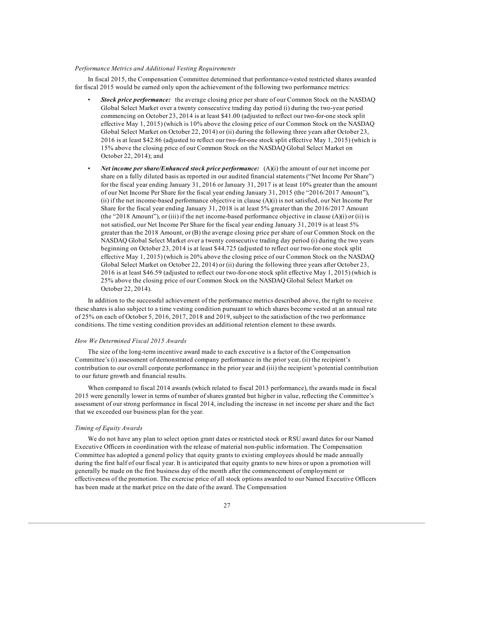# *Performance Metrics and Additional Vesting Requirements*

In fiscal 2015, the Compensation Committee determined that performance-vested restricted shares awarded for fiscal 2015 would be earned only upon the achievement of the following two performance metrics:

- *Stock price performance:* the average closing price per share of our Common Stock on the NASDAQ Global Select Market over a twenty consecutive trading day period (i) during the two-year period commencing on October 23, 2014 is at least \$41.00 (adjusted to reflect our two-for-one stock split effective May 1, 2015) (which is 10% above the closing price of our Common Stock on the NASDAQ Global Select Market on October 22, 2014) or (ii) during the following three years after October 23, 2016 is at least \$42.86 (adjusted to reflect our two-for-one stock split effective May 1, 2015) (which is 15% above the closing price of our Common Stock on the NASDAQ Global Select Market on October 22, 2014); and
- *Net income per share/Enhanced stock price performance:* (A)(i) the amount of our net income per share on a fully diluted basis as reported in our audited financial statements ("Net Income Per Share") for the fiscal year ending January 31, 2016 or January 31, 2017 is at least 10% greater than the amount of our Net Income Per Share for the fiscal year ending January 31, 2015 (the "2016/2017 Amount"), (ii) if the net income-based performance objective in clause (A)(i) is not satisfied, our Net Income Per Share for the fiscal year ending January 31, 2018 is at least 5% greater than the 2016/2017 Amount (the "2018 Amount"), or (iii) if the net income-based performance objective in clause  $(A)(i)$  or (ii) is not satisfied, our Net Income Per Share for the fiscal year ending January 31, 2019 is at least 5% greater than the 2018 Amount, or (B) the average closing price per share of our Common Stock on the NASDAQ Global Select Market over a twenty consecutive trading day period (i) during the two years beginning on October 23, 2014 is at least \$44.725 (adjusted to reflect our two-for-one stock split effective May 1, 2015) (which is 20% above the closing price of our Common Stock on the NASDAQ Global Select Market on October 22, 2014) or (ii) during the following three years after October 23, 2016 is at least \$46.59 (adjusted to reflect our two-for-one stock split effective May 1, 2015) (which is 25% above the closing price of our Common Stock on the NASDAQ Global Select Market on October 22, 2014).

In addition to the successful achievement of the performance metrics described above, the right to receive these shares is also subject to a time vesting condition pursuant to which shares become vested at an annual rate of 25% on each of October 5, 2016, 2017, 2018 and 2019, subject to the satisfaction of the two performance conditions. The time vesting condition provides an additional retention element to these awards.

# *How We Determined Fiscal 2015 Awards*

The size of the long-term incentive award made to each executive is a factor of the Compensation Committee's (i) assessment of demonstrated company performance in the prior year, (ii) the recipient's contribution to our overall corporate performance in the prior year and (iii) the recipient's potential contribution to our future growth and financial results.

When compared to fiscal 2014 awards (which related to fiscal 2013 performance), the awards made in fiscal 2015 were generally lower in terms of number of shares granted but higher in value, reflecting the Committee's assessment of our strong performance in fiscal 2014, including the increase in net income per share and the fact that we exceeded our business plan for the year.

# *Timing of Equity Awards*

We do not have any plan to select option grant dates or restricted stock or RSU award dates for our Named Executive Officers in coordination with the release of material non-public information. The Compensation Committee has adopted a general policy that equity grants to existing employees should be made annually during the first half of our fiscal year. It is anticipated that equity grants to new hires or upon a promotion will generally be made on the first business day of the month after the commencement of employment or effectiveness of the promotion. The exercise price of all stock options awarded to our Named Executive Officers has been made at the market price on the date of the award. The Compensation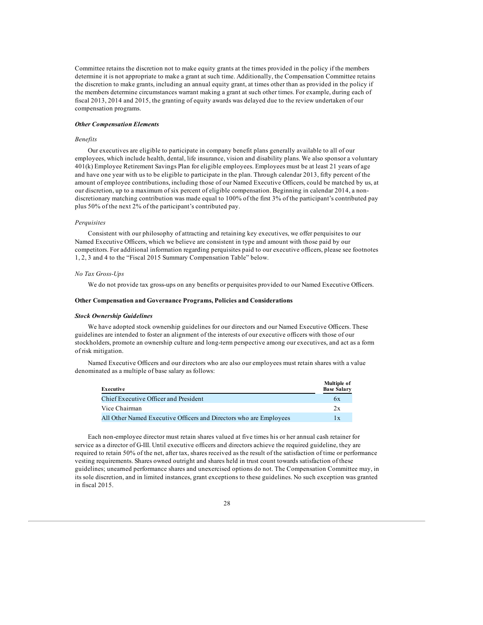Committee retains the discretion not to make equity grants at the times provided in the policy if the members determine it is not appropriate to make a grant at such time. Additionally, the Compensation Committee retains the discretion to make grants, including an annual equity grant, at times other than as provided in the policy if the members determine circumstances warrant making a grant at such other times. For example, during each of fiscal 2013, 2014 and 2015, the granting of equity awards was delayed due to the review undertaken of our compensation programs.

# *Other Compensation Elements*

# *Benefits*

Our executives are eligible to participate in company benefit plans generally available to all of our employees, which include health, dental, life insurance, vision and disability plans. We also sponsor a voluntary 401(k) Employee Retirement Savings Plan for eligible employees. Employees must be at least 21 years of age and have one year with us to be eligible to participate in the plan. Through calendar 2013, fifty percent of the amount of employee contributions, including those of our Named Executive Officers, could be matched by us, at our discretion, up to a maximum of six percent of eligible compensation. Beginning in calendar 2014, a nondiscretionary matching contribution was made equal to 100% of the first 3% of the participant's contributed pay plus 50% of the next 2% of the participant's contributed pay.

# *Perquisites*

Consistent with our philosophy of attracting and retaining key executives, we offer perquisites to our Named Executive Officers, which we believe are consistent in type and amount with those paid by our competitors. For additional information regarding perquisites paid to our executive officers, please see footnotes 1, 2, 3 and 4 to the "Fiscal 2015 Summary Compensation Table" below.

# *No Tax Gross-Ups*

We do not provide tax gross-ups on any benefits or perquisites provided to our Named Executive Officers.

#### **Other Compensation and Governance Programs, Policies and Considerations**

# *Stock Ownership Guidelines*

We have adopted stock ownership guidelines for our directors and our Named Executive Officers. These guidelines are intended to foster an alignment of the interests of our executive officers with those of our stockholders, promote an ownership culture and long-term perspective among our executives, and act as a form of risk mitigation.

Named Executive Officers and our directors who are also our employees must retain shares with a value denominated as a multiple of base salary as follows:

| Executive                                                          | Multiple of<br><b>Base Salary</b> |
|--------------------------------------------------------------------|-----------------------------------|
| Chief Executive Officer and President                              | 6x                                |
| Vice Chairman                                                      | 2x                                |
| All Other Named Executive Officers and Directors who are Employees | $\mathbf{1} \mathbf{x}$           |

Each non-employee director must retain shares valued at five times his or her annual cash retainer for service as a director of G-III. Until executive officers and directors achieve the required guideline, they are required to retain 50% of the net, after tax, shares received as the result of the satisfaction of time or performance vesting requirements. Shares owned outright and shares held in trust count towards satisfaction of these guidelines; unearned performance shares and unexercised options do not. The Compensation Committee may, in its sole discretion, and in limited instances, grant exceptions to these guidelines. No such exception was granted in fiscal 2015.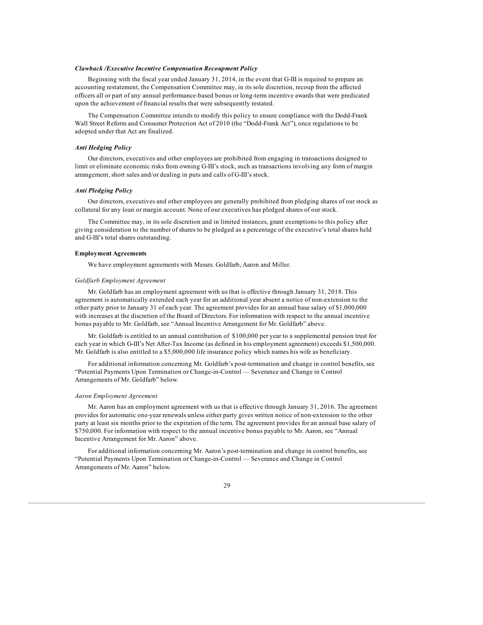# *Clawback /Executive Incentive Compensation Recoupment Policy*

Beginning with the fiscal year ended January 31, 2014, in the event that G-III is required to prepare an accounting restatement, the Compensation Committee may, in its sole discretion, recoup from the affected officers all or part of any annual performance-based bonus or long-term incentive awards that were predicated upon the achievement of financial results that were subsequently restated.

The Compensation Committee intends to modify this policy to ensure compliance with the Dodd-Frank Wall Street Reform and Consumer Protection Act of 2010 (the "Dodd-Frank Act"), once regulations to be adopted under that Act are finalized.

# *Anti Hedging Policy*

Our directors, executives and other employees are prohibited from engaging in transactions designed to limit or eliminate economic risks from owning G-III's stock, such as transactions involving any form of margin arrangement, short sales and/or dealing in puts and calls of G-III's stock.

#### *Anti Pledging Policy*

Our directors, executives and other employees are generally prohibited from pledging shares of our stock as collateral for any loan or margin account. None of our executives has pledged shares of our stock.

The Committee may, in its sole discretion and in limited instances, grant exemptions to this policy after giving consideration to the number of shares to be pledged as a percentage of the executive's total shares held and G-III's total shares outstanding.

### **Employment Agreements**

We have employment agreements with Messrs. Goldfarb, Aaron and Miller.

# *Goldfarb Employment Agreement*

Mr. Goldfarb has an employment agreement with us that is effective through January 31, 2018. This agreement is automatically extended each year for an additional year absent a notice of non-extension to the other party prior to January 31 of each year. The agreement provides for an annual base salary of \$1,000,000 with increases at the discretion of the Board of Directors. For information with respect to the annual incentive bonus payable to Mr. Goldfarb, see "Annual Incentive Arrangement for Mr. Goldfarb" above.

Mr. Goldfarb is entitled to an annual contribution of \$100,000 per year to a supplemental pension trust for each year in which G-III's Net After-Tax Income (as defined in his employment agreement) exceeds \$1,500,000. Mr. Goldfarb is also entitled to a \$5,000,000 life insurance policy which names his wife as beneficiary.

For additional information concerning Mr. Goldfarb's post-termination and change in control benefits, see "Potential Payments Upon Termination or Change-in-Control — Severance and Change in Control Arrangements of Mr. Goldfarb" below.

### *Aaron Employment Agreement*

Mr. Aaron has an employment agreement with us that is effective through January 31, 2016. The agreement provides for automatic one-year renewals unless either party gives written notice of non-extension to the other party at least six months prior to the expiration of the term. The agreement provides for an annual base salary of \$750,000. For information with respect to the annual incentive bonus payable to Mr. Aaron, see "Annual Incentive Arrangement for Mr. Aaron" above.

For additional information concerning Mr. Aaron's post-termination and change in control benefits, see "Potential Payments Upon Termination or Change-in-Control — Severance and Change in Control Arrangements of Mr. Aaron" below.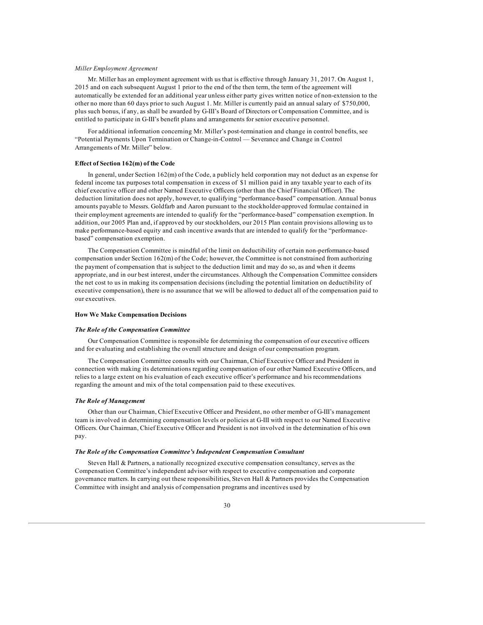# *Miller Employment Agreement*

Mr. Miller has an employment agreement with us that is effective through January 31, 2017. On August 1, 2015 and on each subsequent August 1 prior to the end of the then term, the term of the agreement will automatically be extended for an additional year unless either party gives written notice of non-extension to the other no more than 60 days prior to such August 1. Mr. Miller is currently paid an annual salary of \$750,000, plus such bonus, if any, as shall be awarded by G-III's Board of Directors or Compensation Committee, and is entitled to participate in G-III's benefit plans and arrangements for senior executive personnel.

For additional information concerning Mr. Miller's post-termination and change in control benefits, see "Potential Payments Upon Termination or Change-in-Control — Severance and Change in Control Arrangements of Mr. Miller" below.

# **Effect of Section 162(m) of the Code**

In general, under Section 162(m) of the Code, a publicly held corporation may not deduct as an expense for federal income tax purposes total compensation in excess of \$1 million paid in any taxable year to each of its chief executive officer and other Named Executive Officers (other than the Chief Financial Officer). The deduction limitation does not apply, however, to qualifying "performance-based" compensation. Annual bonus amounts payable to Messrs. Goldfarb and Aaron pursuant to the stockholder-approved formulae contained in their employment agreements are intended to qualify for the "performance-based" compensation exemption. In addition, our 2005 Plan and, if approved by our stockholders, our 2015 Plan contain provisions allowing us to make performance-based equity and cash incentive awards that are intended to qualify for the "performancebased" compensation exemption.

The Compensation Committee is mindful of the limit on deductibility of certain non-performance-based compensation under Section 162(m) of the Code; however, the Committee is not constrained from authorizing the payment of compensation that is subject to the deduction limit and may do so, as and when it deems appropriate, and in our best interest, under the circumstances. Although the Compensation Committee considers the net cost to us in making its compensation decisions (including the potential limitation on deductibility of executive compensation), there is no assurance that we will be allowed to deduct all of the compensation paid to our executives.

# **How We Make Compensation Decisions**

#### *The Role of the Compensation Committee*

Our Compensation Committee is responsible for determining the compensation of our executive officers and for evaluating and establishing the overall structure and design of our compensation program.

The Compensation Committee consults with our Chairman, Chief Executive Officer and President in connection with making its determinations regarding compensation of our other Named Executive Officers, and relies to a large extent on his evaluation of each executive officer's performance and his recommendations regarding the amount and mix of the total compensation paid to these executives.

#### *The Role of Management*

Other than our Chairman, Chief Executive Officer and President, no other member of G-III's management team is involved in determining compensation levels or policies at G-III with respect to our Named Executive Officers. Our Chairman, Chief Executive Officer and President is not involved in the determination of his own pay.

# *The Role of the Compensation Committee's Independent Compensation Consultant*

Steven Hall & Partners, a nationally recognized executive compensation consultancy, serves as the Compensation Committee's independent advisor with respect to executive compensation and corporate governance matters. In carrying out these responsibilities, Steven Hall & Partners provides the Compensation Committee with insight and analysis of compensation programs and incentives used by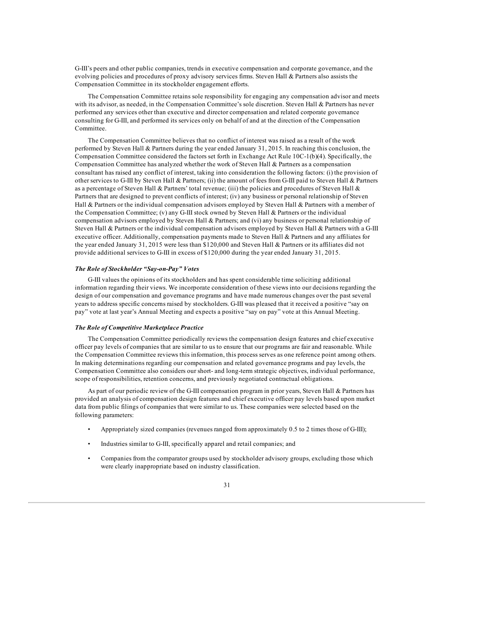G-III's peers and other public companies, trends in executive compensation and corporate governance, and the evolving policies and procedures of proxy advisory services firms. Steven Hall & Partners also assists the Compensation Committee in its stockholder engagement efforts.

The Compensation Committee retains sole responsibility for engaging any compensation advisor and meets with its advisor, as needed, in the Compensation Committee's sole discretion. Steven Hall & Partners has never performed any services other than executive and director compensation and related corporate governance consulting for G-III, and performed its services only on behalf of and at the direction of the Compensation Committee.

The Compensation Committee believes that no conflict of interest was raised as a result of the work performed by Steven Hall & Partners during the year ended January 31, 2015. In reaching this conclusion, the Compensation Committee considered the factors set forth in Exchange Act Rule 10C-1(b)(4). Specifically, the Compensation Committee has analyzed whether the work of Steven Hall & Partners as a compensation consultant has raised any conflict of interest, taking into consideration the following factors: (i) the provision of other services to G-III by Steven Hall & Partners; (ii) the amount of fees from G-III paid to Steven Hall & Partners as a percentage of Steven Hall & Partners' total revenue; (iii) the policies and procedures of Steven Hall & Partners that are designed to prevent conflicts of interest; (iv) any business or personal relationship of Steven Hall & Partners or the individual compensation advisors employed by Steven Hall & Partners with a member of the Compensation Committee; (v) any G-III stock owned by Steven Hall & Partners or the individual compensation advisors employed by Steven Hall & Partners; and (vi) any business or personal relationship of Steven Hall & Partners or the individual compensation advisors employed by Steven Hall & Partners with a G-III executive officer. Additionally, compensation payments made to Steven Hall & Partners and any affiliates for the year ended January 31, 2015 were less than \$120,000 and Steven Hall & Partners or its affiliates did not provide additional services to G-III in excess of \$120,000 during the year ended January 31, 2015.

# *The Role of Stockholder "Say-on-Pay" Votes*

G-III values the opinions of its stockholders and has spent considerable time soliciting additional information regarding their views. We incorporate consideration of these views into our decisions regarding the design of our compensation and governance programs and have made numerous changes over the past several years to address specific concerns raised by stockholders. G-III was pleased that it received a positive "say on pay" vote at last year's Annual Meeting and expects a positive "say on pay" vote at this Annual Meeting.

### *The Role of Competitive Marketplace Practice*

The Compensation Committee periodically reviews the compensation design features and chief executive officer pay levels of companies that are similar to us to ensure that our programs are fair and reasonable. While the Compensation Committee reviews this information, this process serves as one reference point among others. In making determinations regarding our compensation and related governance programs and pay levels, the Compensation Committee also considers our short- and long-term strategic objectives, individual performance, scope of responsibilities, retention concerns, and previously negotiated contractual obligations.

As part of our periodic review of the G-III compensation program in prior years, Steven Hall & Partners has provided an analysis of compensation design features and chief executive officer pay levels based upon market data from public filings of companies that were similar to us. These companies were selected based on the following parameters:

- Appropriately sized companies (revenues ranged from approximately 0.5 to 2 times those of G-III);
- Industries similar to G-III, specifically apparel and retail companies; and
- Companies from the comparator groups used by stockholder advisory groups, excluding those which were clearly inappropriate based on industry classification.

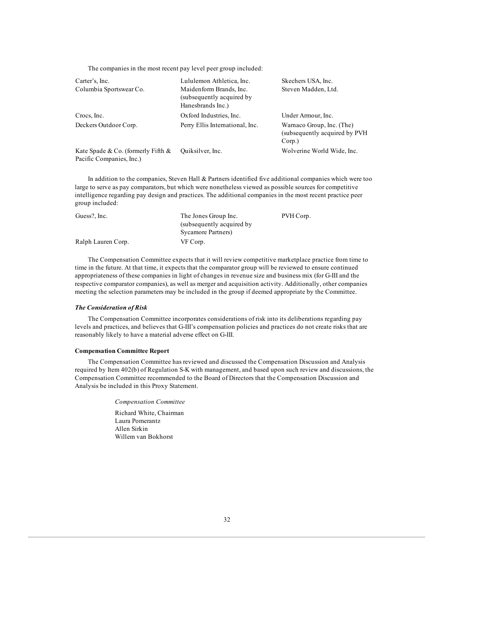The companies in the most recent pay level peer group included:

| Carter's, Inc.<br>Columbia Sportswear Co.                         | Lululemon Athletica, Inc.<br>Maidenform Brands, Inc.<br>(subsequently acquired by)<br>Hanesbrands Inc.) | Skechers USA, Inc.<br>Steven Madden, Ltd.                                |
|-------------------------------------------------------------------|---------------------------------------------------------------------------------------------------------|--------------------------------------------------------------------------|
| Crocs, Inc.                                                       | Oxford Industries, Inc.                                                                                 | Under Armour, Inc.                                                       |
| Deckers Outdoor Corp.                                             | Perry Ellis International, Inc.                                                                         | Warnaco Group, Inc. (The)<br>(subsequently acquired by PVH)<br>$Corp.$ ) |
| Kate Spade & Co. (formerly Fifth $\&$<br>Pacific Companies, Inc.) | Quiksilver, Inc.                                                                                        | Wolverine World Wide, Inc.                                               |

In addition to the companies, Steven Hall & Partners identified five additional companies which were too large to serve as pay comparators, but which were nonetheless viewed as possible sources for competitive intelligence regarding pay design and practices. The additional companies in the most recent practice peer group included:

| Guess?, Inc.       | The Jones Group Inc.       | PVH Corp. |
|--------------------|----------------------------|-----------|
|                    | (subsequently acquired by) |           |
|                    | Sycamore Partners)         |           |
| Ralph Lauren Corp. | VF Corp.                   |           |

The Compensation Committee expects that it will review competitive marketplace practice from time to time in the future. At that time, it expects that the comparator group will be reviewed to ensure continued appropriateness of these companies in light of changes in revenue size and business mix (for G-III and the respective comparator companies), as well as merger and acquisition activity. Additionally, other companies meeting the selection parameters may be included in the group if deemed appropriate by the Committee.

# *The Consideration of Risk*

The Compensation Committee incorporates considerations of risk into its deliberations regarding pay levels and practices, and believes that G-III's compensation policies and practices do not create risks that are reasonably likely to have a material adverse effect on G-III.

# **Compensation Committee Report**

The Compensation Committee has reviewed and discussed the Compensation Discussion and Analysis required by Item 402(b) of Regulation S-K with management, and based upon such review and discussions, the Compensation Committee recommended to the Board of Directors that the Compensation Discussion and Analysis be included in this Proxy Statement.

> *Compensation Committee* Richard White, Chairman Laura Pomerantz Allen Sirkin Willem van Bokhorst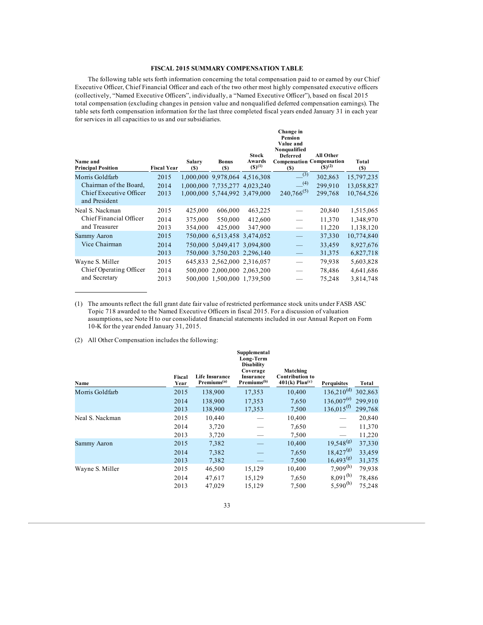# **FISCAL 2015 SUMMARY COMPENSATION TABLE**

The following table sets forth information concerning the total compensation paid to or earned by our Chief Executive Officer, Chief Financial Officer and each of the two other most highly compensated executive officers (collectively, "Named Executive Officers", individually, a "Named Executive Officer"), based on fiscal 2015 total compensation (excluding changes in pension value and nonqualified deferred compensation earnings). The table sets forth compensation information for the last three completed fiscal years ended January 31 in each year for services in all capacities to us and our subsidiaries.

| Name and<br><b>Principal Position</b>    | <b>Fiscal Year</b> | Salary<br>$(s)$ | <b>Bonus</b><br>$(s)$         | <b>Stock</b><br>Awards<br>$(S)^{(1)}$ | Change in<br><b>Pension</b><br>Value and<br>Nonqualified<br><b>Deferred</b><br><b>Compensation Compensation</b><br><b>(S)</b> | All Other<br>$(S)^{(2)}$ | Total<br><b>(S)</b> |
|------------------------------------------|--------------------|-----------------|-------------------------------|---------------------------------------|-------------------------------------------------------------------------------------------------------------------------------|--------------------------|---------------------|
| Morris Goldfarb                          | 2015               |                 | 1,000,000 9,978,064 4,516,308 |                                       | (3)                                                                                                                           | 302,863                  | 15,797,235          |
| Chairman of the Board,                   | 2014               |                 | 1,000,000 7,735,277 4,023,240 |                                       | (4)                                                                                                                           | 299.910                  | 13,058,827          |
| Chief Executive Officer<br>and President | 2013               |                 | 1,000,000 5,744,992 3,479,000 |                                       | $240,766^{(5)}$                                                                                                               | 299,768                  | 10,764,526          |
| Neal S. Nackman                          | 2015               | 425,000         | 606,000                       | 463,225                               |                                                                                                                               | 20,840                   | 1,515,065           |
| Chief Financial Officer                  | 2014               | 375,000         | 550,000                       | 412,600                               |                                                                                                                               | 11,370                   | 1,348,970           |
| and Treasurer                            | 2013               | 354,000         | 425,000                       | 347,900                               |                                                                                                                               | 11,220                   | 1,138,120           |
| Sammy Aaron                              | 2015               |                 | 750,000 6,513,458 3,474,052   |                                       |                                                                                                                               | 37,330                   | 10,774,840          |
| Vice Chairman                            | 2014               |                 | 750,000 5,049,417 3,094,800   |                                       |                                                                                                                               | 33,459                   | 8,927,676           |
|                                          | 2013               |                 | 750,000 3,750,203 2,296,140   |                                       |                                                                                                                               | 31,375                   | 6,827,718           |
| Wayne S. Miller                          | 2015               |                 | 645,833 2,562,000 2,316,057   |                                       |                                                                                                                               | 79,938                   | 5,603,828           |
| Chief Operating Officer                  | 2014               |                 | 500.000 2.000.000 2.063.200   |                                       |                                                                                                                               | 78,486                   | 4,641,686           |
| and Secretary                            | 2013               |                 | 500,000 1,500,000 1,739,500   |                                       |                                                                                                                               | 75,248                   | 3,814,748           |

(1) The amounts reflect the full grant date fair value of restricted performance stock units under FASB ASC Topic 718 awarded to the Named Executive Officers in fiscal 2015. For a discussion of valuation assumptions, see Note H to our consolidated financial statements included in our Annual Report on Form 10-K for the year ended January 31, 2015.

(2) All Other Compensation includes the following:

| Name            | Fiscal<br>Year | Life Insurance<br>Premiums <sup>(a)</sup> | Supplemental<br>Long-Term<br><b>Disability</b><br>Coverage<br>Insurance<br>Premiums <sup>(b)</sup> | Matching<br><b>Contribution to</b><br>$401(k)$ Plan <sup>(c)</sup> | <b>Perquisites</b> | Total   |
|-----------------|----------------|-------------------------------------------|----------------------------------------------------------------------------------------------------|--------------------------------------------------------------------|--------------------|---------|
| Morris Goldfarb | 2015           | 138,900                                   | 17,353                                                                                             | 10,400                                                             | $136,210^{(d)}$    | 302,863 |
|                 | 2014           | 138,900                                   | 17,353                                                                                             | 7,650                                                              | $136,007^{(e)}$    | 299,910 |
|                 | 2013           | 138,900                                   | 17,353                                                                                             | 7,500                                                              | $136,015^{(f)}$    | 299,768 |
| Neal S. Nackman | 2015           | 10,440                                    |                                                                                                    | 10,400                                                             |                    | 20,840  |
|                 | 2014           | 3,720                                     |                                                                                                    | 7,650                                                              |                    | 11,370  |
|                 | 2013           | 3,720                                     |                                                                                                    | 7,500                                                              |                    | 11,220  |
| Sammy Aaron     | 2015           | 7,382                                     |                                                                                                    | 10,400                                                             | $19,548^{(g)}$     | 37,330  |
|                 | 2014           | 7,382                                     |                                                                                                    | 7,650                                                              | $18,427^{(g)}$     | 33,459  |
|                 | 2013           | 7,382                                     |                                                                                                    | 7,500                                                              | $16,493^{(g)}$     | 31,375  |
| Wayne S. Miller | 2015           | 46,500                                    | 15,129                                                                                             | 10,400                                                             | $7,909^{(h)}$      | 79,938  |
|                 | 2014           | 47,617                                    | 15,129                                                                                             | 7,650                                                              | $8,091^{(h)}$      | 78,486  |
|                 | 2013           | 47,029                                    | 15,129                                                                                             | 7,500                                                              | $5,590^{(h)}$      | 75,248  |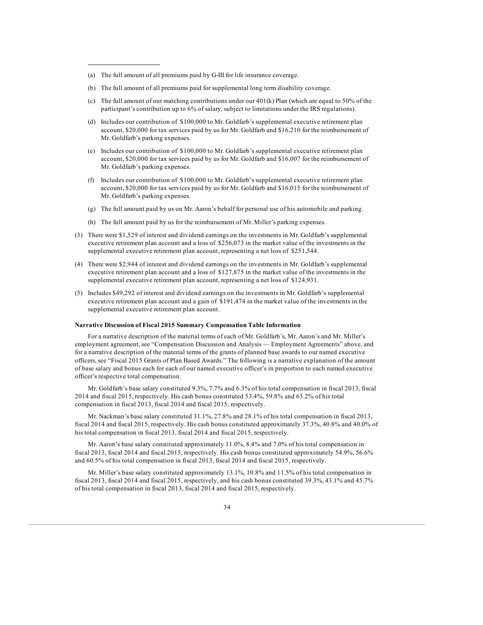- (a) The full amount of all premiums paid by G-III for life insurance coverage.
- (b) The full amount of all premiums paid for supplemental long term disability coverage.
- (c) The full amount of our matching contributions under our 401(k) Plan (which are equal to 50% of the participant's contribution up to 6% of salary, subject to limitations under the IRS regulations).
- (d) Includes our contribution of \$100,000 to Mr. Goldfarb's supplemental executive retirement plan account, \$20,000 for tax services paid by us for Mr. Goldfarb and \$16,210 for the reimbursement of Mr. Goldfarb's parking expenses.
- (e) Includes our contribution of \$100,000 to Mr. Goldfarb's supplemental executive retirement plan account, \$20,000 for tax services paid by us for Mr. Goldfarb and \$16,007 for the reimbursement of Mr. Goldfarb's parking expenses.
- (f) Includes our contribution of \$100,000 to Mr. Goldfarb's supplemental executive retirement plan account, \$20,000 for tax services paid by us for Mr. Goldfarb and \$16,015 for the reimbursement of Mr. Goldfarb's parking expenses.
- (g) The full amount paid by us on Mr. Aaron's behalf for personal use of his automobile and parking.
- (h) The full amount paid by us for the reimbursement of Mr. Miller's parking expenses.
- (3) There were \$1,529 of interest and dividend earnings on the investments in Mr. Goldfarb's supplemental executive retirement plan account and a loss of \$256,073 in the market value of the investments in the supplemental executive retirement plan account, representing a net loss of \$251,544.
- (4) There were \$2,944 of interest and dividend earnings on the investments in Mr. Goldfarb's supplemental executive retirement plan account and a loss of \$127,875 in the market value of the investments in the supplemental executive retirement plan account, representing a net loss of \$124,931.
- (5) Includes \$49,292 of interest and dividend earnings on the investments in Mr. Goldfarb's supplemental executive retirement plan account and a gain of \$191,474 in the market value of the investments in the supplemental executive retirement plan account.

#### **Narrative Discussion of Fiscal 2015 Summary Compensation Table Information**

For a narrative description of the material terms of each of Mr. Goldfarb's, Mr. Aaron's and Mr. Miller's employment agreement, see "Compensation Discussion and Analysis — Employment Agreements" above, and for a narrative description of the material terms of the grants of planned base awards to our named executive officers, see "Fiscal 2015 Grants of Plan Based Awards." The following is a narrative explanation of the amount of base salary and bonus each for each of our named executive officer's in proportion to each named executive officer's respective total compensation.

Mr. Goldfarb's base salary constituted 9.3%, 7.7% and 6.3% of his total compensation in fiscal 2013, fiscal 2014 and fiscal 2015, respectively. His cash bonus constituted 53.4%, 59.8% and 63.2% of his total compensation in fiscal 2013, fiscal 2014 and fiscal 2015, respectively.

Mr. Nackman's base salary constituted 31.1%, 27.8% and 28.1% of his total compensation in fiscal 2013, fiscal 2014 and fiscal 2015, respectively. His cash bonus constituted approximately 37.3%, 40.8% and 40.0% of his total compensation in fiscal 2013, fiscal 2014 and fiscal 2015, respectively.

Mr. Aaron's base salary constituted approximately 11.0%, 8.4% and 7.0% of his total compensation in fiscal 2013, fiscal 2014 and fiscal 2015, respectively. His cash bonus constituted approximately 54.9%, 56.6% and 60.5% of his total compensation in fiscal 2013, fiscal 2014 and fiscal 2015, respectively.

Mr. Miller's base salary constituted approximately 13.1%, 10.8% and 11.5% of his total compensation in fiscal 2013, fiscal 2014 and fiscal 2015, respectively, and his cash bonus constituted 39.3%, 43.1% and 45.7% of his total compensation in fiscal 2013, fiscal 2014 and fiscal 2015, respectively.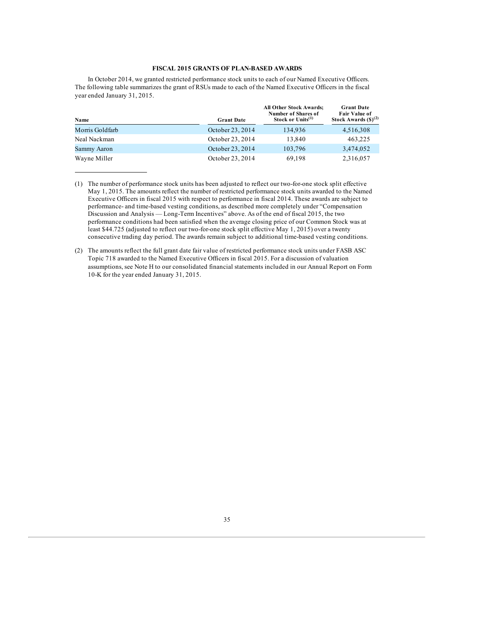### **FISCAL 2015 GRANTS OF PLAN-BASED AWARDS**

In October 2014, we granted restricted performance stock units to each of our Named Executive Officers. The following table summarizes the grant of RSUs made to each of the Named Executive Officers in the fiscal year ended January 31, 2015.

| Name            | <b>Grant Date</b> | <b>All Other Stock Awards:</b><br><b>Number of Shares of</b><br>Stock or $Units^{(1)}$ | <b>Grant Date</b><br><b>Fair Value of</b><br>Stock Awards $(\text{S})^{(2)}$ |
|-----------------|-------------------|----------------------------------------------------------------------------------------|------------------------------------------------------------------------------|
| Morris Goldfarb | October 23, 2014  | 134,936                                                                                | 4,516,308                                                                    |
| Neal Nackman    | October 23, 2014  | 13.840                                                                                 | 463,225                                                                      |
| Sammy Aaron     | October 23, 2014  | 103,796                                                                                | 3,474,052                                                                    |
| Wayne Miller    | October 23, 2014  | 69,198                                                                                 | 2,316,057                                                                    |

<sup>(1)</sup> The number of performance stock units has been adjusted to reflect our two-for-one stock split effective May 1, 2015. The amounts reflect the number of restricted performance stock units awarded to the Named Executive Officers in fiscal 2015 with respect to performance in fiscal 2014. These awards are subject to performance- and time-based vesting conditions, as described more completely under "Compensation Discussion and Analysis — Long-Term Incentives" above. As of the end of fiscal 2015, the two performance conditions had been satisfied when the average closing price of our Common Stock was at least \$44.725 (adjusted to reflect our two-for-one stock split effective May 1, 2015) over a twenty consecutive trading day period. The awards remain subject to additional time-based vesting conditions.

<sup>(2)</sup> The amounts reflect the full grant date fair value of restricted performance stock units under FASB ASC Topic 718 awarded to the Named Executive Officers in fiscal 2015. For a discussion of valuation assumptions, see Note H to our consolidated financial statements included in our Annual Report on Form 10-K for the year ended January 31, 2015.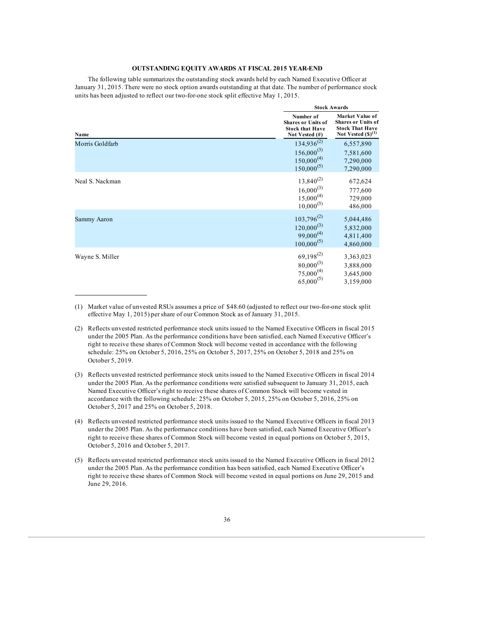### **OUTSTANDING EQUITY AWARDS AT FISCAL 2015 YEAR-END**

The following table summarizes the outstanding stock awards held by each Named Executive Officer at January 31, 2015. There were no stock option awards outstanding at that date. The number of performance stock units has been adjusted to reflect our two-for-one stock split effective May 1, 2015.

|                 |                                                                                    | <b>Stock Awards</b>                                                                                      |
|-----------------|------------------------------------------------------------------------------------|----------------------------------------------------------------------------------------------------------|
| Name            | Number of<br><b>Shares or Units of</b><br><b>Stock that Have</b><br>Not Vested (#) | <b>Market Value of</b><br><b>Shares or Units of</b><br><b>Stock That Have</b><br>Not Vested $(\$)^{(1)}$ |
| Morris Goldfarb | $134,936^{(2)}$<br>$156,000^{(3)}$<br>$150,000^{(4)}$<br>$150,000^{(5)}$           | 6,557,890<br>7,581,600<br>7,290,000<br>7,290,000                                                         |
| Neal S. Nackman | $13,840^{(2)}$<br>$16,000^{(3)}$<br>$15,000^{(4)}$<br>$10,000^{(5)}$               | 672,624<br>777,600<br>729,000<br>486,000                                                                 |
| Sammy Aaron     | $103,796^{(2)}$<br>$120,000^{(3)}$<br>$99,000^{(4)}$<br>$100,000^{(5)}$            | 5,044,486<br>5,832,000<br>4,811,400<br>4,860,000                                                         |
| Wayne S. Miller | $69,198^{(2)}$<br>$80,000^{(3)}$<br>$75,000^{(4)}$<br>$65,000^{(5)}$               | 3,363,023<br>3,888,000<br>3,645,000<br>3,159,000                                                         |

<sup>(1)</sup> Market value of unvested RSUs assumes a price of \$48.60 (adjusted to reflect our two-for-one stock split effective May 1, 2015) per share of our Common Stock as of January 31, 2015.

<sup>(2)</sup> Reflects unvested restricted performance stock units issued to the Named Executive Officers in fiscal 2015 under the 2005 Plan. As the performance conditions have been satisfied, each Named Executive Officer's right to receive these shares of Common Stock will become vested in accordance with the following schedule: 25% on October 5, 2016, 25% on October 5, 2017, 25% on October 5, 2018 and 25% on October 5, 2019.

<sup>(3)</sup> Reflects unvested restricted performance stock units issued to the Named Executive Officers in fiscal 2014 under the 2005 Plan. As the performance conditions were satisfied subsequent to January 31, 2015, each Named Executive Officer's right to receive these shares of Common Stock will become vested in accordance with the following schedule: 25% on October 5, 2015, 25% on October 5, 2016, 25% on October 5, 2017 and 25% on October 5, 2018.

<sup>(4)</sup> Reflects unvested restricted performance stock units issued to the Named Executive Officers in fiscal 2013 under the 2005 Plan. As the performance conditions have been satisfied, each Named Executive Officer's right to receive these shares of Common Stock will become vested in equal portions on October 5, 2015, October 5, 2016 and October 5, 2017.

<sup>(5)</sup> Reflects unvested restricted performance stock units issued to the Named Executive Officers in fiscal 2012 under the 2005 Plan. As the performance condition has been satisfied, each Named Executive Officer's right to receive these shares of Common Stock will become vested in equal portions on June 29, 2015 and June 29, 2016.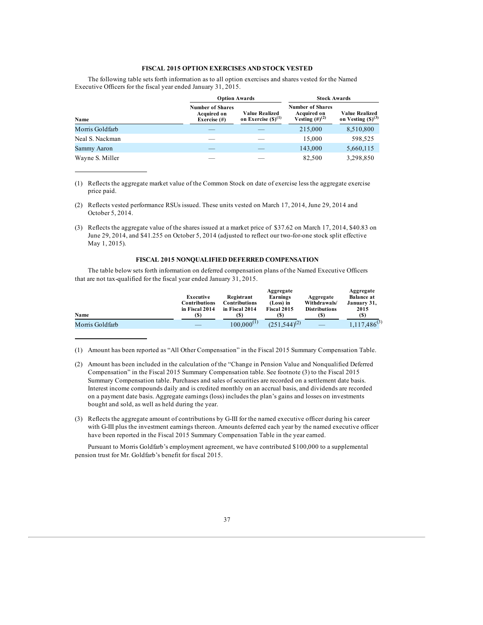# **FISCAL 2015 OPTION EXERCISES AND STOCK VESTED**

The following table sets forth information as to all option exercises and shares vested for the Named Executive Officers for the fiscal year ended January 31, 2015.

|                 | <b>Option Awards</b>                                             |                                                  | <b>Stock Awards</b>                                                   |                                                 |  |
|-----------------|------------------------------------------------------------------|--------------------------------------------------|-----------------------------------------------------------------------|-------------------------------------------------|--|
| Name            | <b>Number of Shares</b><br><b>Acquired on</b><br>Exercise $(\#)$ | <b>Value Realized</b><br>on Exercise $(S)^{(1)}$ | <b>Number of Shares</b><br><b>Acquired on</b><br>Vesting $(\#)^{(2)}$ | <b>Value Realized</b><br>on Vesting $(S)^{(3)}$ |  |
| Morris Goldfarb |                                                                  |                                                  | 215,000                                                               | 8,510,800                                       |  |
| Neal S. Nackman |                                                                  |                                                  | 15,000                                                                | 598,525                                         |  |
| Sammy Aaron     |                                                                  |                                                  | 143,000                                                               | 5,660,115                                       |  |
| Wayne S. Miller |                                                                  |                                                  | 82,500                                                                | 3,298,850                                       |  |

(1) Reflects the aggregate market value of the Common Stock on date of exercise less the aggregate exercise price paid.

- (2) Reflects vested performance RSUs issued. These units vested on March 17, 2014, June 29, 2014 and October 5, 2014.
- (3) Reflects the aggregate value of the shares issued at a market price of \$37.62 on March 17, 2014, \$40.83 on June 29, 2014, and \$41.255 on October 5, 2014 (adjusted to reflect our two-for-one stock split effective May 1, 2015).

# **FISCAL 2015 NONQUALIFIED DEFERRED COMPENSATION**

The table below sets forth information on deferred compensation plans of the Named Executive Officers that are not tax-qualified for the fiscal year ended January 31, 2015.

| Name            | Executive<br>Contributions<br>in Fiscal 2014<br>(S) | Registrant<br>Contributions<br>in Fiscal 2014<br>(S) | Aggregate<br>Earnings<br>(Loss) in<br>Fiscal 2015<br>(\$) | Aggregate<br>Withdrawals/<br><b>Distributions</b><br>$\left( \mathbb{S}\right)$ | Aggregate<br><b>Balance at</b><br>January 31,<br>2015<br>(S) |
|-----------------|-----------------------------------------------------|------------------------------------------------------|-----------------------------------------------------------|---------------------------------------------------------------------------------|--------------------------------------------------------------|
| Morris Goldfarb |                                                     | $100.000^{(1)}$                                      | $(251.544)^{(2)}$                                         |                                                                                 | $1,117,486^{(3)}$                                            |

(1) Amount has been reported as "All Other Compensation" in the Fiscal 2015 Summary Compensation Table.

(3) Reflects the aggregate amount of contributions by G-III for the named executive officer during his career with G-III plus the investment earnings thereon. Amounts deferred each year by the named executive officer have been reported in the Fiscal 2015 Summary Compensation Table in the year earned.

Pursuant to Morris Goldfarb's employment agreement, we have contributed \$100,000 to a supplemental pension trust for Mr. Goldfarb's benefit for fiscal 2015.

<sup>(2)</sup> Amount has been included in the calculation of the "Change in Pension Value and Nonqualified Deferred Compensation" in the Fiscal 2015 Summary Compensation table. See footnote (3) to the Fiscal 2015 Summary Compensation table. Purchases and sales of securities are recorded on a settlement date basis. Interest income compounds daily and is credited monthly on an accrual basis, and dividends are recorded on a payment date basis. Aggregate earnings (loss) includes the plan's gains and losses on investments bought and sold, as well as held during the year.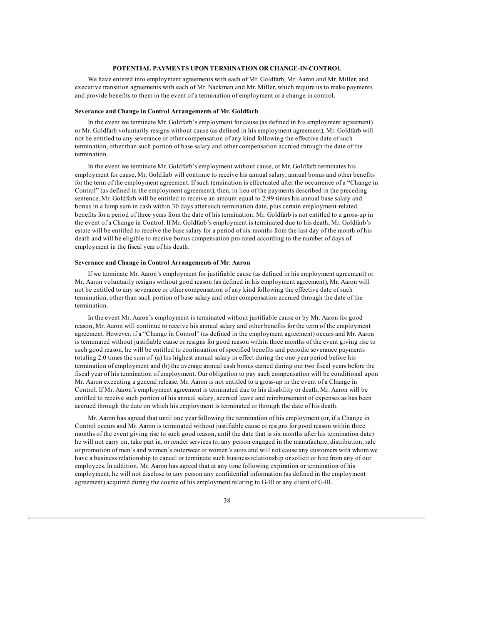### **POTENTIAL PAYMENTS UPON TERMINATION OR CHANGE-IN-CONTROL**

We have entered into employment agreements with each of Mr. Goldfarb, Mr. Aaron and Mr. Miller, and executive transition agreements with each of Mr. Nackman and Mr. Miller, which require us to make payments and provide benefits to them in the event of a termination of employment or a change in control.

### **Severance and Change in Control Arrangements of Mr. Goldfarb**

In the event we terminate Mr. Goldfarb's employment for cause (as defined in his employment agreement) or Mr. Goldfarb voluntarily resigns without cause (as defined in his employment agreement), Mr. Goldfarb will not be entitled to any severance or other compensation of any kind following the effective date of such termination, other than such portion of base salary and other compensation accrued through the date of the termination.

In the event we terminate Mr. Goldfarb's employment without cause, or Mr. Goldfarb terminates his employment for cause, Mr. Goldfarb will continue to receive his annual salary, annual bonus and other benefits for the term of the employment agreement. If such termination is effectuated after the occurrence of a "Change in Control" (as defined in the employment agreement), then, in lieu of the payments described in the preceding sentence, Mr. Goldfarb will be entitled to receive an amount equal to 2.99 times his annual base salary and bonus in a lump sum in cash within 30 days after such termination date, plus certain employment-related benefits for a period of three years from the date of his termination. Mr. Goldfarb is not entitled to a gross-up in the event of a Change in Control. If Mr. Goldfarb's employment is terminated due to his death, Mr. Goldfarb's estate will be entitled to receive the base salary for a period of six months from the last day of the month of his death and will be eligible to receive bonus compensation pro-rated according to the number of days of employment in the fiscal year of his death.

### **Severance and Change in Control Arrangements of Mr. Aaron**

If we terminate Mr. Aaron's employment for justifiable cause (as defined in his employment agreement) or Mr. Aaron voluntarily resigns without good reason (as defined in his employment agreement), Mr. Aaron will not be entitled to any severance or other compensation of any kind following the effective date of such termination, other than such portion of base salary and other compensation accrued through the date of the termination.

In the event Mr. Aaron's employment is terminated without justifiable cause or by Mr. Aaron for good reason, Mr. Aaron will continue to receive his annual salary and other benefits for the term of the employment agreement. However, if a "Change in Control" (as defined in the employment agreement) occurs and Mr. Aaron is terminated without justifiable cause or resigns for good reason within three months of the event giving rise to such good reason, he will be entitled to continuation of specified benefits and periodic severance payments totaling 2.0 times the sum of (a) his highest annual salary in effect during the one-year period before his termination of employment and (b) the average annual cash bonus earned during our two fiscal years before the fiscal year of his termination of employment. Our obligation to pay such compensation will be conditional upon Mr. Aaron executing a general release. Mr. Aaron is not entitled to a gross-up in the event of a Change in Control. If Mr. Aaron's employment agreement is terminated due to his disability or death, Mr. Aaron will be entitled to receive such portion of his annual salary, accrued leave and reimbursement of expenses as has been accrued through the date on which his employment is terminated or through the date of his death.

Mr. Aaron has agreed that until one year following the termination of his employment (or, if a Change in Control occurs and Mr. Aaron is terminated without justifiable cause or resigns for good reason within three months of the event giving rise to such good reason, until the date that is six months after his termination date) he will not carry on, take part in, or render services to, any person engaged in the manufacture, distribution, sale or promotion of men's and women's outerwear or women's suits and will not cause any customers with whom we have a business relationship to cancel or terminate such business relationship or solicit or hire from any of our employees. In addition, Mr. Aaron has agreed that at any time following expiration or termination of his employment, he will not disclose to any person any confidential information (as defined in the employment agreement) acquired during the course of his employment relating to G-III or any client of G-III.

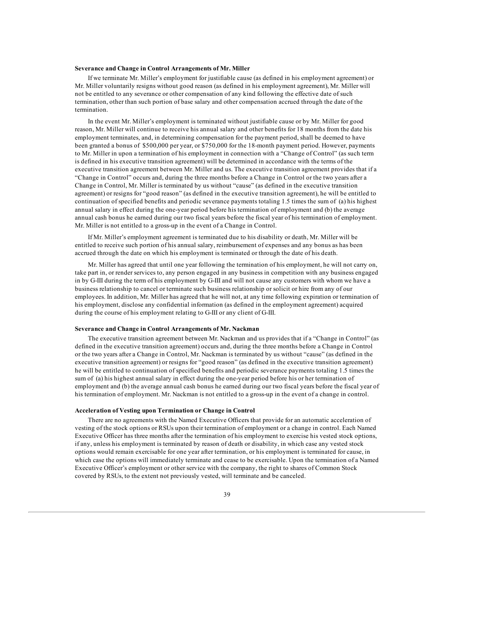### **Severance and Change in Control Arrangements of Mr. Miller**

If we terminate Mr. Miller's employment for justifiable cause (as defined in his employment agreement) or Mr. Miller voluntarily resigns without good reason (as defined in his employment agreement), Mr. Miller will not be entitled to any severance or other compensation of any kind following the effective date of such termination, other than such portion of base salary and other compensation accrued through the date of the termination.

In the event Mr. Miller's employment is terminated without justifiable cause or by Mr. Miller for good reason, Mr. Miller will continue to receive his annual salary and other benefits for 18 months from the date his employment terminates, and, in determining compensation for the payment period, shall be deemed to have been granted a bonus of \$500,000 per year, or \$750,000 for the 18-month payment period. However, payments to Mr. Miller in upon a termination of his employment in connection with a "Change of Control" (as such term is defined in his executive transition agreement) will be determined in accordance with the terms of the executive transition agreement between Mr. Miller and us. The executive transition agreement provides that if a "Change in Control" occurs and, during the three months before a Change in Control or the two years after a Change in Control, Mr. Miller is terminated by us without "cause" (as defined in the executive transition agreement) or resigns for "good reason" (as defined in the executive transition agreement), he will be entitled to continuation of specified benefits and periodic severance payments totaling 1.5 times the sum of (a) his highest annual salary in effect during the one-year period before his termination of employment and (b) the average annual cash bonus he earned during our two fiscal years before the fiscal year of his termination of employment. Mr. Miller is not entitled to a gross-up in the event of a Change in Control.

If Mr. Miller's employment agreement is terminated due to his disability or death, Mr. Miller will be entitled to receive such portion of his annual salary, reimbursement of expenses and any bonus as has been accrued through the date on which his employment is terminated or through the date of his death.

Mr. Miller has agreed that until one year following the termination of his employment, he will not carry on, take part in, or render services to, any person engaged in any business in competition with any business engaged in by G-III during the term of his employment by G-III and will not cause any customers with whom we have a business relationship to cancel or terminate such business relationship or solicit or hire from any of our employees. In addition, Mr. Miller has agreed that he will not, at any time following expiration or termination of his employment, disclose any confidential information (as defined in the employment agreement) acquired during the course of his employment relating to G-III or any client of G-III.

### **Severance and Change in Control Arrangements of Mr. Nackman**

The executive transition agreement between Mr. Nackman and us provides that if a "Change in Control" (as defined in the executive transition agreement) occurs and, during the three months before a Change in Control or the two years after a Change in Control, Mr. Nackman is terminated by us without "cause" (as defined in the executive transition agreement) or resigns for "good reason" (as defined in the executive transition agreement) he will be entitled to continuation of specified benefits and periodic severance payments totaling 1.5 times the sum of (a) his highest annual salary in effect during the one-year period before his or her termination of employment and (b) the average annual cash bonus he earned during our two fiscal years before the fiscal year of his termination of employment. Mr. Nackman is not entitled to a gross-up in the event of a change in control.

#### **Acceleration of Vesting upon Termination or Change in Control**

There are no agreements with the Named Executive Officers that provide for an automatic acceleration of vesting of the stock options or RSUs upon their termination of employment or a change in control. Each Named Executive Officer has three months after the termination of his employment to exercise his vested stock options, if any, unless his employment is terminated by reason of death or disability, in which case any vested stock options would remain exercisable for one year after termination, or his employment is terminated for cause, in which case the options will immediately terminate and cease to be exercisable. Upon the termination of a Named Executive Officer's employment or other service with the company, the right to shares of Common Stock covered by RSUs, to the extent not previously vested, will terminate and be canceled.

# 39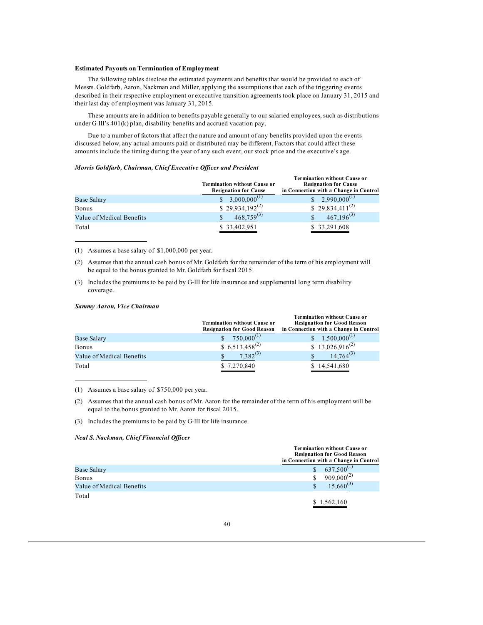#### **Estimated Payouts on Termination of Employment**

The following tables disclose the estimated payments and benefits that would be provided to each of Messrs. Goldfarb, Aaron, Nackman and Miller, applying the assumptions that each of the triggering events described in their respective employment or executive transition agreements took place on January 31, 2015 and their last day of employment was January 31, 2015.

These amounts are in addition to benefits payable generally to our salaried employees, such as distributions under G-III's 401(k) plan, disability benefits and accrued vacation pay.

Due to a number of factors that affect the nature and amount of any benefits provided upon the events discussed below, any actual amounts paid or distributed may be different. Factors that could affect these amounts include the timing during the year of any such event, our stock price and the executive's age.

## *Morris Goldfarb, Chairman, Chief Executive Of icer and President*

|                           | <b>Termination without Cause or</b><br><b>Resignation for Cause</b> | <b>Termination without Cause or</b><br><b>Resignation for Cause</b><br>in Connection with a Change in Control |
|---------------------------|---------------------------------------------------------------------|---------------------------------------------------------------------------------------------------------------|
| <b>Base Salary</b>        | $3,000,000^{(1)}$                                                   | $2,990,000^{(1)}$                                                                                             |
| Bonus                     | $$29,934,192^{(2)}$$                                                | $$29,834,411^{(2)}$                                                                                           |
| Value of Medical Benefits | $468,759^{(3)}$                                                     | $467,196^{(3)}$                                                                                               |
| Total                     | \$33,402,951                                                        | \$33,291,608                                                                                                  |

(1) Assumes a base salary of \$1,000,000 per year.

(2) Assumes that the annual cash bonus of Mr. Goldfarb for the remainder of the term of his employment will be equal to the bonus granted to Mr. Goldfarb for fiscal 2015.

(3) Includes the premiums to be paid by G-III for life insurance and supplemental long term disability coverage.

### *Sammy Aaron, Vice Chairman*

|                           | <b>Termination without Cause or</b><br><b>Resignation for Good Reason</b> | <b>Termination without Cause or</b><br><b>Resignation for Good Reason</b><br>in Connection with a Change in Control |
|---------------------------|---------------------------------------------------------------------------|---------------------------------------------------------------------------------------------------------------------|
| <b>Base Salary</b>        | $750,000^{(1)}$                                                           | $1,500,000^{(1)}$                                                                                                   |
| <b>Bonus</b>              | $$6,513,458^{(2)}$$                                                       | \$ 13,026,916 <sup>(2)</sup>                                                                                        |
| Value of Medical Benefits | $7.382^{(3)}$<br>\$                                                       | $14,764^{(3)}$                                                                                                      |
| Total                     | \$7,270,840                                                               | 14,541,680                                                                                                          |

(1) Assumes a base salary of \$750,000 per year.

(2) Assumes that the annual cash bonus of Mr. Aaron for the remainder of the term of his employment will be equal to the bonus granted to Mr. Aaron for fiscal 2015.

(3) Includes the premiums to be paid by G-III for life insurance.

# *Neal S. Nackman, Chief Financial Of icer*

|                           | <b>Termination without Cause or</b><br><b>Resignation for Good Reason</b><br>in Connection with a Change in Control |  |
|---------------------------|---------------------------------------------------------------------------------------------------------------------|--|
|                           |                                                                                                                     |  |
| <b>Base Salary</b>        | $637,500^{(1)}$                                                                                                     |  |
| Bonus                     | $909,000^{(2)}$                                                                                                     |  |
| Value of Medical Benefits | $15,660^{(3)}$                                                                                                      |  |
| Total                     | \$1,562,160                                                                                                         |  |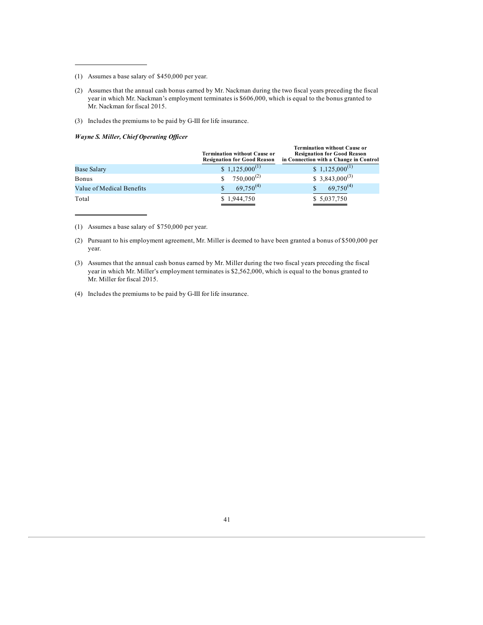- (1) Assumes a base salary of \$450,000 per year.
- (2) Assumes that the annual cash bonus earned by Mr. Nackman during the two fiscal years preceding the fiscal year in which Mr. Nackman's employment terminates is \$606,000, which is equal to the bonus granted to Mr. Nackman for fiscal 2015.
- (3) Includes the premiums to be paid by G-III for life insurance.

#### *Wayne S. Miller, Chief Operating Of icer*

|                           | <b>Termination without Cause or</b><br><b>Resignation for Good Reason</b> | <b>Termination without Cause or</b><br><b>Resignation for Good Reason</b><br>in Connection with a Change in Control |
|---------------------------|---------------------------------------------------------------------------|---------------------------------------------------------------------------------------------------------------------|
| <b>Base Salary</b>        | \$ 1,125,000 <sup>(1)</sup>                                               | $$1,125,000^{(1)}$                                                                                                  |
| Bonus                     | $750,000^{(2)}$                                                           | $$3,843,000^{(3)}$$                                                                                                 |
| Value of Medical Benefits | $69,750^{(4)}$                                                            | $69,750^{(4)}$                                                                                                      |
| Total                     | \$1,944,750                                                               | \$5,037,750                                                                                                         |

(1) Assumes a base salary of \$750,000 per year.

- (2) Pursuant to his employment agreement, Mr. Miller is deemed to have been granted a bonus of \$500,000 per year.
- (3) Assumes that the annual cash bonus earned by Mr. Miller during the two fiscal years preceding the fiscal year in which Mr. Miller's employment terminates is \$2,562,000, which is equal to the bonus granted to Mr. Miller for fiscal 2015.
- (4) Includes the premiums to be paid by G-III for life insurance.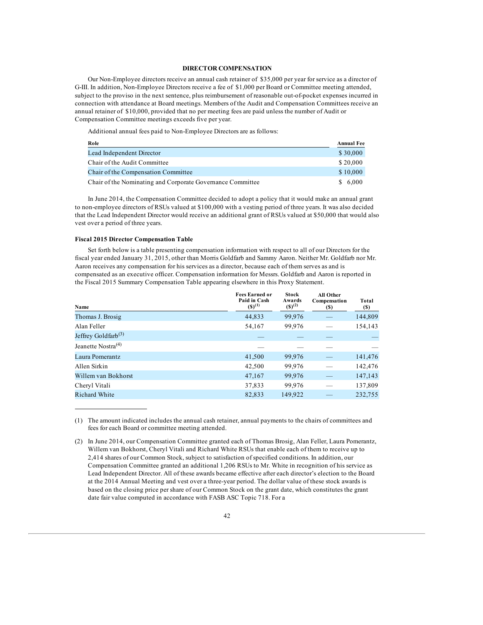### **DIRECTOR COMPENSATION**

Our Non-Employee directors receive an annual cash retainer of \$35,000 per year for service as a director of G-III. In addition, Non-Employee Directors receive a fee of \$1,000 per Board or Committee meeting attended, subject to the proviso in the next sentence, plus reimbursement of reasonable out-of-pocket expenses incurred in connection with attendance at Board meetings. Members of the Audit and Compensation Committees receive an annual retainer of \$10,000, provided that no per meeting fees are paid unless the number of Audit or Compensation Committee meetings exceeds five per year.

Additional annual fees paid to Non-Employee Directors are as follows:

| Role                                                       | <b>Annual Fee</b> |
|------------------------------------------------------------|-------------------|
| Lead Independent Director                                  | \$30,000          |
| Chair of the Audit Committee                               | \$20,000          |
| Chair of the Compensation Committee                        | \$10,000          |
| Chair of the Nominating and Corporate Governance Committee | \$6.000           |

In June 2014, the Compensation Committee decided to adopt a policy that it would make an annual grant to non-employee directors of RSUs valued at \$100,000 with a vesting period of three years. It was also decided that the Lead Independent Director would receive an additional grant of RSUs valued at \$50,000 that would also vest over a period of three years.

# **Fiscal 2015 Director Compensation Table**

Set forth below is a table presenting compensation information with respect to all of our Directors for the fiscal year ended January 31, 2015, other than Morris Goldfarb and Sammy Aaron. Neither Mr. Goldfarb nor Mr. Aaron receives any compensation for his services as a director, because each of them serves as and is compensated as an executive officer. Compensation information for Messrs. Goldfarb and Aaron is reported in the Fiscal 2015 Summary Compensation Table appearing elsewhere in this Proxy Statement.

| Name                           | <b>Fees Earned or</b><br>Paid in Cash<br>$(5)^{(1)}$ | <b>Stock</b><br>Awards<br>$(S)^{(2)}$ | All Other<br>Compensation<br>$(\$)$ | Total<br>(S) |
|--------------------------------|------------------------------------------------------|---------------------------------------|-------------------------------------|--------------|
| Thomas J. Brosig               | 44,833                                               | 99,976                                |                                     | 144,809      |
| Alan Feller                    | 54,167                                               | 99,976                                |                                     | 154,143      |
| Jeffrey Goldfarb $(3)$         |                                                      |                                       |                                     |              |
| Jeanette Nostra <sup>(4)</sup> |                                                      |                                       |                                     |              |
| Laura Pomerantz                | 41,500                                               | 99,976                                |                                     | 141,476      |
| Allen Sirkin                   | 42,500                                               | 99,976                                |                                     | 142,476      |
| Willem van Bokhorst            | 47,167                                               | 99,976                                |                                     | 147,143      |
| Cheryl Vitali                  | 37,833                                               | 99,976                                |                                     | 137,809      |
| <b>Richard White</b>           | 82,833                                               | 149,922                               |                                     | 232,755      |

(1) The amount indicated includes the annual cash retainer, annual payments to the chairs of committees and fees for each Board or committee meeting attended.

(2) In June 2014, our Compensation Committee granted each of Thomas Brosig, Alan Feller, Laura Pomerantz, Willem van Bokhorst, Cheryl Vitali and Richard White RSUs that enable each of them to receive up to 2,414 shares of our Common Stock, subject to satisfaction of specified conditions. In addition, our Compensation Committee granted an additional 1,206 RSUs to Mr. White in recognition of his service as Lead Independent Director. All of these awards became effective after each director's election to the Board at the 2014 Annual Meeting and vest over a three-year period. The dollar value of these stock awards is based on the closing price per share of our Common Stock on the grant date, which constitutes the grant date fair value computed in accordance with FASB ASC Topic 718. For a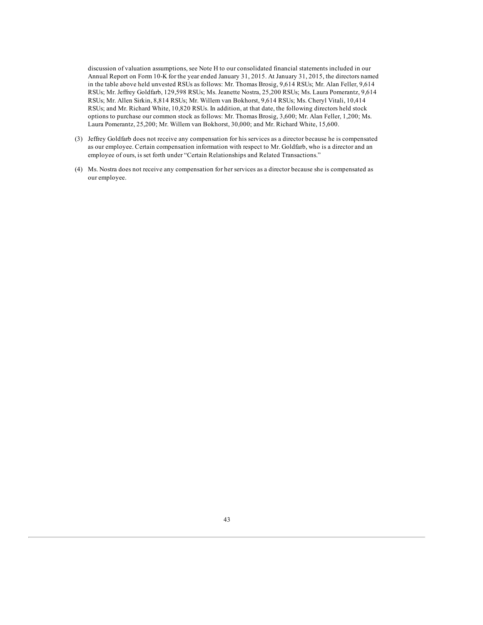discussion of valuation assumptions, see Note H to our consolidated financial statements included in our Annual Report on Form 10-K for the year ended January 31, 2015. At January 31, 2015, the directors named in the table above held unvested RSUs as follows: Mr. Thomas Brosig, 9,614 RSUs; Mr. Alan Feller, 9,614 RSUs; Mr. Jeffrey Goldfarb, 129,598 RSUs; Ms. Jeanette Nostra, 25,200 RSUs; Ms. Laura Pomerantz, 9,614 RSUs; Mr. Allen Sirkin, 8,814 RSUs; Mr. Willem van Bokhorst, 9,614 RSUs; Ms. Cheryl Vitali, 10,414 RSUs; and Mr. Richard White, 10,820 RSUs. In addition, at that date, the following directors held stock options to purchase our common stock as follows: Mr. Thomas Brosig, 3,600; Mr. Alan Feller, 1,200; Ms. Laura Pomerantz, 25,200; Mr. Willem van Bokhorst, 30,000; and Mr. Richard White, 15,600.

- (3) Jeffrey Goldfarb does not receive any compensation for his services as a director because he is compensated as our employee. Certain compensation information with respect to Mr. Goldfarb, who is a director and an employee of ours, is set forth under "Certain Relationships and Related Transactions."
- (4) Ms. Nostra does not receive any compensation for her services as a director because she is compensated as our employee.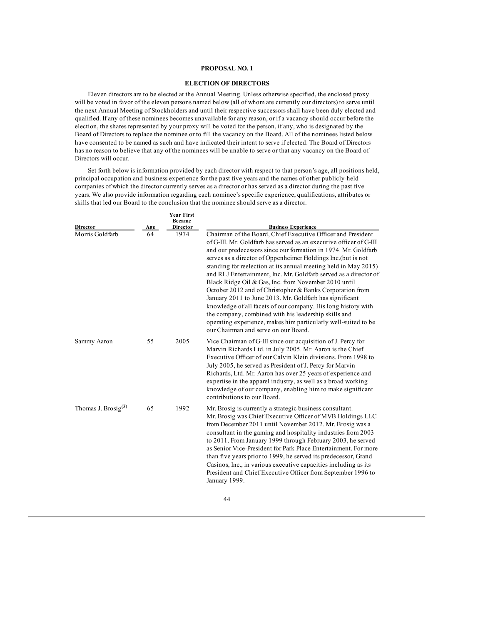# **PROPOSAL NO. 1**

# **ELECTION OF DIRECTORS**

Eleven directors are to be elected at the Annual Meeting. Unless otherwise specified, the enclosed proxy will be voted in favor of the eleven persons named below (all of whom are currently our directors) to serve until the next Annual Meeting of Stockholders and until their respective successors shall have been duly elected and qualified. If any of these nominees becomes unavailable for any reason, or if a vacancy should occur before the election, the shares represented by your proxy will be voted for the person, if any, who is designated by the Board of Directors to replace the nominee or to fill the vacancy on the Board. All of the nominees listed below have consented to be named as such and have indicated their intent to serve if elected. The Board of Directors has no reason to believe that any of the nominees will be unable to serve or that any vacancy on the Board of Directors will occur.

Set forth below is information provided by each director with respect to that person's age, all positions held, principal occupation and business experience for the past five years and the names of other publicly-held companies of which the director currently serves as a director or has served as a director during the past five years. We also provide information regarding each nominee's specific experience, qualifications, attributes or skills that led our Board to the conclusion that the nominee should serve as a director.

| <b>Director</b>                 | Age | <b>Year First</b><br><b>Became</b><br>Director | <b>Business Experience</b>                                                                                                                                                                                                                                                                                                                                                                                                                                                                                                                                                                                                                                                                                                                                                                                                    |
|---------------------------------|-----|------------------------------------------------|-------------------------------------------------------------------------------------------------------------------------------------------------------------------------------------------------------------------------------------------------------------------------------------------------------------------------------------------------------------------------------------------------------------------------------------------------------------------------------------------------------------------------------------------------------------------------------------------------------------------------------------------------------------------------------------------------------------------------------------------------------------------------------------------------------------------------------|
| Morris Goldfarb                 | 64  | 1974                                           | Chairman of the Board, Chief Executive Officer and President<br>of G-III. Mr. Goldfarb has served as an executive officer of G-III<br>and our predecessors since our formation in 1974. Mr. Goldfarb<br>serves as a director of Oppenheimer Holdings Inc.(but is not<br>standing for reelection at its annual meeting held in May 2015)<br>and RLJ Entertainment, Inc. Mr. Goldfarb served as a director of<br>Black Ridge Oil & Gas, Inc. from November 2010 until<br>October 2012 and of Christopher & Banks Corporation from<br>January 2011 to June 2013. Mr. Goldfarb has significant<br>knowledge of all facets of our company. His long history with<br>the company, combined with his leadership skills and<br>operating experience, makes him particularly well-suited to be<br>our Chairman and serve on our Board. |
| Sammy Aaron                     | 55  | 2005                                           | Vice Chairman of G-III since our acquisition of J. Percy for<br>Marvin Richards Ltd. in July 2005. Mr. Aaron is the Chief<br>Executive Officer of our Calvin Klein divisions. From 1998 to<br>July 2005, he served as President of J. Percy for Marvin<br>Richards, Ltd. Mr. Aaron has over 25 years of experience and<br>expertise in the apparel industry, as well as a broad working<br>knowledge of our company, enabling him to make significant<br>contributions to our Board.                                                                                                                                                                                                                                                                                                                                          |
| Thomas J. Brosig <sup>(3)</sup> | 65  | 1992                                           | Mr. Brosig is currently a strategic business consultant.<br>Mr. Brosig was Chief Executive Officer of MVB Holdings LLC<br>from December 2011 until November 2012. Mr. Brosig was a<br>consultant in the gaming and hospitality industries from 2003<br>to 2011. From January 1999 through February 2003, he served<br>as Senior Vice-President for Park Place Entertainment. For more<br>than five years prior to 1999, he served its predecessor, Grand<br>Casinos, Inc., in various executive capacities including as its<br>President and Chief Executive Officer from September 1996 to<br>January 1999.                                                                                                                                                                                                                  |

44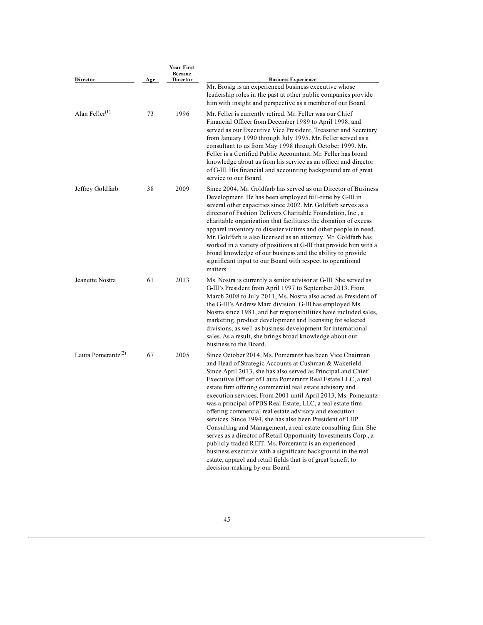| Director                                    | Age | <b>Year First</b><br><b>Became</b><br><b>Director</b> | <b>Business Experience</b>                                                                                                                                                                                                                                                                                                                                                                                                                                                                                                                                                                                                                                                                                                                                                                                                                                                                                                          |
|---------------------------------------------|-----|-------------------------------------------------------|-------------------------------------------------------------------------------------------------------------------------------------------------------------------------------------------------------------------------------------------------------------------------------------------------------------------------------------------------------------------------------------------------------------------------------------------------------------------------------------------------------------------------------------------------------------------------------------------------------------------------------------------------------------------------------------------------------------------------------------------------------------------------------------------------------------------------------------------------------------------------------------------------------------------------------------|
|                                             |     |                                                       | Mr. Brosig is an experienced business executive whose<br>leadership roles in the past at other public companies provide<br>him with insight and perspective as a member of our Board.                                                                                                                                                                                                                                                                                                                                                                                                                                                                                                                                                                                                                                                                                                                                               |
| Alan Feller <sup>(1)</sup>                  | 73  | 1996                                                  | Mr. Feller is currently retired. Mr. Feller was our Chief<br>Financial Officer from December 1989 to April 1998, and<br>served as our Executive Vice President, Treasurer and Secretary<br>from January 1990 through July 1995. Mr. Feller served as a<br>consultant to us from May 1998 through October 1999. Mr.<br>Feller is a Certified Public Accountant. Mr. Feller has broad<br>knowledge about us from his service as an officer and director<br>of G-III. His financial and accounting background are of great<br>service to our Board.                                                                                                                                                                                                                                                                                                                                                                                    |
| Jeffrey Goldfarb                            | 38  | 2009                                                  | Since 2004, Mr. Goldfarb has served as our Director of Business<br>Development. He has been employed full-time by G-III in<br>several other capacities since 2002. Mr. Goldfarb serves as a<br>director of Fashion Delivers Charitable Foundation, Inc., a<br>charitable organization that facilitates the donation of excess<br>apparel inventory to disaster victims and other people in need.<br>Mr. Goldfarb is also licensed as an attorney. Mr. Goldfarb has<br>worked in a variety of positions at G-III that provide him with a<br>broad knowledge of our business and the ability to provide<br>significant input to our Board with respect to operational<br>matters.                                                                                                                                                                                                                                                     |
| Jeanette Nostra                             | 61  | 2013                                                  | Ms. Nostra is currently a senior advisor at G-III. She served as<br>G-III's President from April 1997 to September 2013. From<br>March 2008 to July 2011, Ms. Nostra also acted as President of<br>the G-III's Andrew Marc division. G-III has employed Ms.<br>Nostra since 1981, and her responsibilities have included sales,<br>marketing, product development and licensing for selected<br>divisions, as well as business development for international<br>sales. As a result, she brings broad knowledge about our<br>business to the Board.                                                                                                                                                                                                                                                                                                                                                                                  |
| Laura Pomerantz <sup><math>(2)</math></sup> | 67  | 2005                                                  | Since October 2014, Ms. Pomerantz has been Vice Chairman<br>and Head of Strategic Accounts at Cushman & Wakefield.<br>Since April 2013, she has also served as Principal and Chief<br>Executive Officer of Laura Pomerantz Real Estate LLC, a real<br>estate firm offering commercial real estate advisory and<br>execution services. From 2001 until April 2013, Ms. Pomerantz<br>was a principal of PBS Real Estate, LLC, a real estate firm<br>offering commercial real estate advisory and execution<br>services. Since 1994, she has also been President of LHP<br>Consulting and Management, a real estate consulting firm. She<br>serves as a director of Retail Opportunity Investments Corp., a<br>publicly traded REIT. Ms. Pomerantz is an experienced<br>business executive with a significant background in the real<br>estate, apparel and retail fields that is of great benefit to<br>decision-making by our Board. |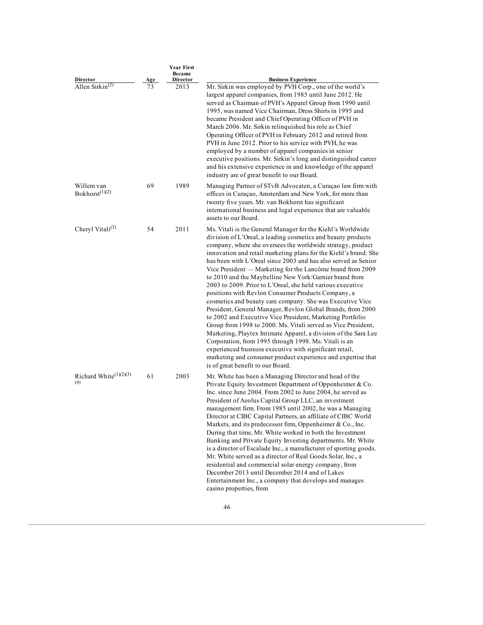|                                          |    | <b>Year First</b><br><b>Became</b> |                                                                                                                                                                                                                                                                                                                                                                                                                                                                                                                                                                                                                                                                                                                                                                                                                                                                                                                                                                                                                                                                                                                                    |
|------------------------------------------|----|------------------------------------|------------------------------------------------------------------------------------------------------------------------------------------------------------------------------------------------------------------------------------------------------------------------------------------------------------------------------------------------------------------------------------------------------------------------------------------------------------------------------------------------------------------------------------------------------------------------------------------------------------------------------------------------------------------------------------------------------------------------------------------------------------------------------------------------------------------------------------------------------------------------------------------------------------------------------------------------------------------------------------------------------------------------------------------------------------------------------------------------------------------------------------|
| Director                                 |    | Director                           | <b>Business Experience</b>                                                                                                                                                                                                                                                                                                                                                                                                                                                                                                                                                                                                                                                                                                                                                                                                                                                                                                                                                                                                                                                                                                         |
| Allen Sirkin <sup><math>(2)</math></sup> | 73 | 2013                               | Mr. Sirkin was employed by PVH Corp., one of the world's<br>largest apparel companies, from 1985 until June 2012. He<br>served as Chairman of PVH's Apparel Group from 1990 until<br>1995, was named Vice Chairman, Dress Shirts in 1995 and<br>became President and Chief Operating Officer of PVH in<br>March 2006. Mr. Sirkin relinquished his role as Chief<br>Operating Officer of PVH in February 2012 and retired from<br>PVH in June 2012. Prior to his service with PVH, he was<br>employed by a number of apparel companies in senior<br>executive positions. Mr. Sirkin's long and distinguished career<br>and his extensive experience in and knowledge of the apparel<br>industry are of great benefit to our Board.                                                                                                                                                                                                                                                                                                                                                                                                  |
| Willem van<br>Bokhorst <sup>(1)(2)</sup> | 69 | 1989                               | Managing Partner of STvB Advocaten, a Curaçao law firm with<br>offices in Curaçao, Amsterdam and New York, for more than<br>twenty five years. Mr. van Bokhorst has significant<br>international business and legal experience that are valuable<br>assets to our Board.                                                                                                                                                                                                                                                                                                                                                                                                                                                                                                                                                                                                                                                                                                                                                                                                                                                           |
| Cheryl Vitali $^{(3)}$                   | 54 | 2011                               | Ms. Vitali is the General Manager for the Kiehl's Worldwide<br>division of L'Oreal, a leading cosmetics and beauty products<br>company, where she oversees the worldwide strategy, product<br>innovation and retail marketing plans for the Kiehl's brand. She<br>has been with L'Oreal since 2003 and has also served as Senior<br>Vice President — Marketing for the Lancôme brand from 2009<br>to 2010 and the Maybelline New York/Garnier brand from<br>2003 to 2009. Prior to L'Oreal, she held various executive<br>positions with Revlon Consumer Products Company, a<br>cosmetics and beauty care company. She was Executive Vice<br>President, General Manager, Revlon Global Brands, from 2000<br>to 2002 and Executive Vice President, Marketing Portfolio<br>Group from 1998 to 2000. Ms. Vitali served as Vice President,<br>Marketing, Playtex Intimate Apparel, a division of the Sara Lee<br>Corporation, from 1995 through 1998. Ms. Vitali is an<br>experienced business executive with significant retail,<br>marketing and consumer product experience and expertise that<br>is of great benefit to our Board. |
| Richard White $(1)(2)(3)$<br>(4)         | 61 | 2003                               | Mr. White has been a Managing Director and head of the<br>Private Equity Investment Department of Oppenheimer & Co.<br>Inc. since June 2004. From 2002 to June 2004, he served as<br>President of Aeolus Capital Group LLC, an investment<br>management firm. From 1985 until 2002, he was a Managing<br>Director at CIBC Capital Partners, an affiliate of CIBC World<br>Markets, and its predecessor firm, Oppenheimer & Co., Inc.<br>During that time, Mr. White worked in both the Investment<br>Banking and Private Equity Investing departments. Mr. White<br>is a director of Escalade Inc., a manufacturer of sporting goods.<br>Mr. White served as a director of Real Goods Solar, Inc., a<br>residential and commercial solar energy company, from<br>December 2013 until December 2014 and of Lakes<br>Entertainment Inc., a company that develops and manages<br>casino properties, from                                                                                                                                                                                                                              |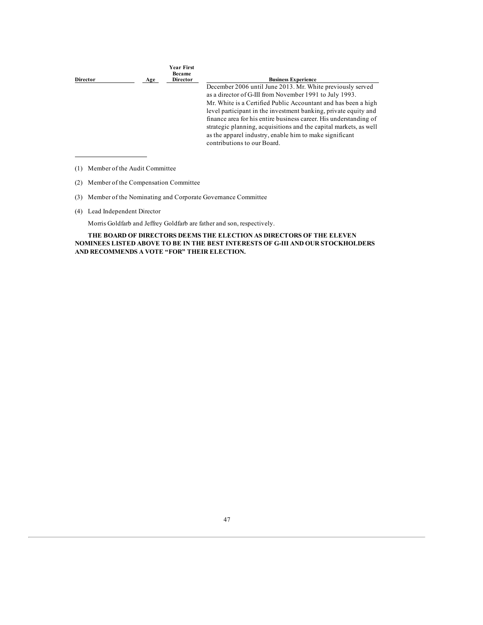| Age | <b>Year First</b><br><b>Became</b><br><b>Director</b> | <b>Business Experience</b>                                                                                                                                  |
|-----|-------------------------------------------------------|-------------------------------------------------------------------------------------------------------------------------------------------------------------|
|     |                                                       | December 2006 until June 2013. Mr. White previously served                                                                                                  |
|     |                                                       | as a director of G-III from November 1991 to July 1993.                                                                                                     |
|     |                                                       | Mr. White is a Certified Public Accountant and has been a high                                                                                              |
|     |                                                       | level participant in the investment banking, private equity and                                                                                             |
|     |                                                       | finance area for his entire business career. His understanding of                                                                                           |
|     |                                                       | strategic planning, acquisitions and the capital markets, as well<br>as the apparel industry, enable him to make significant<br>contributions to our Board. |
|     |                                                       |                                                                                                                                                             |

<sup>(1)</sup> Member of the Audit Committee

- (3) Member of the Nominating and Corporate Governance Committee
- (4) Lead Independent Director

Morris Goldfarb and Jeffrey Goldfarb are father and son, respectively.

**THE BOARD OF DIRECTORS DEEMS THE ELECTION AS DIRECTORS OF THE ELEVEN NOMINEES LISTED ABOVE TO BE IN THE BEST INTERESTS OF G-III AND OUR STOCKHOLDERS AND RECOMMENDS A VOTE "FOR" THEIR ELECTION.**

<sup>(2)</sup> Member of the Compensation Committee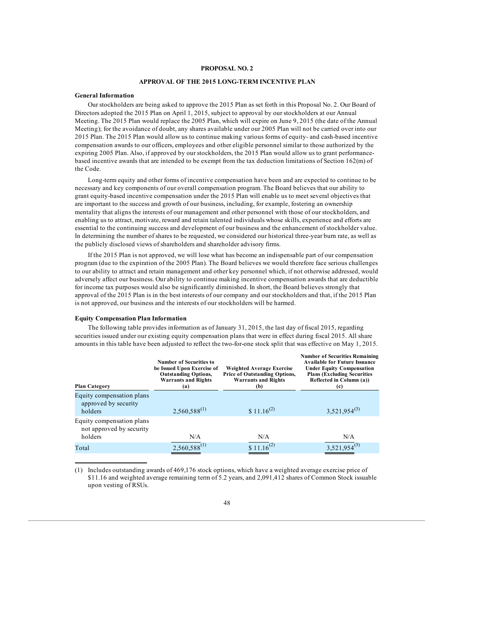## **PROPOSAL NO. 2**

# **APPROVAL OF THE 2015 LONG-TERM INCENTIVE PLAN**

### **General Information**

Our stockholders are being asked to approve the 2015 Plan as set forth in this Proposal No. 2. Our Board of Directors adopted the 2015 Plan on April 1, 2015, subject to approval by our stockholders at our Annual Meeting. The 2015 Plan would replace the 2005 Plan, which will expire on June 9, 2015 (the date of the Annual Meeting); for the avoidance of doubt, any shares available under our 2005 Plan will not be carried over into our 2015 Plan. The 2015 Plan would allow us to continue making various forms of equity- and cash-based incentive compensation awards to our officers, employees and other eligible personnel similar to those authorized by the expiring 2005 Plan. Also, if approved by our stockholders, the 2015 Plan would allow us to grant performancebased incentive awards that are intended to be exempt from the tax deduction limitations of Section 162(m) of the Code.

Long-term equity and other forms of incentive compensation have been and are expected to continue to be necessary and key components of our overall compensation program. The Board believes that our ability to grant equity-based incentive compensation under the 2015 Plan will enable us to meet several objectives that are important to the success and growth of our business, including, for example, fostering an ownership mentality that aligns the interests of our management and other personnel with those of our stockholders, and enabling us to attract, motivate, reward and retain talented individuals whose skills, experience and efforts are essential to the continuing success and development of our business and the enhancement of stockholder value. In determining the number of shares to be requested, we considered our historical three-year burn rate, as well as the publicly disclosed views of shareholders and shareholder advisory firms.

If the 2015 Plan is not approved, we will lose what has become an indispensable part of our compensation program (due to the expiration of the 2005 Plan). The Board believes we would therefore face serious challenges to our ability to attract and retain management and other key personnel which, if not otherwise addressed, would adversely affect our business. Our ability to continue making incentive compensation awards that are deductible for income tax purposes would also be significantly diminished. In short, the Board believes strongly that approval of the 2015 Plan is in the best interests of our company and our stockholders and that, if the 2015 Plan is not approved, our business and the interests of our stockholders will be harmed.

#### **Equity Compensation Plan Information**

The following table provides information as of January 31, 2015, the last day of fiscal 2015, regarding securities issued under our existing equity compensation plans that were in effect during fiscal 2015. All share amounts in this table have been adjusted to reflect the two-for-one stock split that was effective on May 1, 2015.

| <b>Plan Category</b>                                             | <b>Number of Securities to</b><br>be Issued Upon Exercise of<br><b>Outstanding Options,</b><br><b>Warrants and Rights</b><br>(a) | <b>Weighted Average Exercise</b><br><b>Price of Outstanding Options,</b><br><b>Warrants and Rights</b><br>(b) | <b>Number of Securities Remaining</b><br><b>Available for Future Issuance</b><br><b>Under Equity Compensation</b><br><b>Plans (Excluding Securities)</b><br>Reflected in Column (a))<br>(c) |
|------------------------------------------------------------------|----------------------------------------------------------------------------------------------------------------------------------|---------------------------------------------------------------------------------------------------------------|---------------------------------------------------------------------------------------------------------------------------------------------------------------------------------------------|
| Equity compensation plans<br>approved by security<br>holders     | $2,560,588^{(1)}$                                                                                                                | $$11.16^{(2)}$                                                                                                | $3,521,954^{(3)}$                                                                                                                                                                           |
| Equity compensation plans<br>not approved by security<br>holders | N/A                                                                                                                              | N/A                                                                                                           | N/A                                                                                                                                                                                         |
| Total                                                            | $2,560,588^{(1)}$                                                                                                                | $$11.16^{(2)}$                                                                                                | $3,521,954^{(3)}$                                                                                                                                                                           |

(1) Includes outstanding awards of 469,176 stock options, which have a weighted average exercise price of \$11.16 and weighted average remaining term of 5.2 years, and 2,091,412 shares of Common Stock issuable upon vesting of RSUs.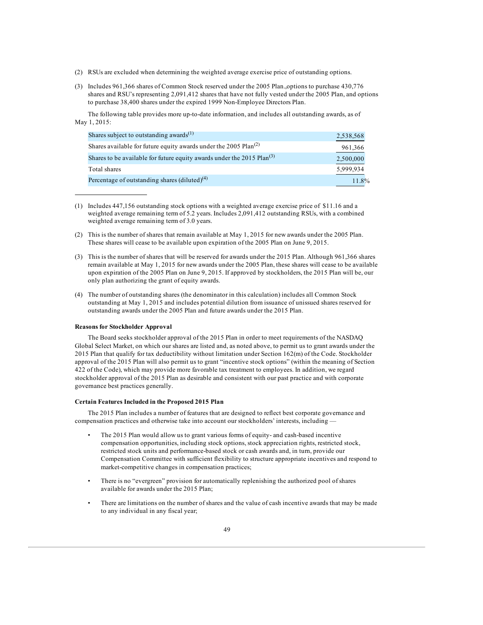- (2) RSUs are excluded when determining the weighted average exercise price of outstanding options.
- (3) Includes 961,366 shares of Common Stock reserved under the 2005 Plan.,options to purchase 430,776 shares and RSU's representing 2,091,412 shares that have not fully vested under the 2005 Plan, and options to purchase 38,400 shares under the expired 1999 Non-Employee Directors Plan.

The following table provides more up-to-date information, and includes all outstanding awards, as of May 1, 2015:

| Shares subject to outstanding awards <sup>(1)</sup>                          | 2,538,568 |
|------------------------------------------------------------------------------|-----------|
| Shares available for future equity awards under the 2005 Plan <sup>(2)</sup> | 961,366   |
| Shares to be available for future equity awards under the 2015 $Plan^{(3)}$  | 2,500,000 |
| Total shares                                                                 | 5,999,934 |
| Percentage of outstanding shares $(diluted)^{(4)}$                           | 11.8%     |

- (1) Includes 447,156 outstanding stock options with a weighted average exercise price of \$11.16 and a weighted average remaining term of 5.2 years. Includes 2,091,412 outstanding RSUs, with a combined weighted average remaining term of 3.0 years.
- (2) This is the number of shares that remain available at May 1, 2015 for new awards under the 2005 Plan. These shares will cease to be available upon expiration of the 2005 Plan on June 9, 2015.
- (3) This is the number of shares that will be reserved for awards under the 2015 Plan. Although 961,366 shares remain available at May 1, 2015 for new awards under the 2005 Plan, these shares will cease to be available upon expiration of the 2005 Plan on June 9, 2015. If approved by stockholders, the 2015 Plan will be, our only plan authorizing the grant of equity awards.
- (4) The number of outstanding shares (the denominator in this calculation) includes all Common Stock outstanding at May 1, 2015 and includes potential dilution from issuance of unissued shares reserved for outstanding awards under the 2005 Plan and future awards under the 2015 Plan.

### **Reasons for Stockholder Approval**

The Board seeks stockholder approval of the 2015 Plan in order to meet requirements of the NASDAQ Global Select Market, on which our shares are listed and, as noted above, to permit us to grant awards under the 2015 Plan that qualify for tax deductibility without limitation under Section 162(m) of the Code. Stockholder approval of the 2015 Plan will also permit us to grant "incentive stock options" (within the meaning of Section 422 of the Code), which may provide more favorable tax treatment to employees. In addition, we regard stockholder approval of the 2015 Plan as desirable and consistent with our past practice and with corporate governance best practices generally.

## **Certain Features Included in the Proposed 2015 Plan**

The 2015 Plan includes a number of features that are designed to reflect best corporate governance and compensation practices and otherwise take into account our stockholders' interests, including —

- The 2015 Plan would allow us to grant various forms of equity- and cash-based incentive compensation opportunities, including stock options, stock appreciation rights, restricted stock, restricted stock units and performance-based stock or cash awards and, in turn, provide our Compensation Committee with sufficient flexibility to structure appropriate incentives and respond to market-competitive changes in compensation practices;
- There is no "evergreen" provision for automatically replenishing the authorized pool of shares available for awards under the 2015 Plan;
- There are limitations on the number of shares and the value of cash incentive awards that may be made to any individual in any fiscal year;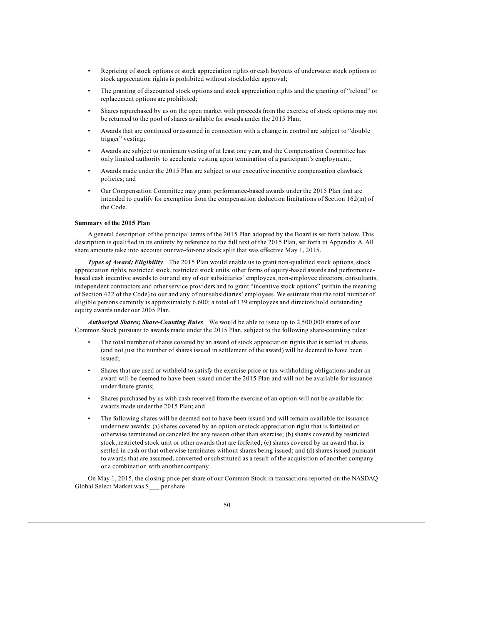- Repricing of stock options or stock appreciation rights or cash buyouts of underwater stock options or stock appreciation rights is prohibited without stockholder approval;
- The granting of discounted stock options and stock appreciation rights and the granting of "reload" or replacement options are prohibited;
- Shares repurchased by us on the open market with proceeds from the exercise of stock options may not be returned to the pool of shares available for awards under the 2015 Plan;
- Awards that are continued or assumed in connection with a change in control are subject to "double trigger" vesting;
- Awards are subject to minimum vesting of at least one year, and the Compensation Committee has only limited authority to accelerate vesting upon termination of a participant's employment;
- Awards made under the 2015 Plan are subject to our executive incentive compensation clawback policies; and
- Our Compensation Committee may grant performance-based awards under the 2015 Plan that are intended to qualify for exemption from the compensation deduction limitations of Section 162(m) of the Code.

### **Summary of the 2015 Plan**

A general description of the principal terms of the 2015 Plan adopted by the Board is set forth below. This description is qualified in its entirety by reference to the full text of the 2015 Plan, set forth in Appendix A. All share amounts take into account our two-for-one stock split that was effective May 1, 2015.

*Types of Award; Eligibility*. The 2015 Plan would enable us to grant non-qualified stock options, stock appreciation rights, restricted stock, restricted stock units, other forms of equity-based awards and performancebased cash incentive awards to our and any of our subsidiaries' employees, non-employee directors, consultants, independent contractors and other service providers and to grant "incentive stock options" (within the meaning of Section 422 of the Code) to our and any of our subsidiaries' employees. We estimate that the total number of eligible persons currently is approximately 6,600; a total of 139 employees and directors hold outstanding equity awards under our 2005 Plan.

*Authorized Shares; Share-Counting Rules*. We would be able to issue up to 2,500,000 shares of our Common Stock pursuant to awards made under the 2015 Plan, subject to the following share-counting rules:

- The total number of shares covered by an award of stock appreciation rights that is settled in shares (and not just the number of shares issued in settlement of the award) will be deemed to have been issued;
- Shares that are used or withheld to satisfy the exercise price or tax withholding obligations under an award will be deemed to have been issued under the 2015 Plan and will not be available for issuance under future grants;
- Shares purchased by us with cash received from the exercise of an option will not be available for awards made under the 2015 Plan; and
- The following shares will be deemed not to have been issued and will remain available for issuance under new awards: (a) shares covered by an option or stock appreciation right that is forfeited or otherwise terminated or canceled for any reason other than exercise; (b) shares covered by restricted stock, restricted stock unit or other awards that are forfeited; (c) shares covered by an award that is settled in cash or that otherwise terminates without shares being issued; and (d) shares issued pursuant to awards that are assumed, converted or substituted as a result of the acquisition of another company or a combination with another company.

On May 1, 2015, the closing price per share of our Common Stock in transactions reported on the NASDAQ Global Select Market was \$\_\_\_ per share.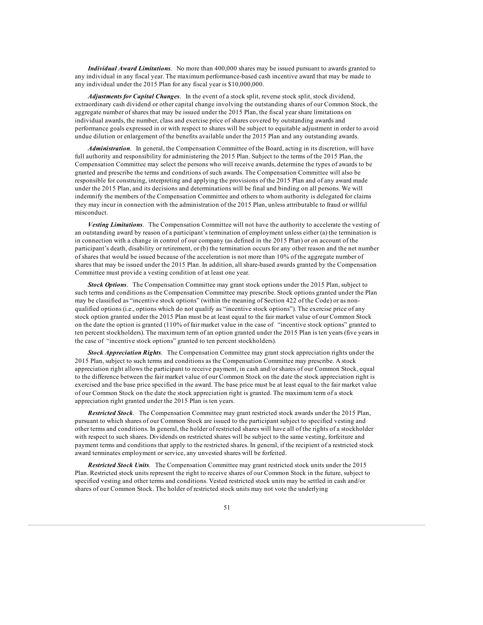*Individual Award Limitations*. No more than 400,000 shares may be issued pursuant to awards granted to any individual in any fiscal year. The maximum performance-based cash incentive award that may be made to any individual under the 2015 Plan for any fiscal year is \$10,000,000.

*Adjustments for Capital Changes*. In the event of a stock split, reverse stock split, stock dividend, extraordinary cash dividend or other capital change involving the outstanding shares of our Common Stock, the aggregate number of shares that may be issued under the 2015 Plan, the fiscal year share limitations on individual awards, the number, class and exercise price of shares covered by outstanding awards and performance goals expressed in or with respect to shares will be subject to equitable adjustment in order to avoid undue dilution or enlargement of the benefits available under the 2015 Plan and any outstanding awards.

*Administration*. In general, the Compensation Committee of the Board, acting in its discretion, will have full authority and responsibility for administering the 2015 Plan. Subject to the terms of the 2015 Plan, the Compensation Committee may select the persons who will receive awards, determine the types of awards to be granted and prescribe the terms and conditions of such awards. The Compensation Committee will also be responsible for construing, interpreting and applying the provisions of the 2015 Plan and of any award made under the 2015 Plan, and its decisions and determinations will be final and binding on all persons. We will indemnify the members of the Compensation Committee and others to whom authority is delegated for claims they may incur in connection with the administration of the 2015 Plan, unless attributable to fraud or willful misconduct.

*Vesting Limitations*. The Compensation Committee will not have the authority to accelerate the vesting of an outstanding award by reason of a participant's termination of employment unless either (a) the termination is in connection with a change in control of our company (as defined in the 2015 Plan) or on account of the participant's death, disability or retirement, or (b) the termination occurs for any other reason and the net number of shares that would be issued because of the acceleration is not more than 10% of the aggregate number of shares that may be issued under the 2015 Plan. In addition, all share-based awards granted by the Compensation Committee must provide a vesting condition of at least one year.

*Stock Options*. The Compensation Committee may grant stock options under the 2015 Plan, subject to such terms and conditions as the Compensation Committee may prescribe. Stock options granted under the Plan may be classified as "incentive stock options" (within the meaning of Section 422 of the Code) or as nonqualified options (i.e., options which do not qualify as "incentive stock options"). The exercise price of any stock option granted under the 2015 Plan must be at least equal to the fair market value of our Common Stock on the date the option is granted (110% of fair market value in the case of "incentive stock options" granted to ten percent stockholders). The maximum term of an option granted under the 2015 Plan is ten years (five years in the case of "incentive stock options" granted to ten percent stockholders).

*Stock Appreciation Rights*. The Compensation Committee may grant stock appreciation rights under the 2015 Plan, subject to such terms and conditions as the Compensation Committee may prescribe. A stock appreciation right allows the participant to receive payment, in cash and/or shares of our Common Stock, equal to the difference between the fair market value of our Common Stock on the date the stock appreciation right is exercised and the base price specified in the award. The base price must be at least equal to the fair market value of our Common Stock on the date the stock appreciation right is granted. The maximum term of a stock appreciation right granted under the 2015 Plan is ten years.

*Restricted Stock*. The Compensation Committee may grant restricted stock awards under the 2015 Plan, pursuant to which shares of our Common Stock are issued to the participant subject to specified vesting and other terms and conditions. In general, the holder of restricted shares will have all of the rights of a stockholder with respect to such shares. Dividends on restricted shares will be subject to the same vesting, forfeiture and payment terms and conditions that apply to the restricted shares. In general, if the recipient of a restricted stock award terminates employment or service, any unvested shares will be forfeited.

*Restricted Stock Units*. The Compensation Committee may grant restricted stock units under the 2015 Plan. Restricted stock units represent the right to receive shares of our Common Stock in the future, subject to specified vesting and other terms and conditions. Vested restricted stock units may be settled in cash and/or shares of our Common Stock. The holder of restricted stock units may not vote the underlying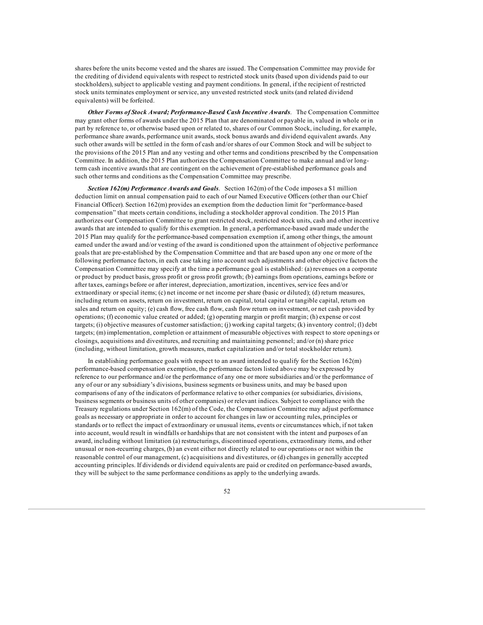shares before the units become vested and the shares are issued. The Compensation Committee may provide for the crediting of dividend equivalents with respect to restricted stock units (based upon dividends paid to our stockholders), subject to applicable vesting and payment conditions. In general, if the recipient of restricted stock units terminates employment or service, any unvested restricted stock units (and related dividend equivalents) will be forfeited.

*Other Forms of Stock Award; Performance-Based Cash Incentive Awards*. The Compensation Committee may grant other forms of awards under the 2015 Plan that are denominated or payable in, valued in whole or in part by reference to, or otherwise based upon or related to, shares of our Common Stock, including, for example, performance share awards, performance unit awards, stock bonus awards and dividend equivalent awards. Any such other awards will be settled in the form of cash and/or shares of our Common Stock and will be subject to the provisions of the 2015 Plan and any vesting and other terms and conditions prescribed by the Compensation Committee. In addition, the 2015 Plan authorizes the Compensation Committee to make annual and/or longterm cash incentive awards that are contingent on the achievement of pre-established performance goals and such other terms and conditions as the Compensation Committee may prescribe.

*Section 162(m) Performance Awards and Goals*. Section 162(m) of the Code imposes a \$1 million deduction limit on annual compensation paid to each of our Named Executive Officers (other than our Chief Financial Officer). Section 162(m) provides an exemption from the deduction limit for "performance-based compensation" that meets certain conditions, including a stockholder approval condition. The 2015 Plan authorizes our Compensation Committee to grant restricted stock, restricted stock units, cash and other incentive awards that are intended to qualify for this exemption. In general, a performance-based award made under the 2015 Plan may qualify for the performance-based compensation exemption if, among other things, the amount earned under the award and/or vesting of the award is conditioned upon the attainment of objective performance goals that are pre-established by the Compensation Committee and that are based upon any one or more of the following performance factors, in each case taking into account such adjustments and other objective factors the Compensation Committee may specify at the time a performance goal is established: (a) revenues on a corporate or product by product basis, gross profit or gross profit growth; (b) earnings from operations, earnings before or after taxes, earnings before or after interest, depreciation, amortization, incentives, service fees and/or extraordinary or special items; (c) net income or net income per share (basic or diluted); (d) return measures, including return on assets, return on investment, return on capital, total capital or tangible capital, return on sales and return on equity; (e) cash flow, free cash flow, cash flow return on investment, or net cash provided by operations; (f) economic value created or added; (g) operating margin or profit margin; (h) expense or cost targets; (i) objective measures of customer satisfaction; (j) working capital targets; (k) inventory control; (l) debt targets; (m) implementation, completion or attainment of measurable objectives with respect to store openings or closings, acquisitions and divestitures, and recruiting and maintaining personnel; and/or (n) share price (including, without limitation, growth measures, market capitalization and/or total stockholder return).

In establishing performance goals with respect to an award intended to qualify for the Section  $162(m)$ performance-based compensation exemption, the performance factors listed above may be expressed by reference to our performance and/or the performance of any one or more subsidiaries and/or the performance of any of our or any subsidiary's divisions, business segments or business units, and may be based upon comparisons of any of the indicators of performance relative to other companies (or subsidiaries, divisions, business segments or business units of other companies) or relevant indices. Subject to compliance with the Treasury regulations under Section 162(m) of the Code, the Compensation Committee may adjust performance goals as necessary or appropriate in order to account for changes in law or accounting rules, principles or standards or to reflect the impact of extraordinary or unusual items, events or circumstances which, if not taken into account, would result in windfalls or hardships that are not consistent with the intent and purposes of an award, including without limitation (a) restructurings, discontinued operations, extraordinary items, and other unusual or non-recurring charges, (b) an event either not directly related to our operations or not within the reasonable control of our management, (c) acquisitions and divestitures, or (d) changes in generally accepted accounting principles. If dividends or dividend equivalents are paid or credited on performance-based awards, they will be subject to the same performance conditions as apply to the underlying awards.

52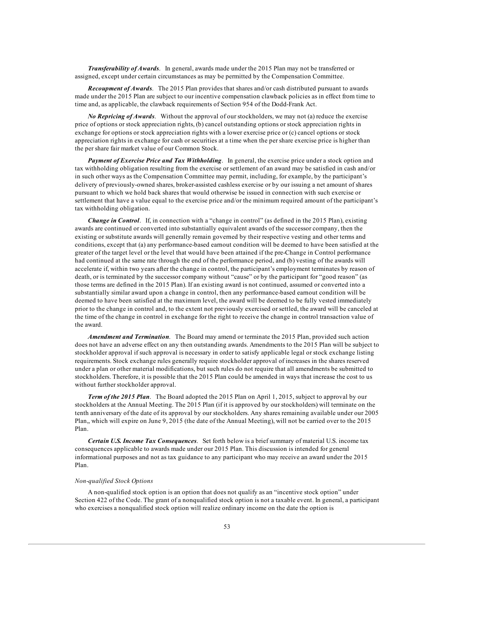*Transferability of Awards*. In general, awards made under the 2015 Plan may not be transferred or assigned, except under certain circumstances as may be permitted by the Compensation Committee.

*Recoupment of Awards*. The 2015 Plan provides that shares and/or cash distributed pursuant to awards made under the 2015 Plan are subject to our incentive compensation clawback policies as in effect from time to time and, as applicable, the clawback requirements of Section 954 of the Dodd-Frank Act.

*No Repricing of Awards*. Without the approval of our stockholders, we may not (a) reduce the exercise price of options or stock appreciation rights, (b) cancel outstanding options or stock appreciation rights in exchange for options or stock appreciation rights with a lower exercise price or (c) cancel options or stock appreciation rights in exchange for cash or securities at a time when the per share exercise price is higher than the per share fair market value of our Common Stock.

*Payment of Exercise Price and Tax Withholding*. In general, the exercise price under a stock option and tax withholding obligation resulting from the exercise or settlement of an award may be satisfied in cash and/or in such other ways as the Compensation Committee may permit, including, for example, by the participant's delivery of previously-owned shares, broker-assisted cashless exercise or by our issuing a net amount of shares pursuant to which we hold back shares that would otherwise be issued in connection with such exercise or settlement that have a value equal to the exercise price and/or the minimum required amount of the participant's tax withholding obligation.

*Change in Control*. If, in connection with a "change in control" (as defined in the 2015 Plan), existing awards are continued or converted into substantially equivalent awards of the successor company, then the existing or substitute awards will generally remain governed by their respective vesting and other terms and conditions, except that (a) any performance-based earnout condition will be deemed to have been satisfied at the greater of the target level or the level that would have been attained if the pre-Change in Control performance had continued at the same rate through the end of the performance period, and (b) vesting of the awards will accelerate if, within two years after the change in control, the participant's employment terminates by reason of death, or is terminated by the successor company without "cause" or by the participant for "good reason" (as those terms are defined in the 2015 Plan). If an existing award is not continued, assumed or converted into a substantially similar award upon a change in control, then any performance-based earnout condition will be deemed to have been satisfied at the maximum level, the award will be deemed to be fully vested immediately prior to the change in control and, to the extent not previously exercised or settled, the award will be canceled at the time of the change in control in exchange for the right to receive the change in control transaction value of the award.

*Amendment and Termination*. The Board may amend or terminate the 2015 Plan, provided such action does not have an adverse effect on any then outstanding awards. Amendments to the 2015 Plan will be subject to stockholder approval if such approval is necessary in order to satisfy applicable legal or stock exchange listing requirements. Stock exchange rules generally require stockholder approval of increases in the shares reserved under a plan or other material modifications, but such rules do not require that all amendments be submitted to stockholders. Therefore, it is possible that the 2015 Plan could be amended in ways that increase the cost to us without further stockholder approval.

*Term of the 2015 Plan*. The Board adopted the 2015 Plan on April 1, 2015, subject to approval by our stockholders at the Annual Meeting. The 2015 Plan (if it is approved by our stockholders) will terminate on the tenth anniversary of the date of its approval by our stockholders. Any shares remaining available under our 2005 Plan,, which will expire on June 9, 2015 (the date of the Annual Meeting), will not be carried over to the 2015 Plan.

*Certain U.S. Income Tax Consequences*. Set forth below is a brief summary of material U.S. income tax consequences applicable to awards made under our 2015 Plan. This discussion is intended for general informational purposes and not as tax guidance to any participant who may receive an award under the 2015 Plan.

## *Non-qualified Stock Options*

A non-qualified stock option is an option that does not qualify as an "incentive stock option" under Section 422 of the Code. The grant of a nonqualified stock option is not a taxable event. In general, a participant who exercises a nonqualified stock option will realize ordinary income on the date the option is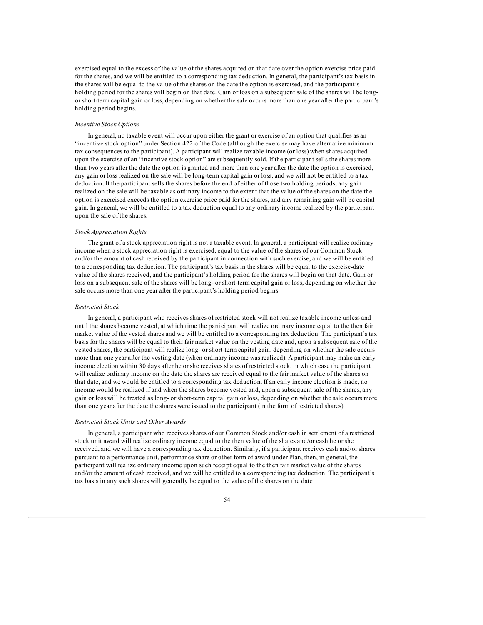exercised equal to the excess of the value of the shares acquired on that date over the option exercise price paid for the shares, and we will be entitled to a corresponding tax deduction. In general, the participant's tax basis in the shares will be equal to the value of the shares on the date the option is exercised, and the participant's holding period for the shares will begin on that date. Gain or loss on a subsequent sale of the shares will be longor short-term capital gain or loss, depending on whether the sale occurs more than one year after the participant's holding period begins.

### *Incentive Stock Options*

In general, no taxable event will occur upon either the grant or exercise of an option that qualifies as an "incentive stock option" under Section 422 of the Code (although the exercise may have alternative minimum tax consequences to the participant). A participant will realize taxable income (or loss) when shares acquired upon the exercise of an "incentive stock option" are subsequently sold. If the participant sells the shares more than two years after the date the option is granted and more than one year after the date the option is exercised, any gain or loss realized on the sale will be long-term capital gain or loss, and we will not be entitled to a tax deduction. If the participant sells the shares before the end of either of those two holding periods, any gain realized on the sale will be taxable as ordinary income to the extent that the value of the shares on the date the option is exercised exceeds the option exercise price paid for the shares, and any remaining gain will be capital gain. In general, we will be entitled to a tax deduction equal to any ordinary income realized by the participant upon the sale of the shares.

#### *Stock Appreciation Rights*

The grant of a stock appreciation right is not a taxable event. In general, a participant will realize ordinary income when a stock appreciation right is exercised, equal to the value of the shares of our Common Stock and/or the amount of cash received by the participant in connection with such exercise, and we will be entitled to a corresponding tax deduction. The participant's tax basis in the shares will be equal to the exercise-date value of the shares received, and the participant's holding period for the shares will begin on that date. Gain or loss on a subsequent sale of the shares will be long- or short-term capital gain or loss, depending on whether the sale occurs more than one year after the participant's holding period begins.

### *Restricted Stock*

In general, a participant who receives shares of restricted stock will not realize taxable income unless and until the shares become vested, at which time the participant will realize ordinary income equal to the then fair market value of the vested shares and we will be entitled to a corresponding tax deduction. The participant's tax basis for the shares will be equal to their fair market value on the vesting date and, upon a subsequent sale of the vested shares, the participant will realize long- or short-term capital gain, depending on whether the sale occurs more than one year after the vesting date (when ordinary income was realized). A participant may make an early income election within 30 days after he or she receives shares of restricted stock, in which case the participant will realize ordinary income on the date the shares are received equal to the fair market value of the shares on that date, and we would be entitled to a corresponding tax deduction. If an early income election is made, no income would be realized if and when the shares become vested and, upon a subsequent sale of the shares, any gain or loss will be treated as long- or short-term capital gain or loss, depending on whether the sale occurs more than one year after the date the shares were issued to the participant (in the form of restricted shares).

#### *Restricted Stock Units and Other Awards*

In general, a participant who receives shares of our Common Stock and/or cash in settlement of a restricted stock unit award will realize ordinary income equal to the then value of the shares and/or cash he or she received, and we will have a corresponding tax deduction. Similarly, if a participant receives cash and/or shares pursuant to a performance unit, performance share or other form of award under Plan, then, in general, the participant will realize ordinary income upon such receipt equal to the then fair market value of the shares and/or the amount of cash received, and we will be entitled to a corresponding tax deduction. The participant's tax basis in any such shares will generally be equal to the value of the shares on the date

# 54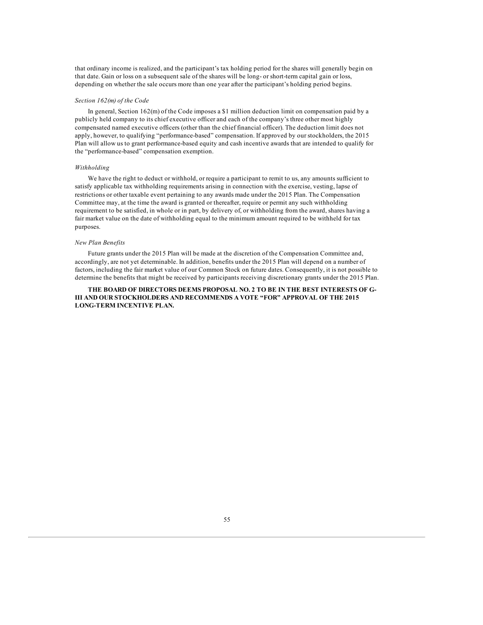that ordinary income is realized, and the participant's tax holding period for the shares will generally begin on that date. Gain or loss on a subsequent sale of the shares will be long- or short-term capital gain or loss, depending on whether the sale occurs more than one year after the participant's holding period begins.

### *Section 162(m) of the Code*

In general, Section 162(m) of the Code imposes a \$1 million deduction limit on compensation paid by a publicly held company to its chief executive officer and each of the company's three other most highly compensated named executive officers (other than the chief financial officer). The deduction limit does not apply, however, to qualifying "performance-based" compensation. If approved by our stockholders, the 2015 Plan will allow us to grant performance-based equity and cash incentive awards that are intended to qualify for the "performance-based" compensation exemption.

## *Withholding*

We have the right to deduct or withhold, or require a participant to remit to us, any amounts sufficient to satisfy applicable tax withholding requirements arising in connection with the exercise, vesting, lapse of restrictions or other taxable event pertaining to any awards made under the 2015 Plan. The Compensation Committee may, at the time the award is granted or thereafter, require or permit any such withholding requirement to be satisfied, in whole or in part, by delivery of, or withholding from the award, shares having a fair market value on the date of withholding equal to the minimum amount required to be withheld for tax purposes.

# *New Plan Benefits*

Future grants under the 2015 Plan will be made at the discretion of the Compensation Committee and, accordingly, are not yet determinable. In addition, benefits under the 2015 Plan will depend on a number of factors, including the fair market value of our Common Stock on future dates. Consequently, it is not possible to determine the benefits that might be received by participants receiving discretionary grants under the 2015 Plan.

## **THE BOARD OF DIRECTORS DEEMS PROPOSAL NO. 2 TO BE IN THE BEST INTERESTS OF G-III AND OUR STOCKHOLDERS AND RECOMMENDS A VOTE "FOR" APPROVAL OF THE 2015 LONG-TERM INCENTIVE PLAN.**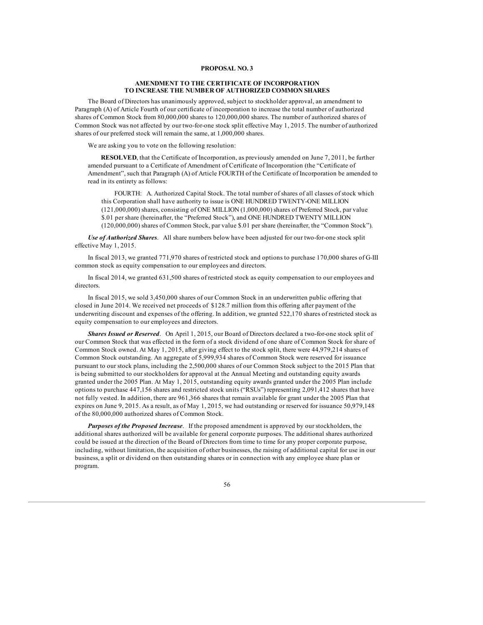# **PROPOSAL NO. 3**

### **AMENDMENT TO THE CERTIFICATE OF INCORPORATION TO INCREASE THE NUMBER OF AUTHORIZED COMMON SHARES**

The Board of Directors has unanimously approved, subject to stockholder approval, an amendment to Paragraph (A) of Article Fourth of our certificate of incorporation to increase the total number of authorized shares of Common Stock from 80,000,000 shares to 120,000,000 shares. The number of authorized shares of Common Stock was not affected by our two-for-one stock split effective May 1, 2015. The number of authorized shares of our preferred stock will remain the same, at 1,000,000 shares.

We are asking you to vote on the following resolution:

**RESOLVED**, that the Certificate of Incorporation, as previously amended on June 7, 2011, be further amended pursuant to a Certificate of Amendment of Certificate of Incorporation (the "Certificate of Amendment", such that Paragraph (A) of Article FOURTH of the Certificate of Incorporation be amended to read in its entirety as follows:

FOURTH: A. Authorized Capital Stock. The total number of shares of all classes of stock which this Corporation shall have authority to issue is ONE HUNDRED TWENTY-ONE MILLION (121,000,000) shares, consisting of ONE MILLION (1,000,000) shares of Preferred Stock, par value

\$.01 per share (hereinafter, the "Preferred Stock"), and ONE HUNDRED TWENTY MILLION

(120,000,000) shares of Common Stock, par value \$.01 per share (hereinafter, the "Common Stock").

*Use of Authorized Shares*. All share numbers below have been adjusted for our two-for-one stock split effective May 1, 2015.

In fiscal 2013, we granted 771,970 shares of restricted stock and options to purchase 170,000 shares of G-III common stock as equity compensation to our employees and directors.

In fiscal 2014, we granted 631,500 shares of restricted stock as equity compensation to our employees and directors.

In fiscal 2015, we sold 3,450,000 shares of our Common Stock in an underwritten public offering that closed in June 2014. We received net proceeds of \$128.7 million from this offering after payment of the underwriting discount and expenses of the offering. In addition, we granted 522,170 shares of restricted stock as equity compensation to our employees and directors.

*Shares Issued or Reserved*. On April 1, 2015, our Board of Directors declared a two-for-one stock split of our Common Stock that was effected in the form of a stock dividend of one share of Common Stock for share of Common Stock owned. At May 1, 2015, after giving effect to the stock split, there were 44,979,214 shares of Common Stock outstanding. An aggregate of 5,999,934 shares of Common Stock were reserved for issuance pursuant to our stock plans, including the 2,500,000 shares of our Common Stock subject to the 2015 Plan that is being submitted to our stockholders for approval at the Annual Meeting and outstanding equity awards granted under the 2005 Plan. At May 1, 2015, outstanding equity awards granted under the 2005 Plan include options to purchase 447,156 shares and restricted stock units ("RSUs") representing 2,091,412 shares that have not fully vested. In addition, there are 961,366 shares that remain available for grant under the 2005 Plan that expires on June 9, 2015. As a result, as of May 1, 2015, we had outstanding or reserved for issuance 50,979,148 of the 80,000,000 authorized shares of Common Stock.

*Purposes of the Proposed Increase*. If the proposed amendment is approved by our stockholders, the additional shares authorized will be available for general corporate purposes. The additional shares authorized could be issued at the direction of the Board of Directors from time to time for any proper corporate purpose, including, without limitation, the acquisition of other businesses, the raising of additional capital for use in our business, a split or dividend on then outstanding shares or in connection with any employee share plan or program.

56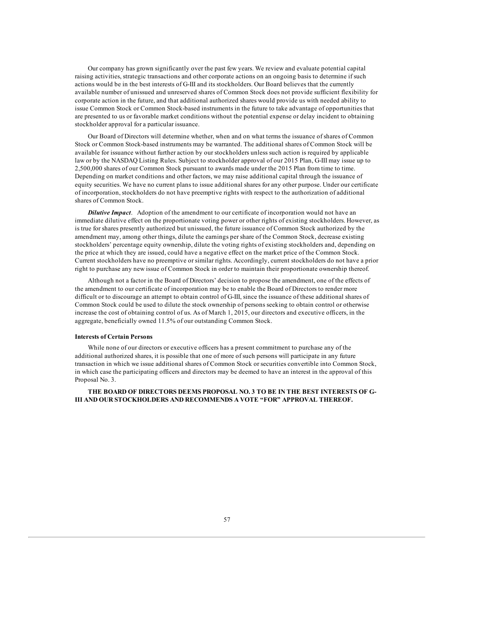Our company has grown significantly over the past few years. We review and evaluate potential capital raising activities, strategic transactions and other corporate actions on an ongoing basis to determine if such actions would be in the best interests of G-III and its stockholders. Our Board believes that the currently available number of unissued and unreserved shares of Common Stock does not provide sufficient flexibility for corporate action in the future, and that additional authorized shares would provide us with needed ability to issue Common Stock or Common Stock-based instruments in the future to take advantage of opportunities that are presented to us or favorable market conditions without the potential expense or delay incident to obtaining stockholder approval for a particular issuance.

Our Board of Directors will determine whether, when and on what terms the issuance of shares of Common Stock or Common Stock-based instruments may be warranted. The additional shares of Common Stock will be available for issuance without further action by our stockholders unless such action is required by applicable law or by the NASDAQ Listing Rules. Subject to stockholder approval of our 2015 Plan, G-III may issue up to 2,500,000 shares of our Common Stock pursuant to awards made under the 2015 Plan from time to time. Depending on market conditions and other factors, we may raise additional capital through the issuance of equity securities. We have no current plans to issue additional shares for any other purpose. Under our certificate of incorporation, stockholders do not have preemptive rights with respect to the authorization of additional shares of Common Stock.

*Dilutive Impact*. Adoption of the amendment to our certificate of incorporation would not have an immediate dilutive effect on the proportionate voting power or other rights of existing stockholders. However, as is true for shares presently authorized but unissued, the future issuance of Common Stock authorized by the amendment may, among other things, dilute the earnings per share of the Common Stock, decrease existing stockholders' percentage equity ownership, dilute the voting rights of existing stockholders and, depending on the price at which they are issued, could have a negative effect on the market price of the Common Stock. Current stockholders have no preemptive or similar rights. Accordingly, current stockholders do not have a prior right to purchase any new issue of Common Stock in order to maintain their proportionate ownership thereof.

Although not a factor in the Board of Directors' decision to propose the amendment, one of the effects of the amendment to our certificate of incorporation may be to enable the Board of Directors to render more difficult or to discourage an attempt to obtain control of G-III, since the issuance of these additional shares of Common Stock could be used to dilute the stock ownership of persons seeking to obtain control or otherwise increase the cost of obtaining control of us. As of March 1, 2015, our directors and executive officers, in the aggregate, beneficially owned 11.5% of our outstanding Common Stock.

#### **Interests of Certain Persons**

While none of our directors or executive officers has a present commitment to purchase any of the additional authorized shares, it is possible that one of more of such persons will participate in any future transaction in which we issue additional shares of Common Stock or securities convertible into Common Stock, in which case the participating officers and directors may be deemed to have an interest in the approval of this Proposal No. 3.

# **THE BOARD OF DIRECTORS DEEMS PROPOSAL NO. 3 TO BE IN THE BEST INTERESTS OF G-III AND OUR STOCKHOLDERS AND RECOMMENDS A VOTE "FOR" APPROVAL THEREOF.**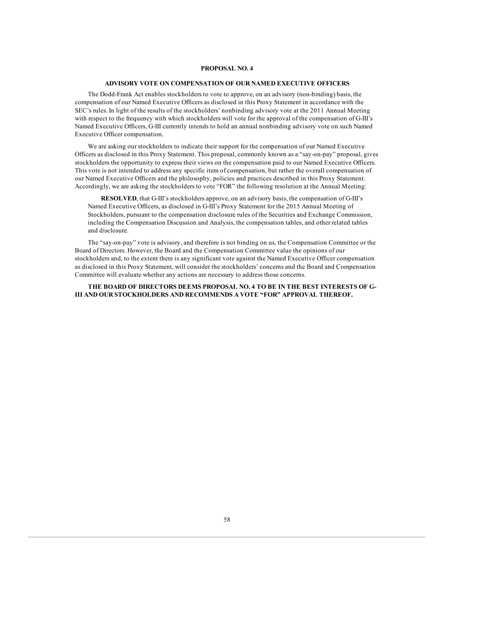## **PROPOSAL NO. 4**

# **ADVISORY VOTE ON COMPENSATION OF OUR NAMED EXECUTIVE OFFICERS**

The Dodd-Frank Act enables stockholders to vote to approve, on an advisory (non-binding) basis, the compensation of our Named Executive Officers as disclosed in this Proxy Statement in accordance with the SEC's rules. In light of the results of the stockholders' nonbinding advisory vote at the 2011 Annual Meeting with respect to the frequency with which stockholders will vote for the approval of the compensation of G-III's Named Executive Officers, G-III currently intends to hold an annual nonbinding advisory vote on such Named Executive Officer compensation.

We are asking our stockholders to indicate their support for the compensation of our Named Executive Officers as disclosed in this Proxy Statement. This proposal, commonly known as a "say-on-pay" proposal, gives stockholders the opportunity to express their views on the compensation paid to our Named Executive Officers. This vote is not intended to address any specific item of compensation, but rather the overall compensation of our Named Executive Officers and the philosophy, policies and practices described in this Proxy Statement. Accordingly, we are asking the stockholders to vote "FOR" the following resolution at the Annual Meeting:

**RESOLVED**, that G-III's stockholders approve, on an advisory basis, the compensation of G-III's Named Executive Officers, as disclosed in G-III's Proxy Statement for the 2015 Annual Meeting of Stockholders, pursuant to the compensation disclosure rules of the Securities and Exchange Commission, including the Compensation Discussion and Analysis, the compensation tables, and other related tables and disclosure.

The "say-on-pay" vote is advisory, and therefore is not binding on us, the Compensation Committee or the Board of Directors. However, the Board and the Compensation Committee value the opinions of our stockholders and, to the extent there is any significant vote against the Named Executive Officer compensation as disclosed in this Proxy Statement, will consider the stockholders' concerns and the Board and Compensation Committee will evaluate whether any actions are necessary to address those concerns.

**THE BOARD OF DIRECTORS DEEMS PROPOSAL NO. 4 TO BE IN THE BEST INTERESTS OF G-III AND OUR STOCKHOLDERS AND RECOMMENDS A VOTE "FOR" APPROVAL THEREOF.**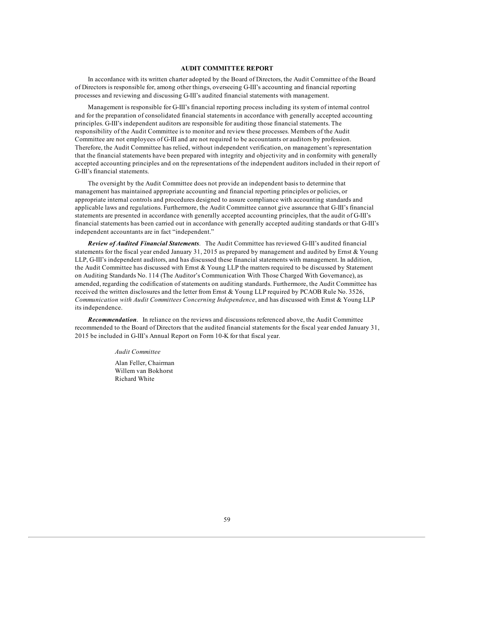### **AUDIT COMMITTEE REPORT**

In accordance with its written charter adopted by the Board of Directors, the Audit Committee of the Board of Directors is responsible for, among other things, overseeing G-III's accounting and financial reporting processes and reviewing and discussing G-III's audited financial statements with management.

Management is responsible for G-III's financial reporting process including its system of internal control and for the preparation of consolidated financial statements in accordance with generally accepted accounting principles. G-III's independent auditors are responsible for auditing those financial statements. The responsibility of the Audit Committee is to monitor and review these processes. Members of the Audit Committee are not employees of G-III and are not required to be accountants or auditors by profession. Therefore, the Audit Committee has relied, without independent verification, on management's representation that the financial statements have been prepared with integrity and objectivity and in conformity with generally accepted accounting principles and on the representations of the independent auditors included in their report of G-III's financial statements.

The oversight by the Audit Committee does not provide an independent basis to determine that management has maintained appropriate accounting and financial reporting principles or policies, or appropriate internal controls and procedures designed to assure compliance with accounting standards and applicable laws and regulations. Furthermore, the Audit Committee cannot give assurance that G-III's financial statements are presented in accordance with generally accepted accounting principles, that the audit of G-III's financial statements has been carried out in accordance with generally accepted auditing standards or that G-III's independent accountants are in fact "independent."

*Review of Audited Financial Statements*. The Audit Committee has reviewed G-III's audited financial statements for the fiscal year ended January 31, 2015 as prepared by management and audited by Ernst & Young LLP, G-III's independent auditors, and has discussed these financial statements with management. In addition, the Audit Committee has discussed with Ernst & Young LLP the matters required to be discussed by Statement on Auditing Standards No. 114 (The Auditor's Communication With Those Charged With Governance), as amended, regarding the codification of statements on auditing standards. Furthermore, the Audit Committee has received the written disclosures and the letter from Ernst & Young LLP required by PCAOB Rule No. 3526, *Communication with Audit Committees Concerning Independence*, and has discussed with Ernst & Young LLP its independence.

*Recommendation*. In reliance on the reviews and discussions referenced above, the Audit Committee recommended to the Board of Directors that the audited financial statements for the fiscal year ended January 31, 2015 be included in G-III's Annual Report on Form 10-K for that fiscal year.

> *Audit Committee* Alan Feller, Chairman

Willem van Bokhorst Richard White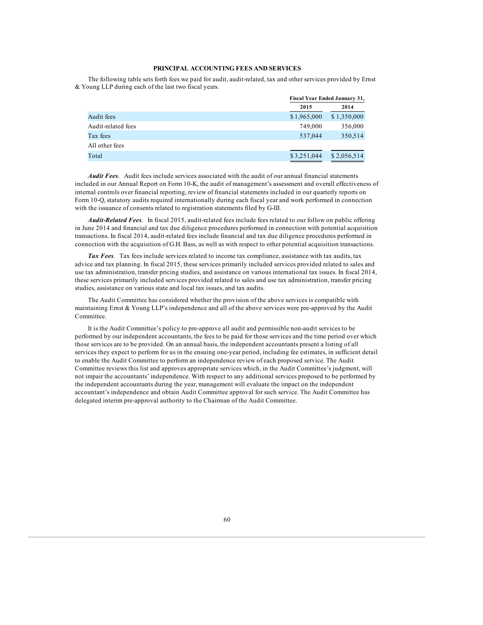## **PRINCIPAL ACCOUNTING FEES AND SERVICES**

The following table sets forth fees we paid for audit, audit-related, tax and other services provided by Ernst & Young LLP during each of the last two fiscal years.

|                    |             | <b>Fiscal Year Ended January 31,</b> |  |
|--------------------|-------------|--------------------------------------|--|
|                    | 2015        | 2014                                 |  |
| Audit fees         | \$1,965,000 | \$1,350,000                          |  |
| Audit-related fees | 749,000     | 356,000                              |  |
| Tax fees           | 537,044     | 350,514                              |  |
| All other fees     |             |                                      |  |
| Total              | \$3,251,044 | \$2,056,514                          |  |
|                    |             |                                      |  |

*Audit Fees*. Audit fees include services associated with the audit of our annual financial statements included in our Annual Report on Form 10-K, the audit of management's assessment and overall effectiveness of internal controls over financial reporting, review of financial statements included in our quarterly reports on Form 10-Q, statutory audits required internationally during each fiscal year and work performed in connection with the issuance of consents related to registration statements filed by G-III.

*Audit-Related Fees*. In fiscal 2015, audit-related fees include fees related to our follow on public offering in June 2014 and financial and tax due diligence procedures performed in connection with potential acquisition transactions. In fiscal 2014, audit-related fees include financial and tax due diligence procedures performed in connection with the acquisition of G.H. Bass, as well as with respect to other potential acquisition transactions.

*Tax Fees*. Tax fees include services related to income tax compliance, assistance with tax audits, tax advice and tax planning. In fiscal 2015, these services primarily included services provided related to sales and use tax administration, transfer pricing studies, and assistance on various international tax issues. In fiscal 2014, these services primarily included services provided related to sales and use tax administration, transfer pricing studies, assistance on various state and local tax issues, and tax audits.

The Audit Committee has considered whether the provision of the above services is compatible with maintaining Ernst & Young LLP's independence and all of the above services were pre-approved by the Audit Committee.

It is the Audit Committee's policy to pre-approve all audit and permissible non-audit services to be performed by our independent accountants, the fees to be paid for those services and the time period over which those services are to be provided. On an annual basis, the independent accountants present a listing of all services they expect to perform for us in the ensuing one-year period, including fee estimates, in sufficient detail to enable the Audit Committee to perform an independence review of each proposed service. The Audit Committee reviews this list and approves appropriate services which, in the Audit Committee's judgment, will not impair the accountants' independence. With respect to any additional services proposed to be performed by the independent accountants during the year, management will evaluate the impact on the independent accountant's independence and obtain Audit Committee approval for such service. The Audit Committee has delegated interim pre-approval authority to the Chairman of the Audit Committee.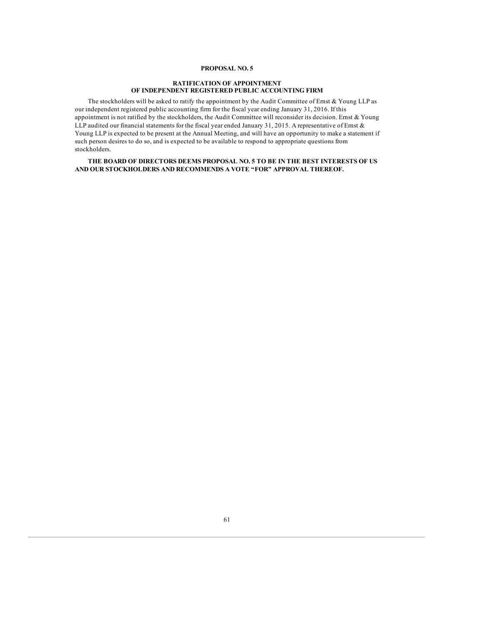# **PROPOSAL NO. 5**

# **RATIFICATION OF APPOINTMENT OF INDEPENDENT REGISTERED PUBLIC ACCOUNTING FIRM**

The stockholders will be asked to ratify the appointment by the Audit Committee of Ernst & Young LLP as our independent registered public accounting firm for the fiscal year ending January 31, 2016. If this appointment is not ratified by the stockholders, the Audit Committee will reconsider its decision. Ernst & Young LLP audited our financial statements for the fiscal year ended January 31, 2015. A representative of Ernst & Young LLP is expected to be present at the Annual Meeting, and will have an opportunity to make a statement if such person desires to do so, and is expected to be available to respond to appropriate questions from stockholders.

**THE BOARD OF DIRECTORS DEEMS PROPOSAL NO. 5 TO BE IN THE BEST INTERESTS OF US AND OUR STOCKHOLDERS AND RECOMMENDS A VOTE "FOR" APPROVAL THEREOF.**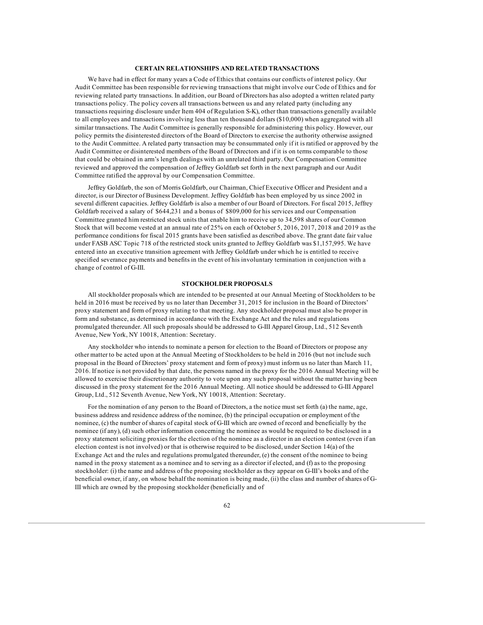### **CERTAIN RELATIONSHIPS AND RELATED TRANSACTIONS**

We have had in effect for many years a Code of Ethics that contains our conflicts of interest policy. Our Audit Committee has been responsible for reviewing transactions that might involve our Code of Ethics and for reviewing related party transactions. In addition, our Board of Directors has also adopted a written related party transactions policy. The policy covers all transactions between us and any related party (including any transactions requiring disclosure under Item 404 of Regulation S-K), other than transactions generally available to all employees and transactions involving less than ten thousand dollars (\$10,000) when aggregated with all similar transactions. The Audit Committee is generally responsible for administering this policy. However, our policy permits the disinterested directors of the Board of Directors to exercise the authority otherwise assigned to the Audit Committee. A related party transaction may be consummated only if it is ratified or approved by the Audit Committee or disinterested members of the Board of Directors and if it is on terms comparable to those that could be obtained in arm's length dealings with an unrelated third party. Our Compensation Committee reviewed and approved the compensation of Jeffrey Goldfarb set forth in the next paragraph and our Audit Committee ratified the approval by our Compensation Committee.

Jeffrey Goldfarb, the son of Morris Goldfarb, our Chairman, Chief Executive Officer and President and a director, is our Director of Business Development. Jeffrey Goldfarb has been employed by us since 2002 in several different capacities. Jeffrey Goldfarb is also a member of our Board of Directors. For fiscal 2015, Jeffrey Goldfarb received a salary of \$644,231 and a bonus of \$809,000 for his services and our Compensation Committee granted him restricted stock units that enable him to receive up to 34,598 shares of our Common Stock that will become vested at an annual rate of 25% on each of October 5, 2016, 2017, 2018 and 2019 as the performance conditions for fiscal 2015 grants have been satisfied as described above. The grant date fair value under FASB ASC Topic 718 of the restricted stock units granted to Jeffrey Goldfarb was \$1,157,995. We have entered into an executive transition agreement with Jeffrey Goldfarb under which he is entitled to receive specified severance payments and benefits in the event of his involuntary termination in conjunction with a change of control of G-III.

### **STOCKHOLDER PROPOSALS**

All stockholder proposals which are intended to be presented at our Annual Meeting of Stockholders to be held in 2016 must be received by us no later than December 31, 2015 for inclusion in the Board of Directors' proxy statement and form of proxy relating to that meeting. Any stockholder proposal must also be proper in form and substance, as determined in accordance with the Exchange Act and the rules and regulations promulgated thereunder. All such proposals should be addressed to G-III Apparel Group, Ltd., 512 Seventh Avenue, New York, NY 10018, Attention: Secretary.

Any stockholder who intends to nominate a person for election to the Board of Directors or propose any other matter to be acted upon at the Annual Meeting of Stockholders to be held in 2016 (but not include such proposal in the Board of Directors' proxy statement and form of proxy) must inform us no later than March 11, 2016. If notice is not provided by that date, the persons named in the proxy for the 2016 Annual Meeting will be allowed to exercise their discretionary authority to vote upon any such proposal without the matter having been discussed in the proxy statement for the 2016 Annual Meeting. All notice should be addressed to G-III Apparel Group, Ltd., 512 Seventh Avenue, New York, NY 10018, Attention: Secretary.

For the nomination of any person to the Board of Directors, a the notice must set forth (a) the name, age, business address and residence address of the nominee, (b) the principal occupation or employment of the nominee, (c) the number of shares of capital stock of G-III which are owned of record and beneficially by the nominee (if any), (d) such other information concerning the nominee as would be required to be disclosed in a proxy statement soliciting proxies for the election of the nominee as a director in an election contest (even if an election contest is not involved) or that is otherwise required to be disclosed, under Section 14(a) of the Exchange Act and the rules and regulations promulgated thereunder, (e) the consent of the nominee to being named in the proxy statement as a nominee and to serving as a director if elected, and (f) as to the proposing stockholder: (i) the name and address of the proposing stockholder as they appear on G-III's books and of the beneficial owner, if any, on whose behalf the nomination is being made, (ii) the class and number of shares of G-III which are owned by the proposing stockholder (beneficially and of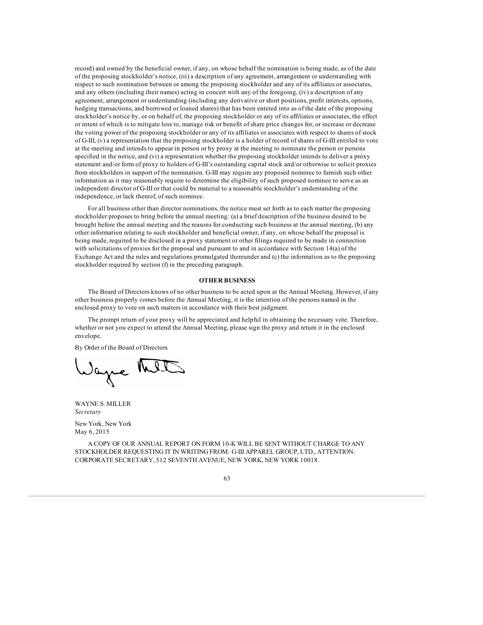record) and owned by the beneficial owner, if any, on whose behalf the nomination is being made, as of the date of the proposing stockholder's notice, (iii) a description of any agreement, arrangement or understanding with respect to such nomination between or among the proposing stockholder and any of its affiliates or associates, and any others (including their names) acting in concert with any of the foregoing, (iv) a description of any agreement, arrangement or understanding (including any derivative or short positions, profit interests, options, hedging transactions, and borrowed or loaned shares) that has been entered into as of the date of the proposing stockholder's notice by, or on behalf of, the proposing stockholder or any of its affiliates or associates, the effect or intent of which is to mitigate loss to, manage risk or benefit of share price changes for, or increase or decrease the voting power of the proposing stockholder or any of its affiliates or associates with respect to shares of stock of G-III, (v) a representation that the proposing stockholder is a holder of record of shares of G-III entitled to vote at the meeting and intends to appear in person or by proxy at the meeting to nominate the person or persons specified in the notice, and (vi) a representation whether the proposing stockholder intends to deliver a proxy statement and/or form of proxy to holders of G-III's outstanding capital stock and/or otherwise to solicit proxies from stockholders in support of the nomination. G-III may require any proposed nominee to furnish such other information as it may reasonably require to determine the eligibility of such proposed nominee to serve as an independent director of G-III or that could be material to a reasonable stockholder's understanding of the independence, or lack thereof, of such nominee.

For all business other than director nominations, the notice must set forth as to each matter the proposing stockholder proposes to bring before the annual meeting: (a) a brief description of the business desired to be brought before the annual meeting and the reasons for conducting such business at the annual meeting, (b) any other information relating to such stockholder and beneficial owner, if any, on whose behalf the proposal is being made, required to be disclosed in a proxy statement or other filings required to be made in connection with solicitations of proxies for the proposal and pursuant to and in accordance with Section 14(a) of the Exchange Act and the rules and regulations promulgated thereunder and (c) the information as to the proposing stockholder required by section (f) in the preceding paragraph.

### **OTHER BUSINESS**

The Board of Directors knows of no other business to be acted upon at the Annual Meeting. However, if any other business properly comes before the Annual Meeting, it is the intention of the persons named in the enclosed proxy to vote on such matters in accordance with their best judgment.

The prompt return of your proxy will be appreciated and helpful in obtaining the necessary vote. Therefore, whether or not you expect to attend the Annual Meeting, please sign the proxy and return it in the enclosed envelope.

By Order of the Board of Directors

Sague

WAYNE S. MILLER *Secretary*

New York, New York May 6, 2015

A COPY OF OUR ANNUAL REPORT ON FORM 10-K WILL BE SENT WITHOUT CHARGE TO ANY STOCKHOLDER REQUESTING IT IN WRITING FROM: G-III APPAREL GROUP, LTD., ATTENTION: CORPORATE SECRETARY, 512 SEVENTH AVENUE, NEW YORK, NEW YORK 10018.

63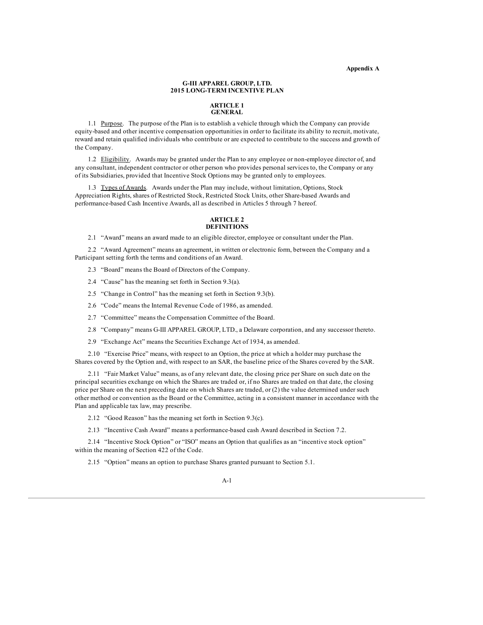**Appendix A**

### **G-III APPAREL GROUP, LTD. 2015 LONG-TERM INCENTIVE PLAN**

#### **ARTICLE 1 GENERAL**

1.1 Purpose. The purpose of the Plan is to establish a vehicle through which the Company can provide equity-based and other incentive compensation opportunities in order to facilitate its ability to recruit, motivate, reward and retain qualified individuals who contribute or are expected to contribute to the success and growth of the Company.

1.2 Eligibility. Awards may be granted under the Plan to any employee or non-employee director of, and any consultant, independent contractor or other person who provides personal services to, the Company or any of its Subsidiaries, provided that Incentive Stock Options may be granted only to employees.

1.3 Types of Awards. Awards under the Plan may include, without limitation, Options, Stock Appreciation Rights, shares of Restricted Stock, Restricted Stock Units, other Share-based Awards and performance-based Cash Incentive Awards, all as described in Articles 5 through 7 hereof.

#### **ARTICLE 2 DEFINITIONS**

2.1 "Award" means an award made to an eligible director, employee or consultant under the Plan.

2.2 "Award Agreement" means an agreement, in written or electronic form, between the Company and a Participant setting forth the terms and conditions of an Award.

- 2.3 "Board" means the Board of Directors of the Company.
- 2.4 "Cause" has the meaning set forth in Section 9.3(a).
- 2.5 "Change in Control" has the meaning set forth in Section 9.3(b).
- 2.6 "Code" means the Internal Revenue Code of 1986, as amended.
- 2.7 "Committee" means the Compensation Committee of the Board.
- 2.8 "Company" means G-III APPAREL GROUP, LTD., a Delaware corporation, and any successor thereto.
- 2.9 "Exchange Act" means the Securities Exchange Act of 1934, as amended.

2.10 "Exercise Price" means, with respect to an Option, the price at which a holder may purchase the Shares covered by the Option and, with respect to an SAR, the baseline price of the Shares covered by the SAR.

2.11 "Fair Market Value" means, as of any relevant date, the closing price per Share on such date on the principal securities exchange on which the Shares are traded or, if no Shares are traded on that date, the closing price per Share on the next preceding date on which Shares are traded, or (2) the value determined under such other method or convention as the Board or the Committee, acting in a consistent manner in accordance with the Plan and applicable tax law, may prescribe.

2.12 "Good Reason" has the meaning set forth in Section 9.3(c).

2.13 "Incentive Cash Award" means a performance-based cash Award described in Section 7.2.

2.14 "Incentive Stock Option" or "ISO" means an Option that qualifies as an "incentive stock option" within the meaning of Section 422 of the Code.

2.15 "Option" means an option to purchase Shares granted pursuant to Section 5.1.

### A-1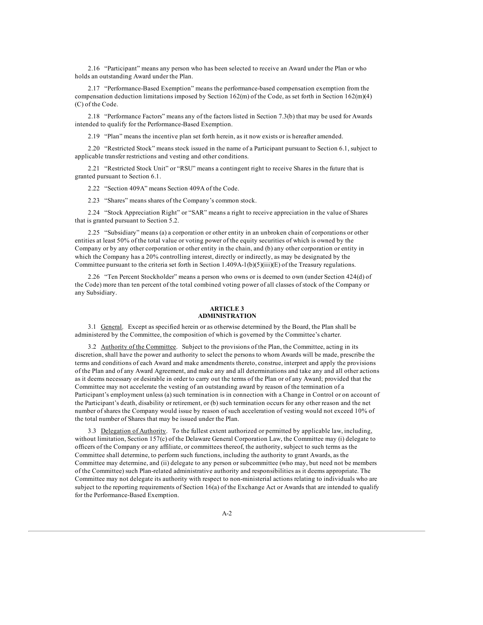2.16 "Participant" means any person who has been selected to receive an Award under the Plan or who holds an outstanding Award under the Plan.

2.17 "Performance-Based Exemption" means the performance-based compensation exemption from the compensation deduction limitations imposed by Section 162(m) of the Code, as set forth in Section 162(m)(4) (C) of the Code.

2.18 "Performance Factors" means any of the factors listed in Section 7.3(b) that may be used for Awards intended to qualify for the Performance-Based Exemption.

2.19 "Plan" means the incentive plan set forth herein, as it now exists or is hereafter amended.

2.20 "Restricted Stock" means stock issued in the name of a Participant pursuant to Section 6.1, subject to applicable transfer restrictions and vesting and other conditions.

2.21 "Restricted Stock Unit" or "RSU" means a contingent right to receive Shares in the future that is granted pursuant to Section 6.1.

2.22 "Section 409A" means Section 409A of the Code.

2.23 "Shares" means shares of the Company's common stock.

2.24 "Stock Appreciation Right" or "SAR" means a right to receive appreciation in the value of Shares that is granted pursuant to Section 5.2.

2.25 "Subsidiary" means (a) a corporation or other entity in an unbroken chain of corporations or other entities at least 50% of the total value or voting power of the equity securities of which is owned by the Company or by any other corporation or other entity in the chain, and (b) any other corporation or entity in which the Company has a 20% controlling interest, directly or indirectly, as may be designated by the Committee pursuant to the criteria set forth in Section 1.409A-1(b)(5)(iii)(E) of the Treasury regulations.

2.26 "Ten Percent Stockholder" means a person who owns or is deemed to own (under Section 424(d) of the Code) more than ten percent of the total combined voting power of all classes of stock of the Company or any Subsidiary.

# **ARTICLE 3 ADMINISTRATION**

3.1 General. Except as specified herein or as otherwise determined by the Board, the Plan shall be administered by the Committee, the composition of which is governed by the Committee's charter.

3.2 Authority of the Committee. Subject to the provisions of the Plan, the Committee, acting in its discretion, shall have the power and authority to select the persons to whom Awards will be made, prescribe the terms and conditions of each Award and make amendments thereto, construe, interpret and apply the provisions of the Plan and of any Award Agreement, and make any and all determinations and take any and all other actions as it deems necessary or desirable in order to carry out the terms of the Plan or of any Award; provided that the Committee may not accelerate the vesting of an outstanding award by reason of the termination of a Participant's employment unless (a) such termination is in connection with a Change in Control or on account of the Participant's death, disability or retirement, or (b) such termination occurs for any other reason and the net number of shares the Company would issue by reason of such acceleration of vesting would not exceed 10% of the total number of Shares that may be issued under the Plan.

3.3 Delegation of Authority. To the fullest extent authorized or permitted by applicable law, including, without limitation, Section 157(c) of the Delaware General Corporation Law, the Committee may (i) delegate to officers of the Company or any affiliate, or committees thereof, the authority, subject to such terms as the Committee shall determine, to perform such functions, including the authority to grant Awards, as the Committee may determine, and (ii) delegate to any person or subcommittee (who may, but need not be members of the Committee) such Plan-related administrative authority and responsibilities as it deems appropriate. The Committee may not delegate its authority with respect to non-ministerial actions relating to individuals who are subject to the reporting requirements of Section 16(a) of the Exchange Act or Awards that are intended to qualify for the Performance-Based Exemption.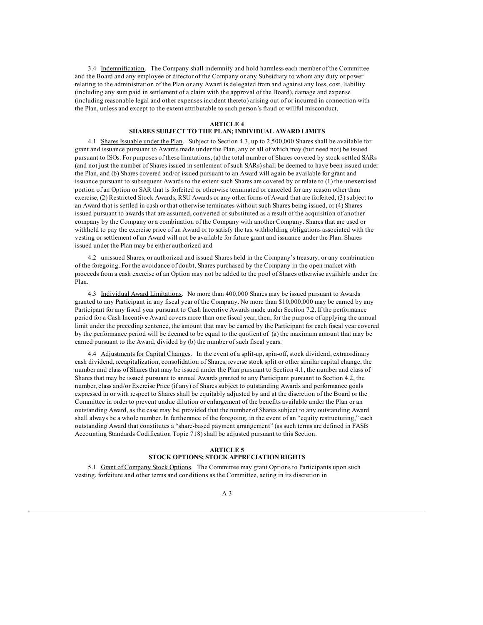3.4 Indemnification. The Company shall indemnify and hold harmless each member of the Committee and the Board and any employee or director of the Company or any Subsidiary to whom any duty or power relating to the administration of the Plan or any Award is delegated from and against any loss, cost, liability (including any sum paid in settlement of a claim with the approval of the Board), damage and expense (including reasonable legal and other expenses incident thereto) arising out of or incurred in connection with the Plan, unless and except to the extent attributable to such person's fraud or willful misconduct.

#### **ARTICLE 4**

# **SHARES SUBJECT TO THE PLAN; INDIVIDUAL AWARD LIMITS**

4.1 Shares Issuable under the Plan. Subject to Section 4.3, up to 2,500,000 Shares shall be available for grant and issuance pursuant to Awards made under the Plan, any or all of which may (but need not) be issued pursuant to ISOs. For purposes of these limitations, (a) the total number of Shares covered by stock-settled SARs (and not just the number of Shares issued in settlement of such SARs) shall be deemed to have been issued under the Plan, and (b) Shares covered and/or issued pursuant to an Award will again be available for grant and issuance pursuant to subsequent Awards to the extent such Shares are covered by or relate to (1) the unexercised portion of an Option or SAR that is forfeited or otherwise terminated or canceled for any reason other than exercise, (2) Restricted Stock Awards, RSU Awards or any other forms of Award that are forfeited, (3) subject to an Award that is settled in cash or that otherwise terminates without such Shares being issued, or (4) Shares issued pursuant to awards that are assumed, converted or substituted as a result of the acquisition of another company by the Company or a combination of the Company with another Company. Shares that are used or withheld to pay the exercise price of an Award or to satisfy the tax withholding obligations associated with the vesting or settlement of an Award will not be available for future grant and issuance under the Plan. Shares issued under the Plan may be either authorized and

4.2 unissued Shares, or authorized and issued Shares held in the Company's treasury, or any combination of the foregoing. For the avoidance of doubt, Shares purchased by the Company in the open market with proceeds from a cash exercise of an Option may not be added to the pool of Shares otherwise available under the Plan.

4.3 Individual Award Limitations. No more than 400,000 Shares may be issued pursuant to Awards granted to any Participant in any fiscal year of the Company. No more than \$10,000,000 may be earned by any Participant for any fiscal year pursuant to Cash Incentive Awards made under Section 7.2. If the performance period for a Cash Incentive Award covers more than one fiscal year, then, for the purpose of applying the annual limit under the preceding sentence, the amount that may be earned by the Participant for each fiscal year covered by the performance period will be deemed to be equal to the quotient of (a) the maximum amount that may be earned pursuant to the Award, divided by (b) the number of such fiscal years.

4.4 Adjustments for Capital Changes. In the event of a split-up, spin-off, stock dividend, extraordinary cash dividend, recapitalization, consolidation of Shares, reverse stock split or other similar capital change, the number and class of Shares that may be issued under the Plan pursuant to Section 4.1, the number and class of Shares that may be issued pursuant to annual Awards granted to any Participant pursuant to Section 4.2, the number, class and/or Exercise Price (if any) of Shares subject to outstanding Awards and performance goals expressed in or with respect to Shares shall be equitably adjusted by and at the discretion of the Board or the Committee in order to prevent undue dilution or enlargement of the benefits available under the Plan or an outstanding Award, as the case may be, provided that the number of Shares subject to any outstanding Award shall always be a whole number. In furtherance of the foregoing, in the event of an "equity restructuring," each outstanding Award that constitutes a "share-based payment arrangement" (as such terms are defined in FASB Accounting Standards Codification Topic 718) shall be adjusted pursuant to this Section.

### **ARTICLE 5 STOCK OPTIONS; STOCK APPRECIATION RIGHTS**

5.1 Grant of Company Stock Options. The Committee may grant Options to Participants upon such vesting, forfeiture and other terms and conditions as the Committee, acting in its discretion in

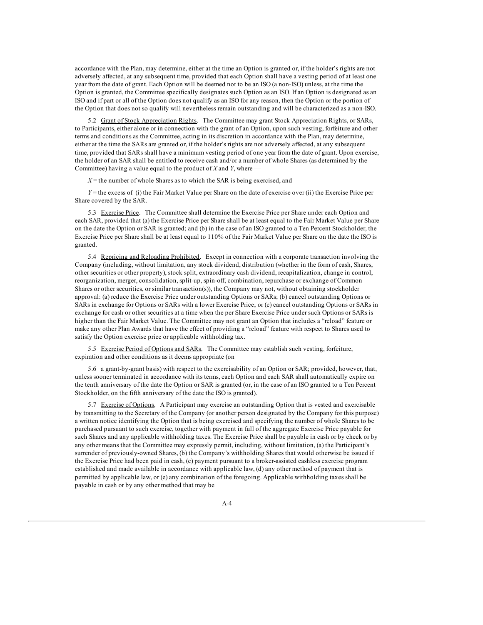accordance with the Plan, may determine, either at the time an Option is granted or, if the holder's rights are not adversely affected, at any subsequent time, provided that each Option shall have a vesting period of at least one year from the date of grant. Each Option will be deemed not to be an ISO (a non-ISO) unless, at the time the Option is granted, the Committee specifically designates such Option as an ISO. If an Option is designated as an ISO and if part or all of the Option does not qualify as an ISO for any reason, then the Option or the portion of the Option that does not so qualify will nevertheless remain outstanding and will be characterized as a non-ISO.

5.2 Grant of Stock Appreciation Rights. The Committee may grant Stock Appreciation Rights, or SARs, to Participants, either alone or in connection with the grant of an Option, upon such vesting, forfeiture and other terms and conditions as the Committee, acting in its discretion in accordance with the Plan, may determine, either at the time the SARs are granted or, if the holder's rights are not adversely affected, at any subsequent time, provided that SARs shall have a minimum vesting period of one year from the date of grant. Upon exercise, the holder of an SAR shall be entitled to receive cash and/or a number of whole Shares (as determined by the Committee) having a value equal to the product of  $X$  and  $Y$ , where  $-\frac{1}{2}$ 

 $X =$  the number of whole Shares as to which the SAR is being exercised, and

*Y* = the excess of (i) the Fair Market Value per Share on the date of exercise over (ii) the Exercise Price per Share covered by the SAR.

5.3 Exercise Price. The Committee shall determine the Exercise Price per Share under each Option and each SAR, provided that (a) the Exercise Price per Share shall be at least equal to the Fair Market Value per Share on the date the Option or SAR is granted; and (b) in the case of an ISO granted to a Ten Percent Stockholder, the Exercise Price per Share shall be at least equal to 110% of the Fair Market Value per Share on the date the ISO is granted.

5.4 Repricing and Reloading Prohibited. Except in connection with a corporate transaction involving the Company (including, without limitation, any stock dividend, distribution (whether in the form of cash, Shares, other securities or other property), stock split, extraordinary cash dividend, recapitalization, change in control, reorganization, merger, consolidation, split-up, spin-off, combination, repurchase or exchange of Common Shares or other securities, or similar transaction(s)), the Company may not, without obtaining stockholder approval: (a) reduce the Exercise Price under outstanding Options or SARs; (b) cancel outstanding Options or SARs in exchange for Options or SARs with a lower Exercise Price; or (c) cancel outstanding Options or SARs in exchange for cash or other securities at a time when the per Share Exercise Price under such Options or SARs is higher than the Fair Market Value. The Committee may not grant an Option that includes a "reload" feature or make any other Plan Awards that have the effect of providing a "reload" feature with respect to Shares used to satisfy the Option exercise price or applicable withholding tax.

5.5 Exercise Period of Options and SARs. The Committee may establish such vesting, forfeiture, expiration and other conditions as it deems appropriate (on

5.6 a grant-by-grant basis) with respect to the exercisability of an Option or SAR; provided, however, that, unless sooner terminated in accordance with its terms, each Option and each SAR shall automatically expire on the tenth anniversary of the date the Option or SAR is granted (or, in the case of an ISO granted to a Ten Percent Stockholder, on the fifth anniversary of the date the ISO is granted).

5.7 Exercise of Options. A Participant may exercise an outstanding Option that is vested and exercisable by transmitting to the Secretary of the Company (or another person designated by the Company for this purpose) a written notice identifying the Option that is being exercised and specifying the number of whole Shares to be purchased pursuant to such exercise, together with payment in full of the aggregate Exercise Price payable for such Shares and any applicable withholding taxes. The Exercise Price shall be payable in cash or by check or by any other means that the Committee may expressly permit, including, without limitation, (a) the Participant's surrender of previously-owned Shares, (b) the Company's withholding Shares that would otherwise be issued if the Exercise Price had been paid in cash, (c) payment pursuant to a broker-assisted cashless exercise program established and made available in accordance with applicable law, (d) any other method of payment that is permitted by applicable law, or (e) any combination of the foregoing. Applicable withholding taxes shall be payable in cash or by any other method that may be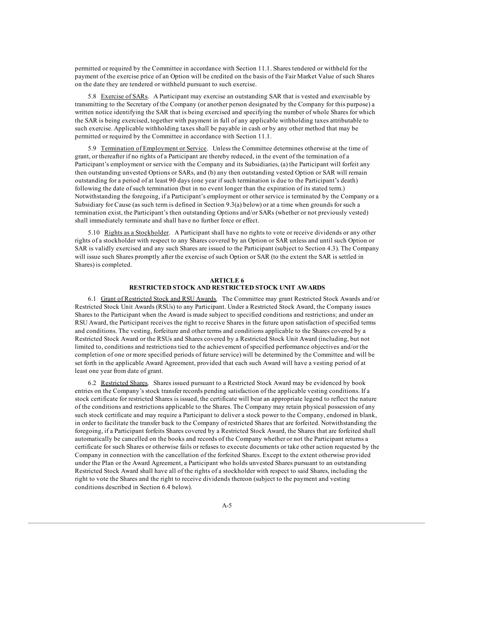permitted or required by the Committee in accordance with Section 11.1. Shares tendered or withheld for the payment of the exercise price of an Option will be credited on the basis of the Fair Market Value of such Shares on the date they are tendered or withheld pursuant to such exercise.

5.8 Exercise of SARs. A Participant may exercise an outstanding SAR that is vested and exercisable by transmitting to the Secretary of the Company (or another person designated by the Company for this purpose) a written notice identifying the SAR that is being exercised and specifying the number of whole Shares for which the SAR is being exercised, together with payment in full of any applicable withholding taxes attributable to such exercise. Applicable withholding taxes shall be payable in cash or by any other method that may be permitted or required by the Committee in accordance with Section 11.1.

5.9 Termination of Employment or Service. Unless the Committee determines otherwise at the time of grant, or thereafter if no rights of a Participant are thereby reduced, in the event of the termination of a Participant's employment or service with the Company and its Subsidiaries, (a) the Participant will forfeit any then outstanding unvested Options or SARs, and (b) any then outstanding vested Option or SAR will remain outstanding for a period of at least 90 days (one year if such termination is due to the Participant's death) following the date of such termination (but in no event longer than the expiration of its stated term.) Notwithstanding the foregoing, if a Participant's employment or other service is terminated by the Company or a Subsidiary for Cause (as such term is defined in Section 9.3(a) below) or at a time when grounds for such a termination exist, the Participant's then outstanding Options and/or SARs (whether or not previously vested) shall immediately terminate and shall have no further force or effect.

5.10 Rights as a Stockholder. A Participant shall have no rights to vote or receive dividends or any other rights of a stockholder with respect to any Shares covered by an Option or SAR unless and until such Option or SAR is validly exercised and any such Shares are issued to the Participant (subject to Section 4.3). The Company will issue such Shares promptly after the exercise of such Option or SAR (to the extent the SAR is settled in Shares) is completed.

## **ARTICLE 6 RESTRICTED STOCK AND RESTRICTED STOCK UNIT AWARDS**

6.1 Grant of Restricted Stock and RSU Awards. The Committee may grant Restricted Stock Awards and/or Restricted Stock Unit Awards (RSUs) to any Participant. Under a Restricted Stock Award, the Company issues Shares to the Participant when the Award is made subject to specified conditions and restrictions; and under an RSU Award, the Participant receives the right to receive Shares in the future upon satisfaction of specified terms and conditions. The vesting, forfeiture and other terms and conditions applicable to the Shares covered by a Restricted Stock Award or the RSUs and Shares covered by a Restricted Stock Unit Award (including, but not limited to, conditions and restrictions tied to the achievement of specified performance objectives and/or the completion of one or more specified periods of future service) will be determined by the Committee and will be set forth in the applicable Award Agreement, provided that each such Award will have a vesting period of at least one year from date of grant.

6.2 Restricted Shares. Shares issued pursuant to a Restricted Stock Award may be evidenced by book entries on the Company's stock transfer records pending satisfaction of the applicable vesting conditions. If a stock certificate for restricted Shares is issued, the certificate will bear an appropriate legend to reflect the nature of the conditions and restrictions applicable to the Shares. The Company may retain physical possession of any such stock certificate and may require a Participant to deliver a stock power to the Company, endorsed in blank, in order to facilitate the transfer back to the Company of restricted Shares that are forfeited. Notwithstanding the foregoing, if a Participant forfeits Shares covered by a Restricted Stock Award, the Shares that are forfeited shall automatically be cancelled on the books and records of the Company whether or not the Participant returns a certificate for such Shares or otherwise fails or refuses to execute documents or take other action requested by the Company in connection with the cancellation of the forfeited Shares. Except to the extent otherwise provided under the Plan or the Award Agreement, a Participant who holds unvested Shares pursuant to an outstanding Restricted Stock Award shall have all of the rights of a stockholder with respect to said Shares, including the right to vote the Shares and the right to receive dividends thereon (subject to the payment and vesting conditions described in Section 6.4 below).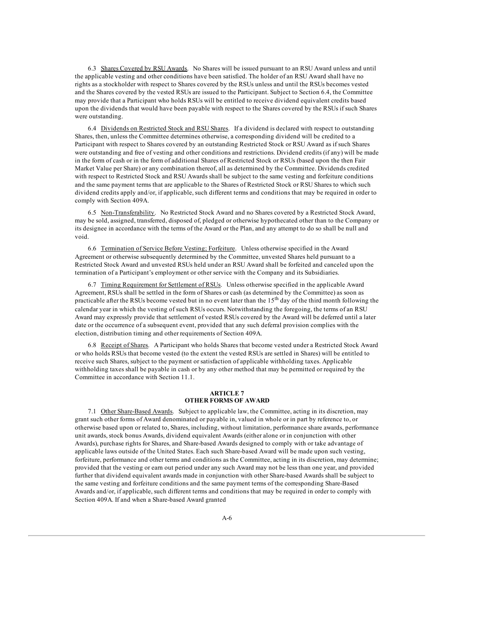6.3 Shares Covered by RSU Awards. No Shares will be issued pursuant to an RSU Award unless and until the applicable vesting and other conditions have been satisfied. The holder of an RSU Award shall have no rights as a stockholder with respect to Shares covered by the RSUs unless and until the RSUs becomes vested and the Shares covered by the vested RSUs are issued to the Participant. Subject to Section 6.4, the Committee may provide that a Participant who holds RSUs will be entitled to receive dividend equivalent credits based upon the dividends that would have been payable with respect to the Shares covered by the RSUs if such Shares were outstanding.

6.4 Dividends on Restricted Stock and RSU Shares. If a dividend is declared with respect to outstanding Shares, then, unless the Committee determines otherwise, a corresponding dividend will be credited to a Participant with respect to Shares covered by an outstanding Restricted Stock or RSU Award as if such Shares were outstanding and free of vesting and other conditions and restrictions. Dividend credits (if any) will be made in the form of cash or in the form of additional Shares of Restricted Stock or RSUs (based upon the then Fair Market Value per Share) or any combination thereof, all as determined by the Committee. Dividends credited with respect to Restricted Stock and RSU Awards shall be subject to the same vesting and forfeiture conditions and the same payment terms that are applicable to the Shares of Restricted Stock or RSU Shares to which such dividend credits apply and/or, if applicable, such different terms and conditions that may be required in order to comply with Section 409A.

6.5 Non-Transferability. No Restricted Stock Award and no Shares covered by a Restricted Stock Award, may be sold, assigned, transferred, disposed of, pledged or otherwise hypothecated other than to the Company or its designee in accordance with the terms of the Award or the Plan, and any attempt to do so shall be null and void.

6.6 Termination of Service Before Vesting; Forfeiture. Unless otherwise specified in the Award Agreement or otherwise subsequently determined by the Committee, unvested Shares held pursuant to a Restricted Stock Award and unvested RSUs held under an RSU Award shall be forfeited and canceled upon the termination of a Participant's employment or other service with the Company and its Subsidiaries.

6.7 Timing Requirement for Settlement of RSUs. Unless otherwise specified in the applicable Award Agreement, RSUs shall be settled in the form of Shares or cash (as determined by the Committee) as soon as practicable after the RSUs become vested but in no event later than the  $15<sup>th</sup>$  day of the third month following the calendar year in which the vesting of such RSUs occurs. Notwithstanding the foregoing, the terms of an RSU Award may expressly provide that settlement of vested RSUs covered by the Award will be deferred until a later date or the occurrence of a subsequent event, provided that any such deferral provision complies with the election, distribution timing and other requirements of Section 409A.

6.8 Receipt of Shares. A Participant who holds Shares that become vested under a Restricted Stock Award or who holds RSUs that become vested (to the extent the vested RSUs are settled in Shares) will be entitled to receive such Shares, subject to the payment or satisfaction of applicable withholding taxes. Applicable withholding taxes shall be payable in cash or by any other method that may be permitted or required by the Committee in accordance with Section 11.1.

### **ARTICLE 7 OTHER FORMS OF AWARD**

7.1 Other Share-Based Awards. Subject to applicable law, the Committee, acting in its discretion, may grant such other forms of Award denominated or payable in, valued in whole or in part by reference to, or otherwise based upon or related to, Shares, including, without limitation, performance share awards, performance unit awards, stock bonus Awards, dividend equivalent Awards (either alone or in conjunction with other Awards), purchase rights for Shares, and Share-based Awards designed to comply with or take advantage of applicable laws outside of the United States. Each such Share-based Award will be made upon such vesting, forfeiture, performance and other terms and conditions as the Committee, acting in its discretion, may determine; provided that the vesting or earn out period under any such Award may not be less than one year, and provided further that dividend equivalent awards made in conjunction with other Share-based Awards shall be subject to the same vesting and forfeiture conditions and the same payment terms of the corresponding Share-Based Awards and/or, if applicable, such different terms and conditions that may be required in order to comply with Section 409A. If and when a Share-based Award granted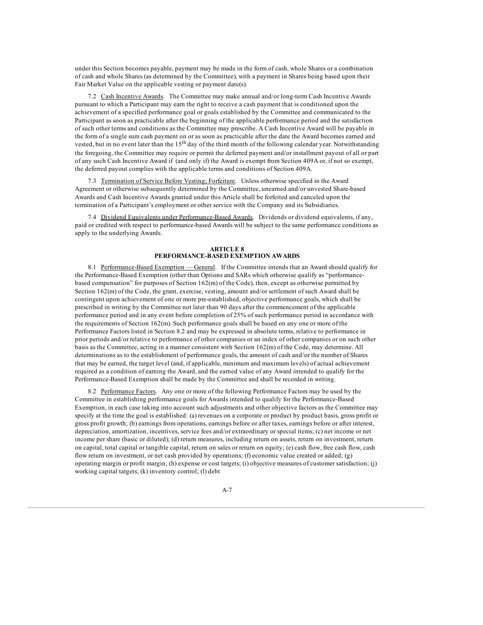under this Section becomes payable, payment may be made in the form of cash, whole Shares or a combination of cash and whole Shares (as determined by the Committee), with a payment in Shares being based upon their Fair Market Value on the applicable vesting or payment date(s).

7.2 Cash Incentive Awards. The Committee may make annual and/or long-term Cash Incentive Awards pursuant to which a Participant may earn the right to receive a cash payment that is conditioned upon the achievement of a specified performance goal or goals established by the Committee and communicated to the Participant as soon as practicable after the beginning of the applicable performance period and the satisfaction of such other terms and conditions as the Committee may prescribe. A Cash Incentive Award will be payable in the form of a single sum cash payment on or as soon as practicable after the date the Award becomes earned and vested, but in no event later than the 15<sup>th</sup> day of the third month of the following calendar year. Notwithstanding the foregoing, the Committee may require or permit the deferred payment and/or installment payout of all or part of any such Cash Incentive Award if (and only if) the Award is exempt from Section 409A or, if not so exempt, the deferred payout complies with the applicable terms and conditions of Section 409A.

7.3 Termination of Service Before Vesting; Forfeiture. Unless otherwise specified in the Award Agreement or otherwise subsequently determined by the Committee, unearned and/or unvested Share-based Awards and Cash Incentive Awards granted under this Article shall be forfeited and canceled upon the termination of a Participant's employment or other service with the Company and its Subsidiaries.

7.4 Dividend Equivalents under Performance-Based Awards. Dividends or dividend equivalents, if any, paid or credited with respect to performance-based Awards will be subject to the same performance conditions as apply to the underlying Awards.

#### **ARTICLE 8 PERFORMANCE-BASED EXEMPTION AWARDS**

8.1 Performance-Based Exemption — General. If the Committee intends that an Award should qualify for the Performance-Based Exemption (other than Options and SARs which otherwise qualify as "performancebased compensation" for purposes of Section 162(m) of the Code), then, except as otherwise permitted by Section 162(m) of the Code, the grant, exercise, vesting, amount and/or settlement of such Award shall be contingent upon achievement of one or more pre-established, objective performance goals, which shall be prescribed in writing by the Committee not later than 90 days after the commencement of the applicable performance period and in any event before completion of 25% of such performance period in accordance with the requirements of Section 162(m). Such performance goals shall be based on any one or more of the Performance Factors listed in Section 8.2 and may be expressed in absolute terms, relative to performance in prior periods and/or relative to performance of other companies or an index of other companies or on such other basis as the Committee, acting in a manner consistent with Section 162(m) of the Code, may determine. All determinations as to the establishment of performance goals, the amount of cash and/or the number of Shares that may be earned, the target level (and, if applicable, minimum and maximum levels) of actual achievement required as a condition of earning the Award, and the earned value of any Award intended to qualify for the Performance-Based Exemption shall be made by the Committee and shall be recorded in writing.

8.2 Performance Factors. Any one or more of the following Performance Factors may be used by the Committee in establishing performance goals for Awards intended to qualify for the Performance-Based Exemption, in each case taking into account such adjustments and other objective factors as the Committee may specify at the time the goal is established: (a) revenues on a corporate or product by product basis, gross profit or gross profit growth; (b) earnings from operations, earnings before or after taxes, earnings before or after interest, depreciation, amortization, incentives, service fees and/or extraordinary or special items; (c) net income or net income per share (basic or diluted); (d) return measures, including return on assets, return on investment, return on capital, total capital or tangible capital, return on sales or return on equity; (e) cash flow, free cash flow, cash flow return on investment, or net cash provided by operations; (f) economic value created or added; (g) operating margin or profit margin; (h) expense or cost targets; (i) objective measures of customer satisfaction; (j) working capital targets; (k) inventory control; (l) debt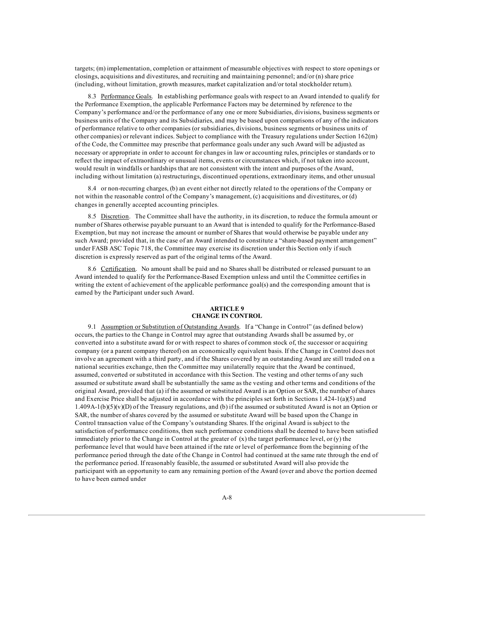targets; (m) implementation, completion or attainment of measurable objectives with respect to store openings or closings, acquisitions and divestitures, and recruiting and maintaining personnel; and/or (n) share price (including, without limitation, growth measures, market capitalization and/or total stockholder return).

8.3 Performance Goals. In establishing performance goals with respect to an Award intended to qualify for the Performance Exemption, the applicable Performance Factors may be determined by reference to the Company's performance and/or the performance of any one or more Subsidiaries, divisions, business segments or business units of the Company and its Subsidiaries, and may be based upon comparisons of any of the indicators of performance relative to other companies (or subsidiaries, divisions, business segments or business units of other companies) or relevant indices. Subject to compliance with the Treasury regulations under Section 162(m) of the Code, the Committee may prescribe that performance goals under any such Award will be adjusted as necessary or appropriate in order to account for changes in law or accounting rules, principles or standards or to reflect the impact of extraordinary or unusual items, events or circumstances which, if not taken into account, would result in windfalls or hardships that are not consistent with the intent and purposes of the Award, including without limitation (a) restructurings, discontinued operations, extraordinary items, and other unusual

8.4 or non-recurring charges, (b) an event either not directly related to the operations of the Company or not within the reasonable control of the Company's management, (c) acquisitions and divestitures, or (d) changes in generally accepted accounting principles.

8.5 Discretion. The Committee shall have the authority, in its discretion, to reduce the formula amount or number of Shares otherwise payable pursuant to an Award that is intended to qualify for the Performance-Based Exemption, but may not increase the amount or number of Shares that would otherwise be payable under any such Award; provided that, in the case of an Award intended to constitute a "share-based payment arrangement" under FASB ASC Topic 718, the Committee may exercise its discretion under this Section only if such discretion is expressly reserved as part of the original terms of the Award.

8.6 Certification. No amount shall be paid and no Shares shall be distributed or released pursuant to an Award intended to qualify for the Performance-Based Exemption unless and until the Committee certifies in writing the extent of achievement of the applicable performance goal(s) and the corresponding amount that is earned by the Participant under such Award.

# **ARTICLE 9 CHANGE IN CONTROL**

9.1 Assumption or Substitution of Outstanding Awards. If a "Change in Control" (as defined below) occurs, the parties to the Change in Control may agree that outstanding Awards shall be assumed by, or converted into a substitute award for or with respect to shares of common stock of, the successor or acquiring company (or a parent company thereof) on an economically equivalent basis. If the Change in Control does not involve an agreement with a third party, and if the Shares covered by an outstanding Award are still traded on a national securities exchange, then the Committee may unilaterally require that the Award be continued, assumed, converted or substituted in accordance with this Section. The vesting and other terms of any such assumed or substitute award shall be substantially the same as the vesting and other terms and conditions of the original Award, provided that (a) if the assumed or substituted Award is an Option or SAR, the number of shares and Exercise Price shall be adjusted in accordance with the principles set forth in Sections 1.424-1(a)(5) and 1.409A-1(b)(5)(v)(D) of the Treasury regulations, and (b) if the assumed or substituted Award is not an Option or SAR, the number of shares covered by the assumed or substitute Award will be based upon the Change in Control transaction value of the Company's outstanding Shares. If the original Award is subject to the satisfaction of performance conditions, then such performance conditions shall be deemed to have been satisfied immediately prior to the Change in Control at the greater of  $(x)$  the target performance level, or  $(y)$  the performance level that would have been attained if the rate or level of performance from the beginning of the performance period through the date of the Change in Control had continued at the same rate through the end of the performance period. If reasonably feasible, the assumed or substituted Award will also provide the participant with an opportunity to earn any remaining portion of the Award (over and above the portion deemed to have been earned under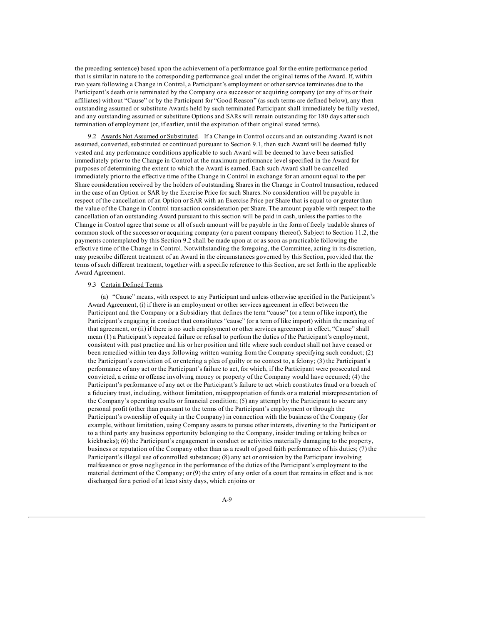the preceding sentence) based upon the achievement of a performance goal for the entire performance period that is similar in nature to the corresponding performance goal under the original terms of the Award. If, within two years following a Change in Control, a Participant's employment or other service terminates due to the Participant's death or is terminated by the Company or a successor or acquiring company (or any of its or their affiliates) without "Cause" or by the Participant for "Good Reason" (as such terms are defined below), any then outstanding assumed or substitute Awards held by such terminated Participant shall immediately be fully vested, and any outstanding assumed or substitute Options and SARs will remain outstanding for 180 days after such termination of employment (or, if earlier, until the expiration of their original stated terms).

9.2 Awards Not Assumed or Substituted. If a Change in Control occurs and an outstanding Award is not assumed, converted, substituted or continued pursuant to Section 9.1, then such Award will be deemed fully vested and any performance conditions applicable to such Award will be deemed to have been satisfied immediately prior to the Change in Control at the maximum performance level specified in the Award for purposes of determining the extent to which the Award is earned. Each such Award shall be cancelled immediately prior to the effective time of the Change in Control in exchange for an amount equal to the per Share consideration received by the holders of outstanding Shares in the Change in Control transaction, reduced in the case of an Option or SAR by the Exercise Price for such Shares. No consideration will be payable in respect of the cancellation of an Option or SAR with an Exercise Price per Share that is equal to or greater than the value of the Change in Control transaction consideration per Share. The amount payable with respect to the cancellation of an outstanding Award pursuant to this section will be paid in cash, unless the parties to the Change in Control agree that some or all of such amount will be payable in the form of freely tradable shares of common stock of the successor or acquiring company (or a parent company thereof). Subject to Section 11.2, the payments contemplated by this Section 9.2 shall be made upon at or as soon as practicable following the effective time of the Change in Control. Notwithstanding the foregoing, the Committee, acting in its discretion, may prescribe different treatment of an Award in the circumstances governed by this Section, provided that the terms of such different treatment, together with a specific reference to this Section, are set forth in the applicable Award Agreement.

#### 9.3 Certain Defined Terms.

(a) "Cause" means, with respect to any Participant and unless otherwise specified in the Participant's Award Agreement, (i) if there is an employment or other services agreement in effect between the Participant and the Company or a Subsidiary that defines the term "cause" (or a term of like import), the Participant's engaging in conduct that constitutes "cause" (or a term of like import) within the meaning of that agreement, or (ii) if there is no such employment or other services agreement in effect, "Cause" shall mean (1) a Participant's repeated failure or refusal to perform the duties of the Participant's employment, consistent with past practice and his or her position and title where such conduct shall not have ceased or been remedied within ten days following written warning from the Company specifying such conduct; (2) the Participant's conviction of, or entering a plea of guilty or no contest to, a felony; (3) the Participant's performance of any act or the Participant's failure to act, for which, if the Participant were prosecuted and convicted, a crime or offense involving money or property of the Company would have occurred; (4) the Participant's performance of any act or the Participant's failure to act which constitutes fraud or a breach of a fiduciary trust, including, without limitation, misappropriation of funds or a material misrepresentation of the Company's operating results or financial condition; (5) any attempt by the Participant to secure any personal profit (other than pursuant to the terms of the Participant's employment or through the Participant's ownership of equity in the Company) in connection with the business of the Company (for example, without limitation, using Company assets to pursue other interests, diverting to the Participant or to a third party any business opportunity belonging to the Company, insider trading or taking bribes or kickbacks); (6) the Participant's engagement in conduct or activities materially damaging to the property, business or reputation of the Company other than as a result of good faith performance of his duties; (7) the Participant's illegal use of controlled substances; (8) any act or omission by the Participant involving malfeasance or gross negligence in the performance of the duties of the Participant's employment to the material detriment of the Company; or (9) the entry of any order of a court that remains in effect and is not discharged for a period of at least sixty days, which enjoins or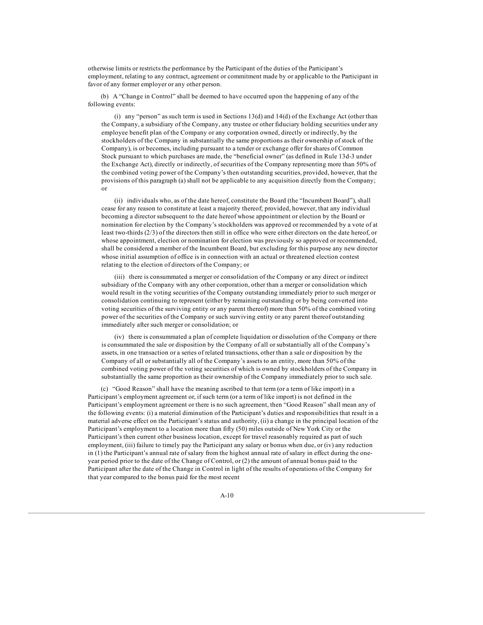otherwise limits or restricts the performance by the Participant of the duties of the Participant's employment, relating to any contract, agreement or commitment made by or applicable to the Participant in favor of any former employer or any other person.

(b) A "Change in Control" shall be deemed to have occurred upon the happening of any of the following events:

(i) any "person" as such term is used in Sections  $13(d)$  and  $14(d)$  of the Exchange Act (other than the Company, a subsidiary of the Company, any trustee or other fiduciary holding securities under any employee benefit plan of the Company or any corporation owned, directly or indirectly, by the stockholders of the Company in substantially the same proportions as their ownership of stock of the Company), is or becomes, including pursuant to a tender or exchange offer for shares of Common Stock pursuant to which purchases are made, the "beneficial owner" (as defined in Rule 13d-3 under the Exchange Act), directly or indirectly, of securities of the Company representing more than 50% of the combined voting power of the Company's then outstanding securities, provided, however, that the provisions of this paragraph (a) shall not be applicable to any acquisition directly from the Company; or

(ii) individuals who, as of the date hereof, constitute the Board (the "Incumbent Board"), shall cease for any reason to constitute at least a majority thereof; provided, however, that any individual becoming a director subsequent to the date hereof whose appointment or election by the Board or nomination for election by the Company's stockholders was approved or recommended by a vote of at least two-thirds (2/3) of the directors then still in office who were either directors on the date hereof, or whose appointment, election or nomination for election was previously so approved or recommended, shall be considered a member of the Incumbent Board, but excluding for this purpose any new director whose initial assumption of office is in connection with an actual or threatened election contest relating to the election of directors of the Company; or

(iii) there is consummated a merger or consolidation of the Company or any direct or indirect subsidiary of the Company with any other corporation, other than a merger or consolidation which would result in the voting securities of the Company outstanding immediately prior to such merger or consolidation continuing to represent (either by remaining outstanding or by being converted into voting securities of the surviving entity or any parent thereof) more than 50% of the combined voting power of the securities of the Company or such surviving entity or any parent thereof outstanding immediately after such merger or consolidation; or

(iv) there is consummated a plan of complete liquidation or dissolution of the Company or there is consummated the sale or disposition by the Company of all or substantially all of the Company's assets, in one transaction or a series of related transactions, other than a sale or disposition by the Company of all or substantially all of the Company's assets to an entity, more than 50% of the combined voting power of the voting securities of which is owned by stockholders of the Company in substantially the same proportion as their ownership of the Company immediately prior to such sale.

(c) "Good Reason" shall have the meaning ascribed to that term (or a term of like import) in a Participant's employment agreement or, if such term (or a term of like import) is not defined in the Participant's employment agreement or there is no such agreement, then "Good Reason" shall mean any of the following events: (i) a material diminution of the Participant's duties and responsibilities that result in a material adverse effect on the Participant's status and authority, (ii) a change in the principal location of the Participant's employment to a location more than fifty (50) miles outside of New York City or the Participant's then current other business location, except for travel reasonably required as part of such employment, (iii) failure to timely pay the Participant any salary or bonus when due, or (iv) any reduction in (1) the Participant's annual rate of salary from the highest annual rate of salary in effect during the oneyear period prior to the date of the Change of Control, or (2) the amount of annual bonus paid to the Participant after the date of the Change in Control in light of the results of operations of the Company for that year compared to the bonus paid for the most recent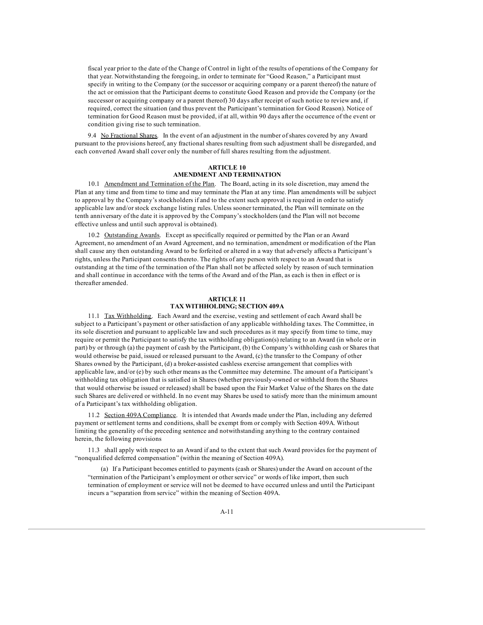fiscal year prior to the date of the Change of Control in light of the results of operations of the Company for that year. Notwithstanding the foregoing, in order to terminate for "Good Reason," a Participant must specify in writing to the Company (or the successor or acquiring company or a parent thereof) the nature of the act or omission that the Participant deems to constitute Good Reason and provide the Company (or the successor or acquiring company or a parent thereof) 30 days after receipt of such notice to review and, if required, correct the situation (and thus prevent the Participant's termination for Good Reason). Notice of termination for Good Reason must be provided, if at all, within 90 days after the occurrence of the event or condition giving rise to such termination.

9.4 No Fractional Shares. In the event of an adjustment in the number of shares covered by any Award pursuant to the provisions hereof, any fractional shares resulting from such adjustment shall be disregarded, and each converted Award shall cover only the number of full shares resulting from the adjustment.

## **ARTICLE 10 AMENDMENT AND TERMINATION**

10.1 Amendment and Termination of the Plan. The Board, acting in its sole discretion, may amend the Plan at any time and from time to time and may terminate the Plan at any time. Plan amendments will be subject to approval by the Company's stockholders if and to the extent such approval is required in order to satisfy applicable law and/or stock exchange listing rules. Unless sooner terminated, the Plan will terminate on the tenth anniversary of the date it is approved by the Company's stockholders (and the Plan will not become effective unless and until such approval is obtained).

10.2 Outstanding Awards. Except as specifically required or permitted by the Plan or an Award Agreement, no amendment of an Award Agreement, and no termination, amendment or modification of the Plan shall cause any then outstanding Award to be forfeited or altered in a way that adversely affects a Participant's rights, unless the Participant consents thereto. The rights of any person with respect to an Award that is outstanding at the time of the termination of the Plan shall not be affected solely by reason of such termination and shall continue in accordance with the terms of the Award and of the Plan, as each is then in effect or is thereafter amended.

### **ARTICLE 11 TAX WITHHOLDING; SECTION 409A**

11.1 Tax Withholding. Each Award and the exercise, vesting and settlement of each Award shall be subject to a Participant's payment or other satisfaction of any applicable withholding taxes. The Committee, in its sole discretion and pursuant to applicable law and such procedures as it may specify from time to time, may require or permit the Participant to satisfy the tax withholding obligation(s) relating to an Award (in whole or in part) by or through (a) the payment of cash by the Participant, (b) the Company's withholding cash or Shares that would otherwise be paid, issued or released pursuant to the Award, (c) the transfer to the Company of other Shares owned by the Participant, (d) a broker-assisted cashless exercise arrangement that complies with applicable law, and/or (e) by such other means as the Committee may determine. The amount of a Participant's withholding tax obligation that is satisfied in Shares (whether previously-owned or withheld from the Shares that would otherwise be issued or released) shall be based upon the Fair Market Value of the Shares on the date such Shares are delivered or withheld. In no event may Shares be used to satisfy more than the minimum amount of a Participant's tax withholding obligation.

11.2 Section 409A Compliance. It is intended that Awards made under the Plan, including any deferred payment or settlement terms and conditions, shall be exempt from or comply with Section 409A. Without limiting the generality of the preceding sentence and notwithstanding anything to the contrary contained herein, the following provisions

11.3 shall apply with respect to an Award if and to the extent that such Award provides for the payment of "nonqualified deferred compensation" (within the meaning of Section 409A).

(a) If a Participant becomes entitled to payments (cash or Shares) under the Award on account of the "termination of the Participant's employment or other service" or words of like import, then such termination of employment or service will not be deemed to have occurred unless and until the Participant incurs a "separation from service" within the meaning of Section 409A.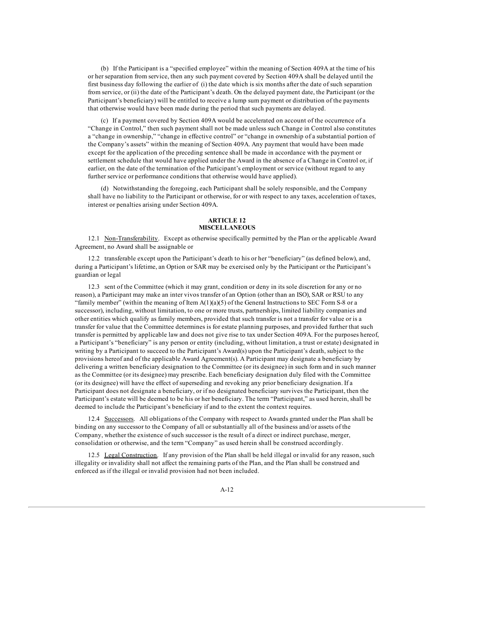(b) If the Participant is a "specified employee" within the meaning of Section 409A at the time of his or her separation from service, then any such payment covered by Section 409A shall be delayed until the first business day following the earlier of (i) the date which is six months after the date of such separation from service, or (ii) the date of the Participant's death. On the delayed payment date, the Participant (or the Participant's beneficiary) will be entitled to receive a lump sum payment or distribution of the payments that otherwise would have been made during the period that such payments are delayed.

(c) If a payment covered by Section 409A would be accelerated on account of the occurrence of a "Change in Control," then such payment shall not be made unless such Change in Control also constitutes a "change in ownership," "change in effective control" or "change in ownership of a substantial portion of the Company's assets" within the meaning of Section 409A. Any payment that would have been made except for the application of the preceding sentence shall be made in accordance with the payment or settlement schedule that would have applied under the Award in the absence of a Change in Control or, if earlier, on the date of the termination of the Participant's employment or service (without regard to any further service or performance conditions that otherwise would have applied).

(d) Notwithstanding the foregoing, each Participant shall be solely responsible, and the Company shall have no liability to the Participant or otherwise, for or with respect to any taxes, acceleration of taxes, interest or penalties arising under Section 409A.

#### **ARTICLE 12 MISCELLANEOUS**

12.1 Non-Transferability. Except as otherwise specifically permitted by the Plan or the applicable Award Agreement, no Award shall be assignable or

12.2 transferable except upon the Participant's death to his or her "beneficiary" (as defined below), and, during a Participant's lifetime, an Option or SAR may be exercised only by the Participant or the Participant's guardian or legal

12.3 sent of the Committee (which it may grant, condition or deny in its sole discretion for any or no reason), a Participant may make an inter vivos transfer of an Option (other than an ISO), SAR or RSU to any "family member" (within the meaning of Item A(1)(a)(5) of the General Instructions to SEC Form S-8 or a successor), including, without limitation, to one or more trusts, partnerships, limited liability companies and other entities which qualify as family members, provided that such transfer is not a transfer for value or is a transfer for value that the Committee determines is for estate planning purposes, and provided further that such transfer is permitted by applicable law and does not give rise to tax under Section 409A. For the purposes hereof, a Participant's "beneficiary" is any person or entity (including, without limitation, a trust or estate) designated in writing by a Participant to succeed to the Participant's Award(s) upon the Participant's death, subject to the provisions hereof and of the applicable Award Agreement(s). A Participant may designate a beneficiary by delivering a written beneficiary designation to the Committee (or its designee) in such form and in such manner as the Committee (or its designee) may prescribe. Each beneficiary designation duly filed with the Committee (or its designee) will have the effect of superseding and revoking any prior beneficiary designation. If a Participant does not designate a beneficiary, or if no designated beneficiary survives the Participant, then the Participant's estate will be deemed to be his or her beneficiary. The term "Participant," as used herein, shall be deemed to include the Participant's beneficiary if and to the extent the context requires.

12.4 Successors. All obligations of the Company with respect to Awards granted under the Plan shall be binding on any successor to the Company of all or substantially all of the business and/or assets of the Company, whether the existence of such successor is the result of a direct or indirect purchase, merger, consolidation or otherwise, and the term "Company" as used herein shall be construed accordingly.

12.5 Legal Construction. If any provision of the Plan shall be held illegal or invalid for any reason, such illegality or invalidity shall not affect the remaining parts of the Plan, and the Plan shall be construed and enforced as if the illegal or invalid provision had not been included.